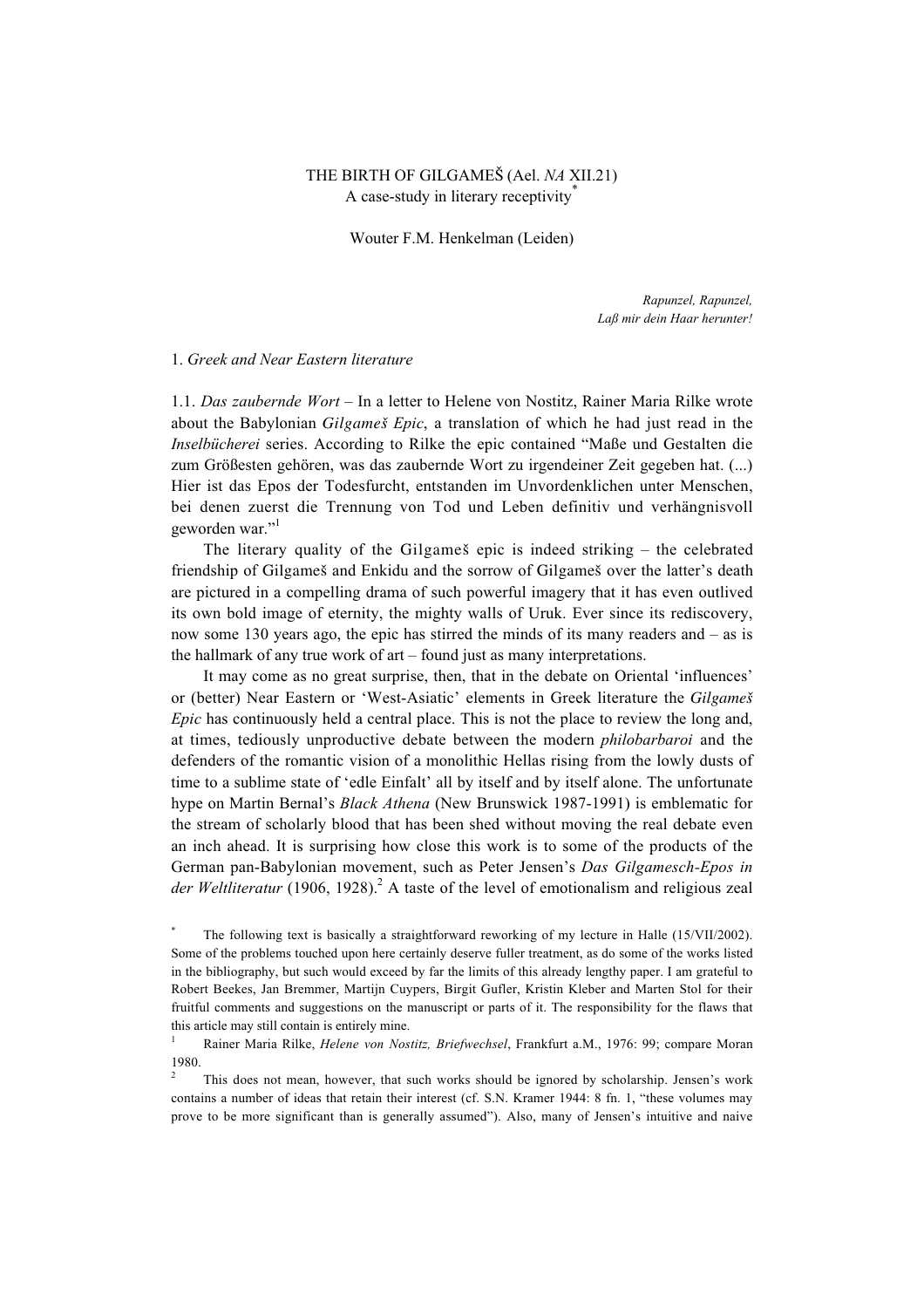# THE BIRTH OF GILGAMEÍ (Ael. *NA* XII.21) A case-study in literary receptivity<sup>\*</sup>

Wouter F.M. Henkelman (Leiden)

*Rapunzel, Rapunzel, Laß mir dein Haar herunter!*

### 1. *Greek and Near Eastern literature*

1.1. *Das zaubernde Wort* – In a letter to Helene von Nostitz, Rainer Maria Rilke wrote about the Babylonian *Gilgameß Epic*, a translation of which he had just read in the *Inselbücherei* series. According to Rilke the epic contained "Maße und Gestalten die zum Größesten gehören, was das zaubernde Wort zu irgendeiner Zeit gegeben hat. (...) Hier ist das Epos der Todesfurcht, entstanden im Unvordenklichen unter Menschen, bei denen zuerst die Trennung von Tod und Leben definitiv und verhängnisvoll geworden war."1

The literary quality of the Gilgameß epic is indeed striking – the celebrated friendship of Gilgameß and Enkidu and the sorrow of Gilgameß over the latter's death are pictured in a compelling drama of such powerful imagery that it has even outlived its own bold image of eternity, the mighty walls of Uruk. Ever since its rediscovery, now some 130 years ago, the epic has stirred the minds of its many readers and – as is the hallmark of any true work of art – found just as many interpretations.

It may come as no great surprise, then, that in the debate on Oriental 'influences' or (better) Near Eastern or 'West-Asiatic' elements in Greek literature the *Gilgameß Epic* has continuously held a central place. This is not the place to review the long and, at times, tediously unproductive debate between the modern *philobarbaroi* and the defenders of the romantic vision of a monolithic Hellas rising from the lowly dusts of time to a sublime state of 'edle Einfalt' all by itself and by itself alone. The unfortunate hype on Martin Bernal's *Black Athena* (New Brunswick 1987-1991) is emblematic for the stream of scholarly blood that has been shed without moving the real debate even an inch ahead. It is surprising how close this work is to some of the products of the German pan-Babylonian movement, such as Peter Jensen's *Das Gilgamesch-Epos in* der Weltliteratur (1906, 1928).<sup>2</sup> A taste of the level of emotionalism and religious zeal

2 This does not mean, however, that such works should be ignored by scholarship. Jensen's work contains a number of ideas that retain their interest (cf. S.N. Kramer 1944: 8 fn. 1, "these volumes may prove to be more significant than is generally assumed"). Also, many of Jensen's intuitive and naive

<sup>\*</sup> The following text is basically a straightforward reworking of my lecture in Halle (15/VII/2002). Some of the problems touched upon here certainly deserve fuller treatment, as do some of the works listed in the bibliography, but such would exceed by far the limits of this already lengthy paper. I am grateful to Robert Beekes, Jan Bremmer, Martijn Cuypers, Birgit Gufler, Kristin Kleber and Marten Stol for their fruitful comments and suggestions on the manuscript or parts of it. The responsibility for the flaws that this article may still contain is entirely mine.

<sup>1</sup> Rainer Maria Rilke, *Helene von Nostitz, Briefwechsel*, Frankfurt a.M., 1976: 99; compare Moran 1980.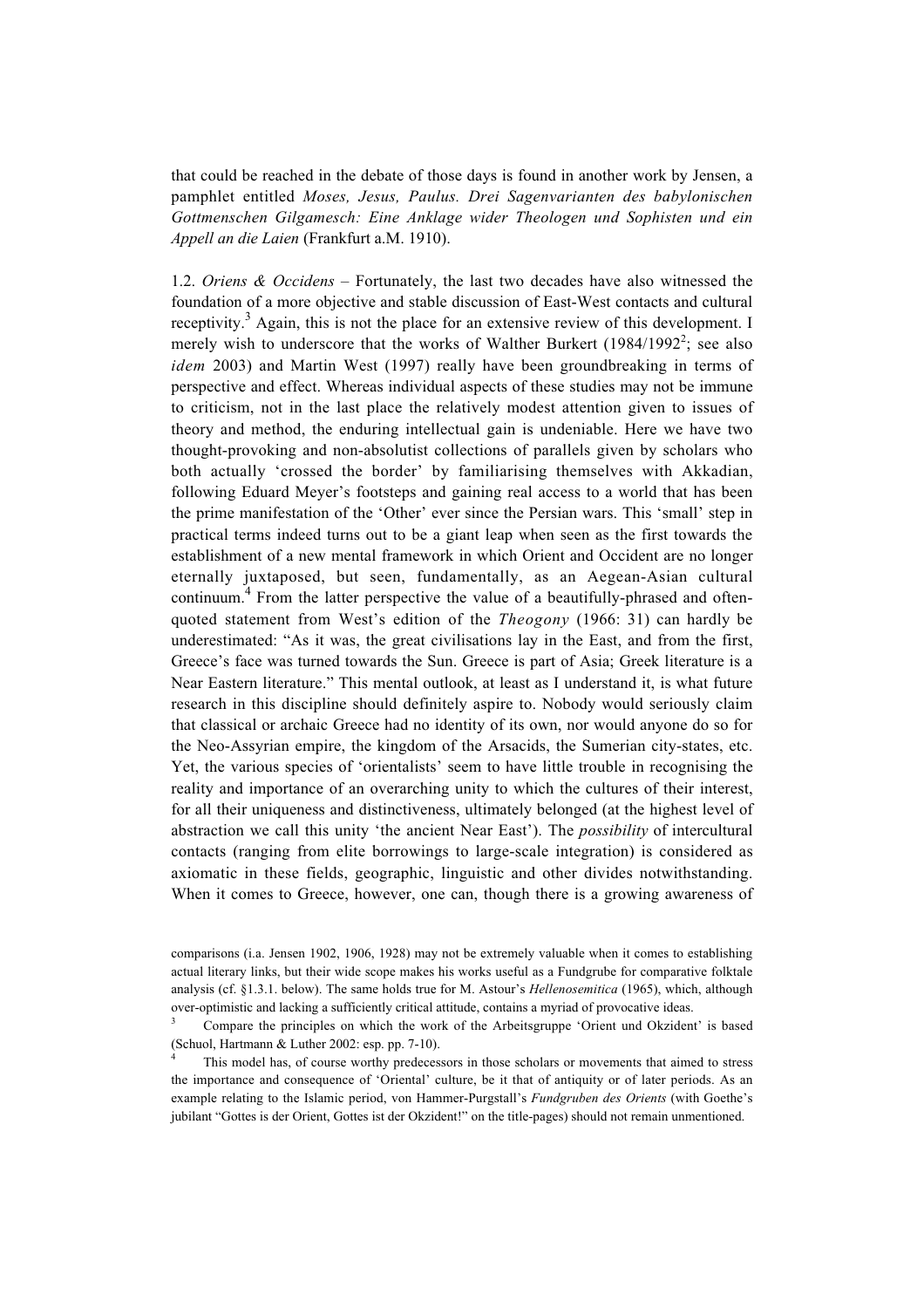that could be reached in the debate of those days is found in another work by Jensen, a pamphlet entitled *Moses, Jesus, Paulus. Drei Sagenvarianten des babylonischen Gottmenschen Gilgamesch: Eine Anklage wider Theologen und Sophisten und ein Appell an die Laien* (Frankfurt a.M. 1910).

1.2. *Oriens & Occidens* – Fortunately, the last two decades have also witnessed the foundation of a more objective and stable discussion of East-West contacts and cultural receptivity.<sup>3</sup> Again, this is not the place for an extensive review of this development. I merely wish to underscore that the works of Walther Burkert  $(1984/1992^2)$ ; see also *idem* 2003) and Martin West (1997) really have been groundbreaking in terms of perspective and effect. Whereas individual aspects of these studies may not be immune to criticism, not in the last place the relatively modest attention given to issues of theory and method, the enduring intellectual gain is undeniable. Here we have two thought-provoking and non-absolutist collections of parallels given by scholars who both actually 'crossed the border' by familiarising themselves with Akkadian, following Eduard Meyer's footsteps and gaining real access to a world that has been the prime manifestation of the 'Other' ever since the Persian wars. This 'small' step in practical terms indeed turns out to be a giant leap when seen as the first towards the establishment of a new mental framework in which Orient and Occident are no longer eternally juxtaposed, but seen, fundamentally, as an Aegean-Asian cultural continuum.<sup>4</sup> From the latter perspective the value of a beautifully-phrased and oftenquoted statement from West's edition of the *Theogony* (1966: 31) can hardly be underestimated: "As it was, the great civilisations lay in the East, and from the first, Greece's face was turned towards the Sun. Greece is part of Asia; Greek literature is a Near Eastern literature." This mental outlook, at least as I understand it, is what future research in this discipline should definitely aspire to. Nobody would seriously claim that classical or archaic Greece had no identity of its own, nor would anyone do so for the Neo-Assyrian empire, the kingdom of the Arsacids, the Sumerian city-states, etc. Yet, the various species of 'orientalists' seem to have little trouble in recognising the reality and importance of an overarching unity to which the cultures of their interest, for all their uniqueness and distinctiveness, ultimately belonged (at the highest level of abstraction we call this unity 'the ancient Near East'). The *possibility* of intercultural contacts (ranging from elite borrowings to large-scale integration) is considered as axiomatic in these fields, geographic, linguistic and other divides notwithstanding. When it comes to Greece, however, one can, though there is a growing awareness of

comparisons (i.a. Jensen 1902, 1906, 1928) may not be extremely valuable when it comes to establishing actual literary links, but their wide scope makes his works useful as a Fundgrube for comparative folktale analysis (cf. §1.3.1. below). The same holds true for M. Astour's *Hellenosemitica* (1965), which, although over-optimistic and lacking a sufficiently critical attitude, contains a myriad of provocative ideas.

<sup>3</sup> Compare the principles on which the work of the Arbeitsgruppe 'Orient und Okzident' is based (Schuol, Hartmann & Luther 2002: esp. pp. 7-10).

This model has, of course worthy predecessors in those scholars or movements that aimed to stress the importance and consequence of 'Oriental' culture, be it that of antiquity or of later periods. As an example relating to the Islamic period, von Hammer-Purgstall's *Fundgruben des Orients* (with Goethe's jubilant "Gottes is der Orient, Gottes ist der Okzident!" on the title-pages) should not remain unmentioned.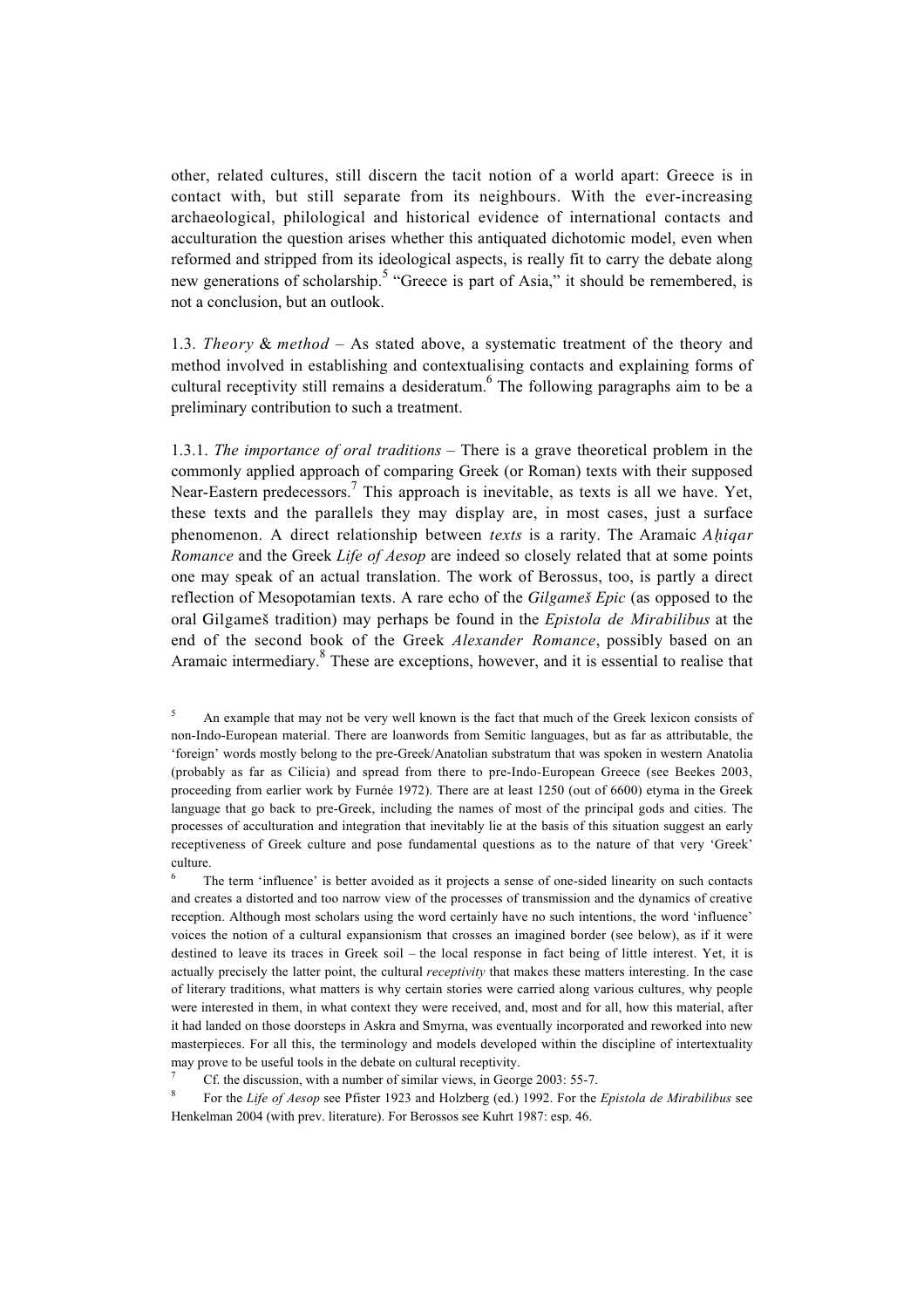other, related cultures, still discern the tacit notion of a world apart: Greece is in contact with, but still separate from its neighbours. With the ever-increasing archaeological, philological and historical evidence of international contacts and acculturation the question arises whether this antiquated dichotomic model, even when reformed and stripped from its ideological aspects, is really fit to carry the debate along new generations of scholarship.<sup>5</sup> "Greece is part of Asia," it should be remembered, is not a conclusion, but an outlook.

1.3. *Theory* & *method* – As stated above, a systematic treatment of the theory and method involved in establishing and contextualising contacts and explaining forms of cultural receptivity still remains a desideratum.<sup>6</sup> The following paragraphs aim to be a preliminary contribution to such a treatment.

1.3.1. *The importance of oral traditions* – There is a grave theoretical problem in the commonly applied approach of comparing Greek (or Roman) texts with their supposed Near-Eastern predecessors.<sup>7</sup> This approach is inevitable, as texts is all we have. Yet, these texts and the parallels they may display are, in most cases, just a surface phenomenon. A direct relationship between *texts* is a rarity. The Aramaic *Ahiqar Romance* and the Greek *Life of Aesop* are indeed so closely related that at some points one may speak of an actual translation. The work of Berossus, too, is partly a direct reflection of Mesopotamian texts. A rare echo of the *Gilgameß Epic* (as opposed to the oral Gilgameß tradition) may perhaps be found in the *Epistola de Mirabilibus* at the end of the second book of the Greek *Alexander Romance*, possibly based on an Aramaic intermediary.<sup>8</sup> These are exceptions, however, and it is essential to realise that

<sup>5</sup> An example that may not be very well known is the fact that much of the Greek lexicon consists of non-Indo-European material. There are loanwords from Semitic languages, but as far as attributable, the 'foreign' words mostly belong to the pre-Greek/Anatolian substratum that was spoken in western Anatolia (probably as far as Cilicia) and spread from there to pre-Indo-European Greece (see Beekes 2003, proceeding from earlier work by Furnée 1972). There are at least 1250 (out of 6600) etyma in the Greek language that go back to pre-Greek, including the names of most of the principal gods and cities. The processes of acculturation and integration that inevitably lie at the basis of this situation suggest an early receptiveness of Greek culture and pose fundamental questions as to the nature of that very 'Greek' culture.

The term 'influence' is better avoided as it projects a sense of one-sided linearity on such contacts and creates a distorted and too narrow view of the processes of transmission and the dynamics of creative reception. Although most scholars using the word certainly have no such intentions, the word 'influence' voices the notion of a cultural expansionism that crosses an imagined border (see below), as if it were destined to leave its traces in Greek soil – the local response in fact being of little interest. Yet, it is actually precisely the latter point, the cultural *receptivity* that makes these matters interesting. In the case of literary traditions, what matters is why certain stories were carried along various cultures, why people were interested in them, in what context they were received, and, most and for all, how this material, after it had landed on those doorsteps in Askra and Smyrna, was eventually incorporated and reworked into new masterpieces. For all this, the terminology and models developed within the discipline of intertextuality may prove to be useful tools in the debate on cultural receptivity.

Cf. the discussion, with a number of similar views, in George 2003: 55-7.

<sup>8</sup> For the *Life of Aesop* see Pfister 1923 and Holzberg (ed.) 1992. For the *Epistola de Mirabilibus* see Henkelman 2004 (with prev. literature). For Berossos see Kuhrt 1987: esp. 46.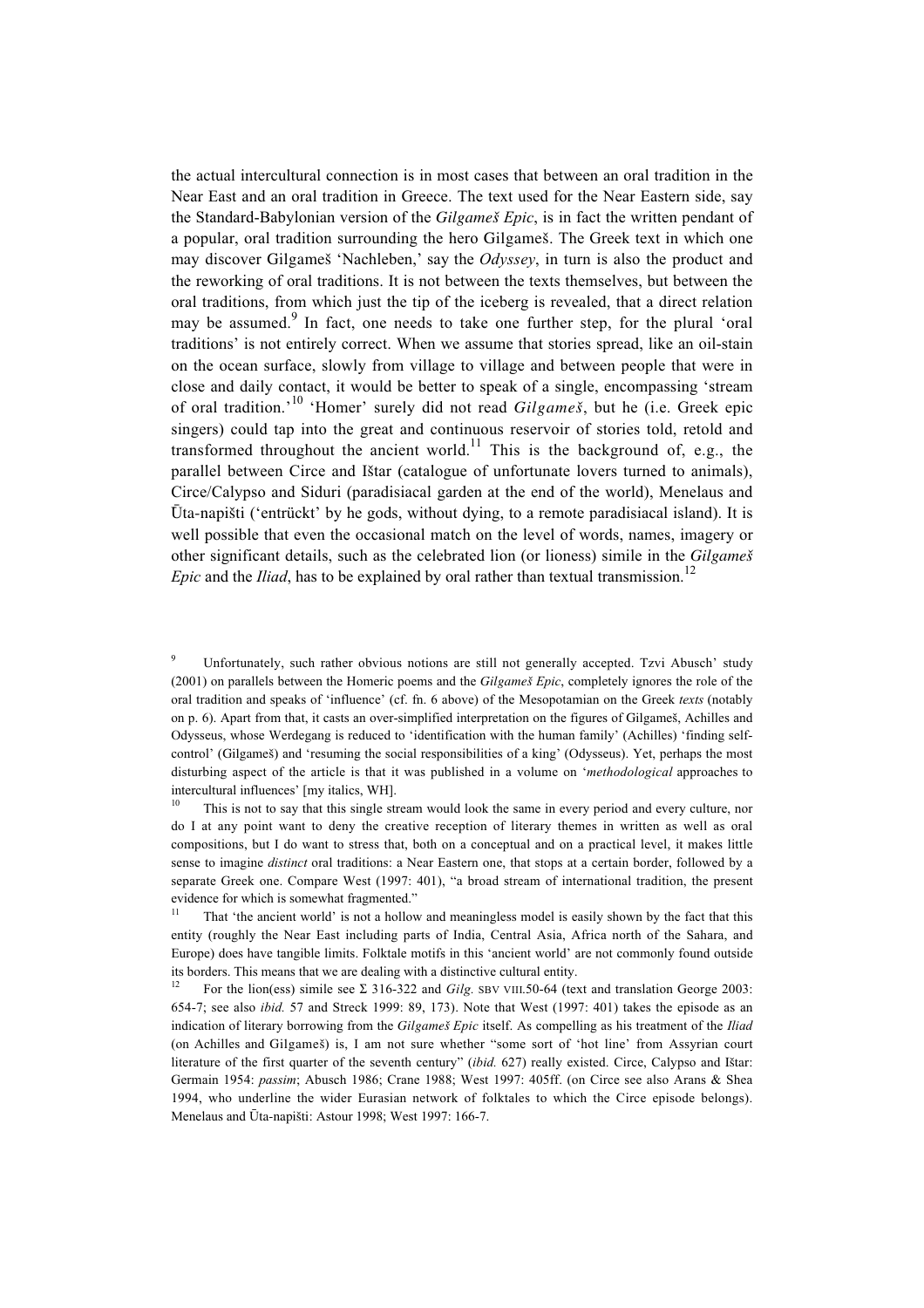the actual intercultural connection is in most cases that between an oral tradition in the Near East and an oral tradition in Greece. The text used for the Near Eastern side, say the Standard-Babylonian version of the *Gilgameß Epic*, is in fact the written pendant of a popular, oral tradition surrounding the hero Gilgameß. The Greek text in which one may discover Gilgameß 'Nachleben,' say the *Odyssey*, in turn is also the product and the reworking of oral traditions. It is not between the texts themselves, but between the oral traditions, from which just the tip of the iceberg is revealed, that a direct relation may be assumed.<sup>9</sup> In fact, one needs to take one further step, for the plural 'oral traditions' is not entirely correct. When we assume that stories spread, like an oil-stain on the ocean surface, slowly from village to village and between people that were in close and daily contact, it would be better to speak of a single, encompassing 'stream of oral tradition.'10 'Homer' surely did not read *Gilgameß*, but he (i.e. Greek epic singers) could tap into the great and continuous reservoir of stories told, retold and transformed throughout the ancient world.<sup>11</sup> This is the background of, e.g., the parallel between Circe and Ißtar (catalogue of unfortunate lovers turned to animals), Circe/Calypso and Siduri (paradisiacal garden at the end of the world), Menelaus and  $\bar{U}$ ta-napišti ('entrückt' by he gods, without dying, to a remote paradisiacal island). It is well possible that even the occasional match on the level of words, names, imagery or other significant details, such as the celebrated lion (or lioness) simile in the *Gilgameß Epic* and the *Iliad*, has to be explained by oral rather than textual transmission.<sup>12</sup>

<sup>9</sup> Unfortunately, such rather obvious notions are still not generally accepted. Tzvi Abusch' study (2001) on parallels between the Homeric poems and the *Gilgameß Epic*, completely ignores the role of the oral tradition and speaks of 'influence' (cf. fn. 6 above) of the Mesopotamian on the Greek *texts* (notably on p. 6). Apart from that, it casts an over-simplified interpretation on the figures of Gilgameß, Achilles and Odysseus, whose Werdegang is reduced to 'identification with the human family' (Achilles) 'finding selfcontrol' (Gilgameß) and 'resuming the social responsibilities of a king' (Odysseus). Yet, perhaps the most disturbing aspect of the article is that it was published in a volume on '*methodological* approaches to intercultural influences' [my italics, WH].

<sup>10</sup> This is not to say that this single stream would look the same in every period and every culture, nor do I at any point want to deny the creative reception of literary themes in written as well as oral compositions, but I do want to stress that, both on a conceptual and on a practical level, it makes little sense to imagine *distinct* oral traditions: a Near Eastern one, that stops at a certain border, followed by a separate Greek one. Compare West (1997: 401), "a broad stream of international tradition, the present evidence for which is somewhat fragmented."

<sup>11</sup> That 'the ancient world' is not a hollow and meaningless model is easily shown by the fact that this entity (roughly the Near East including parts of India, Central Asia, Africa north of the Sahara, and Europe) does have tangible limits. Folktale motifs in this 'ancient world' are not commonly found outside its borders. This means that we are dealing with a distinctive cultural entity.

For the lion(ess) simile see  $\Sigma$  316-322 and *Gilg.* SBV VIII.50-64 (text and translation George 2003: 654-7; see also *ibid.* 57 and Streck 1999: 89, 173). Note that West (1997: 401) takes the episode as an indication of literary borrowing from the *Gilgameß Epic* itself. As compelling as his treatment of the *Iliad* (on Achilles and Gilgameß) is, I am not sure whether "some sort of 'hot line' from Assyrian court literature of the first quarter of the seventh century" (*ibid.* 627) really existed. Circe, Calypso and Ißtar: Germain 1954: *passim*; Abusch 1986; Crane 1988; West 1997: 405ff. (on Circe see also Arans & Shea 1994, who underline the wider Eurasian network of folktales to which the Circe episode belongs). Menelaus and Ūta-napišti: Astour 1998; West 1997: 166-7.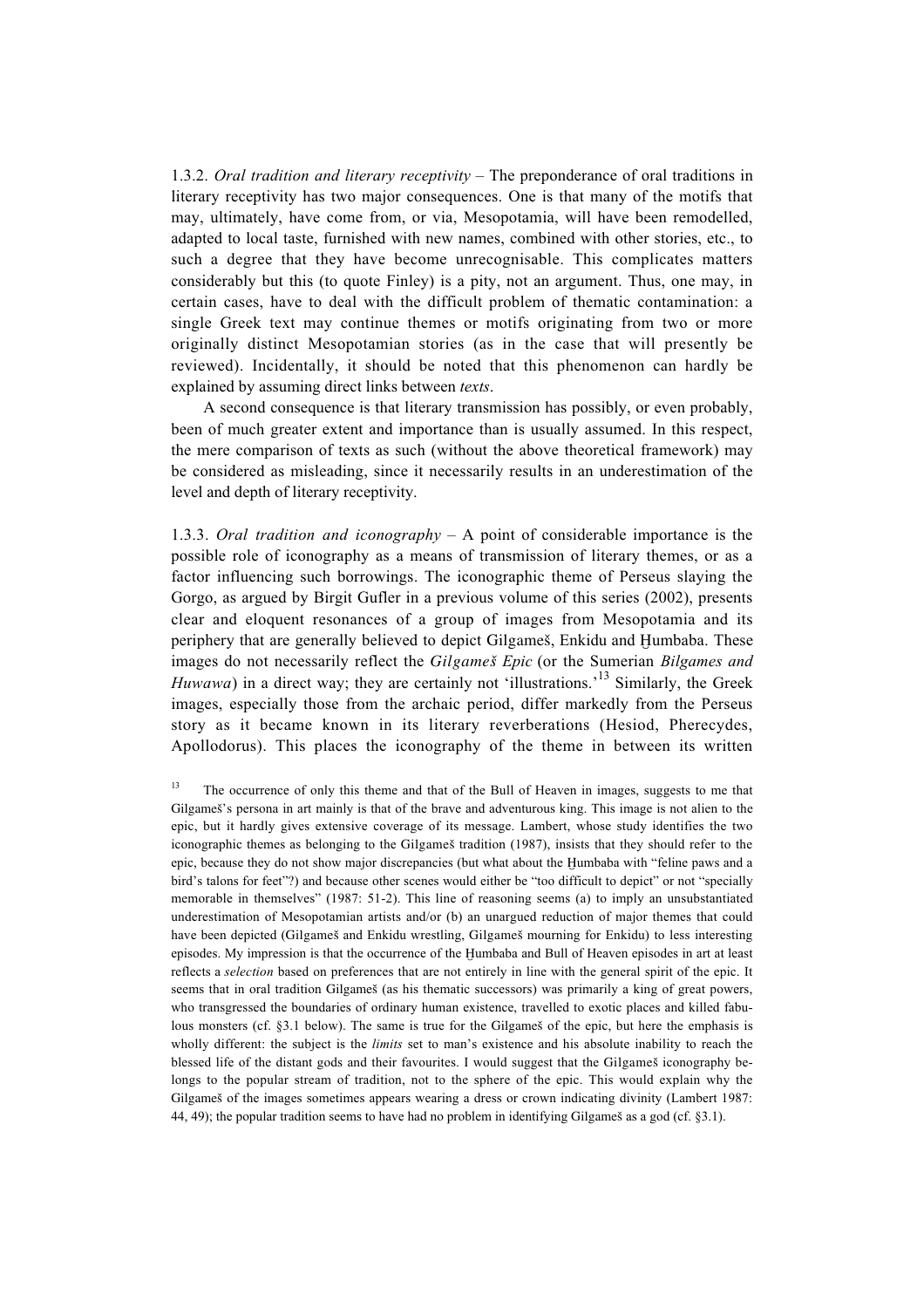1.3.2. *Oral tradition and literary receptivity* – The preponderance of oral traditions in literary receptivity has two major consequences. One is that many of the motifs that may, ultimately, have come from, or via, Mesopotamia, will have been remodelled, adapted to local taste, furnished with new names, combined with other stories, etc., to such a degree that they have become unrecognisable. This complicates matters considerably but this (to quote Finley) is a pity, not an argument. Thus, one may, in certain cases, have to deal with the difficult problem of thematic contamination: a single Greek text may continue themes or motifs originating from two or more originally distinct Mesopotamian stories (as in the case that will presently be reviewed). Incidentally, it should be noted that this phenomenon can hardly be explained by assuming direct links between *texts*.

A second consequence is that literary transmission has possibly, or even probably, been of much greater extent and importance than is usually assumed. In this respect, the mere comparison of texts as such (without the above theoretical framework) may be considered as misleading, since it necessarily results in an underestimation of the level and depth of literary receptivity.

1.3.3. *Oral tradition and iconography* – A point of considerable importance is the possible role of iconography as a means of transmission of literary themes, or as a factor influencing such borrowings. The iconographic theme of Perseus slaying the Gorgo, as argued by Birgit Gufler in a previous volume of this series (2002), presents clear and eloquent resonances of a group of images from Mesopotamia and its periphery that are generally believed to depict Gilgameš, Enkidu and Humbaba. These images do not necessarily reflect the *Gilgameß Epic* (or the Sumerian *Bilgames and Huwawa*) in a direct way; they are certainly not 'illustrations.<sup>13</sup> Similarly, the Greek images, especially those from the archaic period, differ markedly from the Perseus story as it became known in its literary reverberations (Hesiod, Pherecydes, Apollodorus). This places the iconography of the theme in between its written

<sup>13</sup> The occurrence of only this theme and that of the Bull of Heaven in images, suggests to me that Gilgameß's persona in art mainly is that of the brave and adventurous king. This image is not alien to the epic, but it hardly gives extensive coverage of its message. Lambert, whose study identifies the two iconographic themes as belonging to the Gilgameß tradition (1987), insists that they should refer to the epic, because they do not show major discrepancies (but what about the Humbaba with "feline paws and a bird's talons for feet"?) and because other scenes would either be "too difficult to depict" or not "specially memorable in themselves" (1987: 51-2). This line of reasoning seems (a) to imply an unsubstantiated underestimation of Mesopotamian artists and/or (b) an unargued reduction of major themes that could have been depicted (Gilgameß and Enkidu wrestling, Gilgameß mourning for Enkidu) to less interesting episodes. My impression is that the occurrence of the Humbaba and Bull of Heaven episodes in art at least reflects a *selection* based on preferences that are not entirely in line with the general spirit of the epic. It seems that in oral tradition Gilgameß (as his thematic successors) was primarily a king of great powers, who transgressed the boundaries of ordinary human existence, travelled to exotic places and killed fabulous monsters (cf. §3.1 below). The same is true for the Gilgameß of the epic, but here the emphasis is wholly different: the subject is the *limits* set to man's existence and his absolute inability to reach the blessed life of the distant gods and their favourites. I would suggest that the Gilgameß iconography belongs to the popular stream of tradition, not to the sphere of the epic. This would explain why the Gilgameß of the images sometimes appears wearing a dress or crown indicating divinity (Lambert 1987: 44, 49); the popular tradition seems to have had no problem in identifying Gilgameß as a god (cf. §3.1).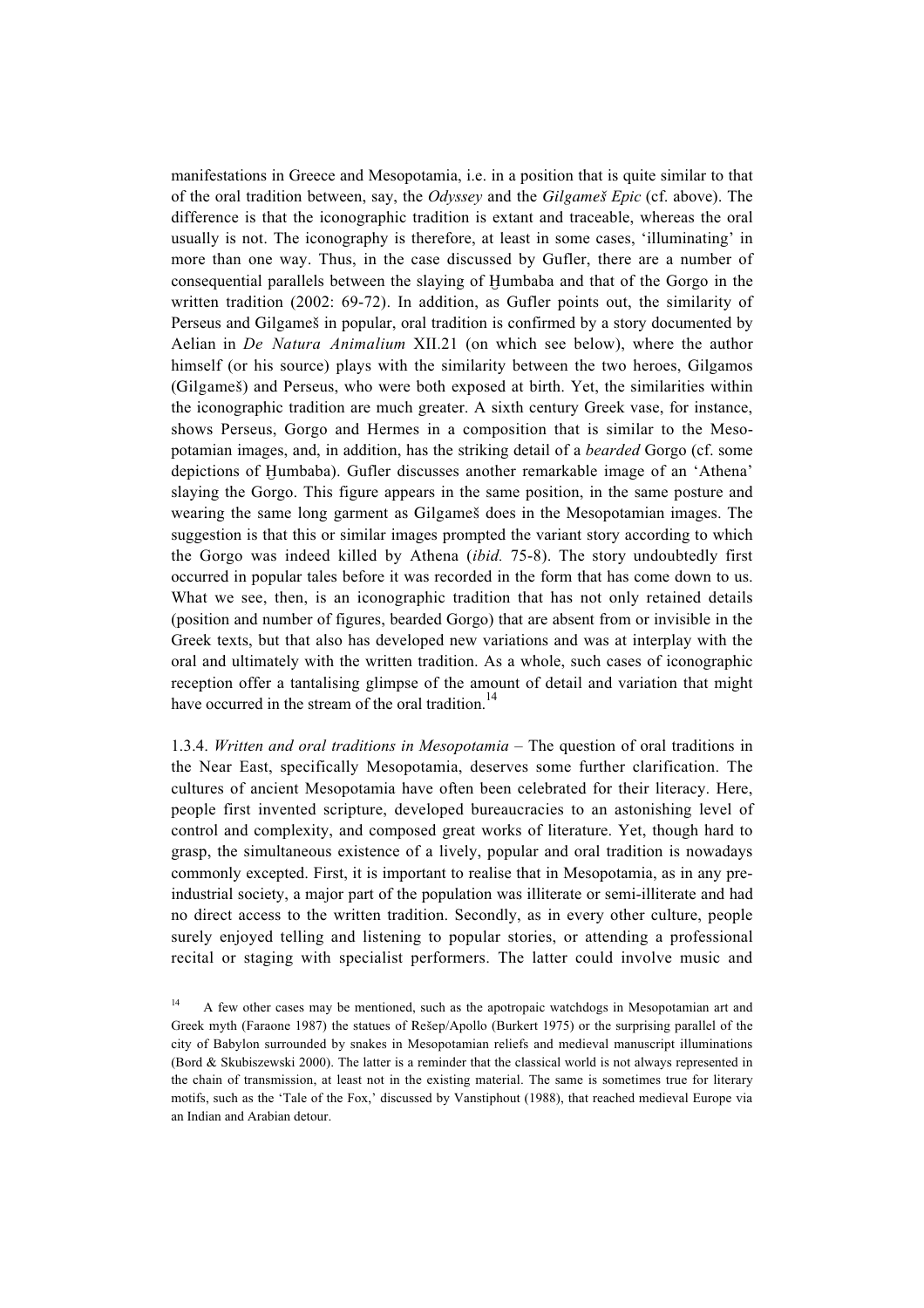manifestations in Greece and Mesopotamia, i.e. in a position that is quite similar to that of the oral tradition between, say, the *Odyssey* and the *Gilgameß Epic* (cf. above). The difference is that the iconographic tradition is extant and traceable, whereas the oral usually is not. The iconography is therefore, at least in some cases, 'illuminating' in more than one way. Thus, in the case discussed by Gufler, there are a number of consequential parallels between the slaying of Humbaba and that of the Gorgo in the written tradition (2002: 69-72). In addition, as Gufler points out, the similarity of Perseus and Gilgameß in popular, oral tradition is confirmed by a story documented by Aelian in *De Natura Animalium* XII.21 (on which see below), where the author himself (or his source) plays with the similarity between the two heroes, Gilgamos (Gilgameß) and Perseus, who were both exposed at birth. Yet, the similarities within the iconographic tradition are much greater. A sixth century Greek vase, for instance, shows Perseus, Gorgo and Hermes in a composition that is similar to the Mesopotamian images, and, in addition, has the striking detail of a *bearded* Gorgo (cf. some depictions of Humbaba). Gufler discusses another remarkable image of an 'Athena' slaying the Gorgo. This figure appears in the same position, in the same posture and wearing the same long garment as Gilgameß does in the Mesopotamian images. The suggestion is that this or similar images prompted the variant story according to which the Gorgo was indeed killed by Athena (*ibid.* 75-8). The story undoubtedly first occurred in popular tales before it was recorded in the form that has come down to us. What we see, then, is an iconographic tradition that has not only retained details (position and number of figures, bearded Gorgo) that are absent from or invisible in the Greek texts, but that also has developed new variations and was at interplay with the oral and ultimately with the written tradition. As a whole, such cases of iconographic reception offer a tantalising glimpse of the amount of detail and variation that might have occurred in the stream of the oral tradition.<sup>14</sup>

1.3.4. *Written and oral traditions in Mesopotamia* – The question of oral traditions in the Near East, specifically Mesopotamia, deserves some further clarification. The cultures of ancient Mesopotamia have often been celebrated for their literacy. Here, people first invented scripture, developed bureaucracies to an astonishing level of control and complexity, and composed great works of literature. Yet, though hard to grasp, the simultaneous existence of a lively, popular and oral tradition is nowadays commonly excepted. First, it is important to realise that in Mesopotamia, as in any preindustrial society, a major part of the population was illiterate or semi-illiterate and had no direct access to the written tradition. Secondly, as in every other culture, people surely enjoyed telling and listening to popular stories, or attending a professional recital or staging with specialist performers. The latter could involve music and

<sup>14</sup> A few other cases may be mentioned, such as the apotropaic watchdogs in Mesopotamian art and Greek myth (Faraone 1987) the statues of Reßep/Apollo (Burkert 1975) or the surprising parallel of the city of Babylon surrounded by snakes in Mesopotamian reliefs and medieval manuscript illuminations (Bord & Skubiszewski 2000). The latter is a reminder that the classical world is not always represented in the chain of transmission, at least not in the existing material. The same is sometimes true for literary motifs, such as the 'Tale of the Fox,' discussed by Vanstiphout (1988), that reached medieval Europe via an Indian and Arabian detour.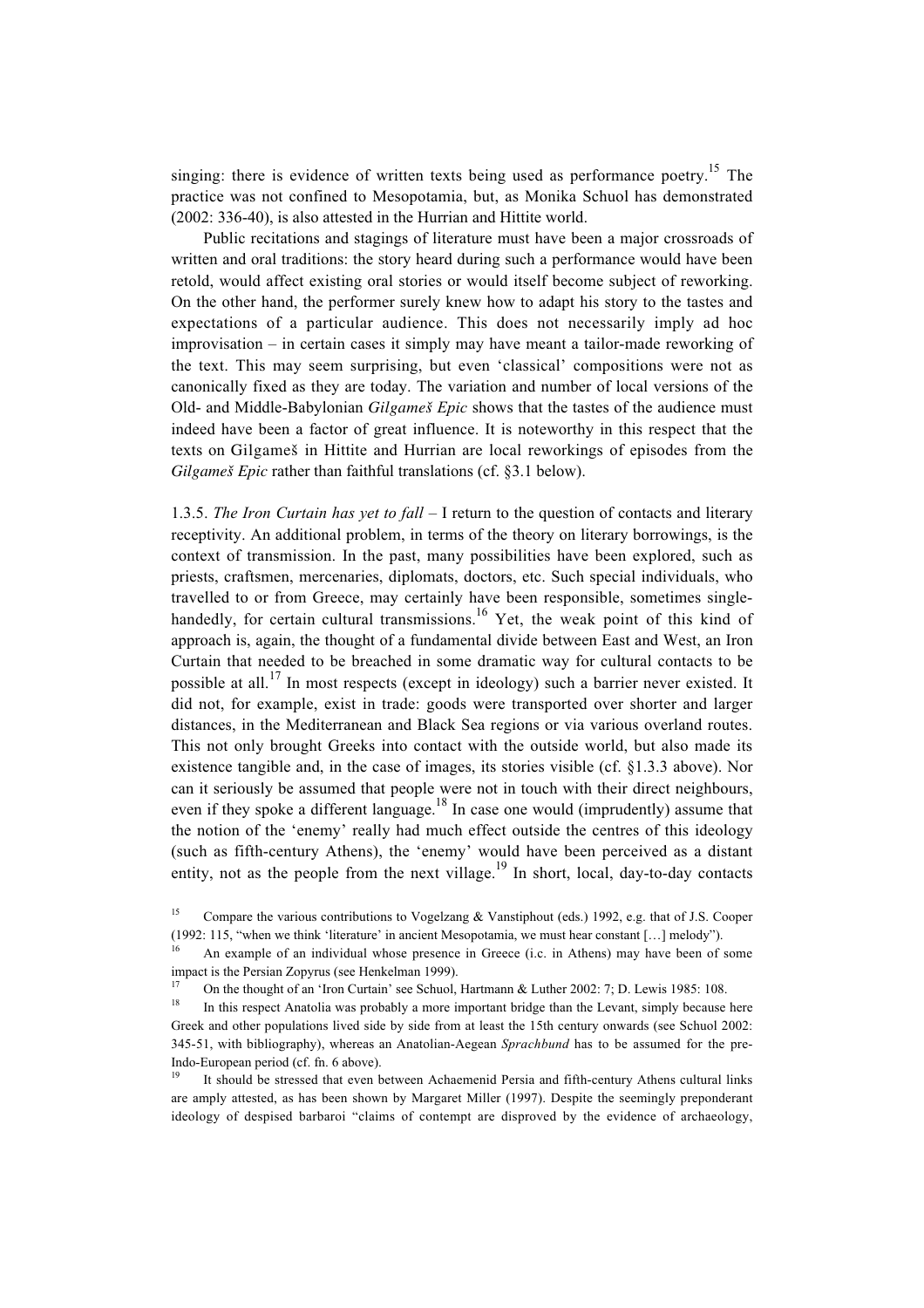singing: there is evidence of written texts being used as performance poetry.<sup>15</sup> The practice was not confined to Mesopotamia, but, as Monika Schuol has demonstrated (2002: 336-40), is also attested in the Hurrian and Hittite world.

Public recitations and stagings of literature must have been a major crossroads of written and oral traditions: the story heard during such a performance would have been retold, would affect existing oral stories or would itself become subject of reworking. On the other hand, the performer surely knew how to adapt his story to the tastes and expectations of a particular audience. This does not necessarily imply ad hoc improvisation – in certain cases it simply may have meant a tailor-made reworking of the text. This may seem surprising, but even 'classical' compositions were not as canonically fixed as they are today. The variation and number of local versions of the Old- and Middle-Babylonian *Gilgameß Epic* shows that the tastes of the audience must indeed have been a factor of great influence. It is noteworthy in this respect that the texts on Gilgameß in Hittite and Hurrian are local reworkings of episodes from the *Gilgameß Epic* rather than faithful translations (cf. §3.1 below).

1.3.5. *The Iron Curtain has yet to fall* – I return to the question of contacts and literary receptivity. An additional problem, in terms of the theory on literary borrowings, is the context of transmission. In the past, many possibilities have been explored, such as priests, craftsmen, mercenaries, diplomats, doctors, etc. Such special individuals, who travelled to or from Greece, may certainly have been responsible, sometimes singlehandedly, for certain cultural transmissions.<sup>16</sup> Yet, the weak point of this kind of approach is, again, the thought of a fundamental divide between East and West, an Iron Curtain that needed to be breached in some dramatic way for cultural contacts to be possible at all.<sup>17</sup> In most respects (except in ideology) such a barrier never existed. It did not, for example, exist in trade: goods were transported over shorter and larger distances, in the Mediterranean and Black Sea regions or via various overland routes. This not only brought Greeks into contact with the outside world, but also made its existence tangible and, in the case of images, its stories visible (cf. §1.3.3 above). Nor can it seriously be assumed that people were not in touch with their direct neighbours, even if they spoke a different language.<sup>18</sup> In case one would (imprudently) assume that the notion of the 'enemy' really had much effect outside the centres of this ideology (such as fifth-century Athens), the 'enemy' would have been perceived as a distant entity, not as the people from the next village.<sup>19</sup> In short, local, day-to-day contacts

<sup>&</sup>lt;sup>15</sup> Compare the various contributions to Vogelzang & Vanstiphout (eds.) 1992, e.g. that of J.S. Cooper (1992: 115, "when we think 'literature' in ancient Mesopotamia, we must hear constant […] melody").

<sup>16</sup> An example of an individual whose presence in Greece (i.c. in Athens) may have been of some impact is the Persian Zopyrus (see Henkelman 1999).

<sup>&</sup>lt;sup>17</sup> On the thought of an 'Iron Curtain' see Schuol, Hartmann & Luther 2002: 7; D. Lewis 1985: 108.<br><sup>18</sup> In this geometry Apptelia was probably a more important bridge than the Layent simply because

<sup>18</sup> In this respect Anatolia was probably a more important bridge than the Levant, simply because here Greek and other populations lived side by side from at least the 15th century onwards (see Schuol 2002: 345-51, with bibliography), whereas an Anatolian-Aegean *Sprachbund* has to be assumed for the pre-Indo-European period (cf. fn. 6 above).

<sup>19</sup> It should be stressed that even between Achaemenid Persia and fifth-century Athens cultural links are amply attested, as has been shown by Margaret Miller (1997). Despite the seemingly preponderant ideology of despised barbaroi "claims of contempt are disproved by the evidence of archaeology,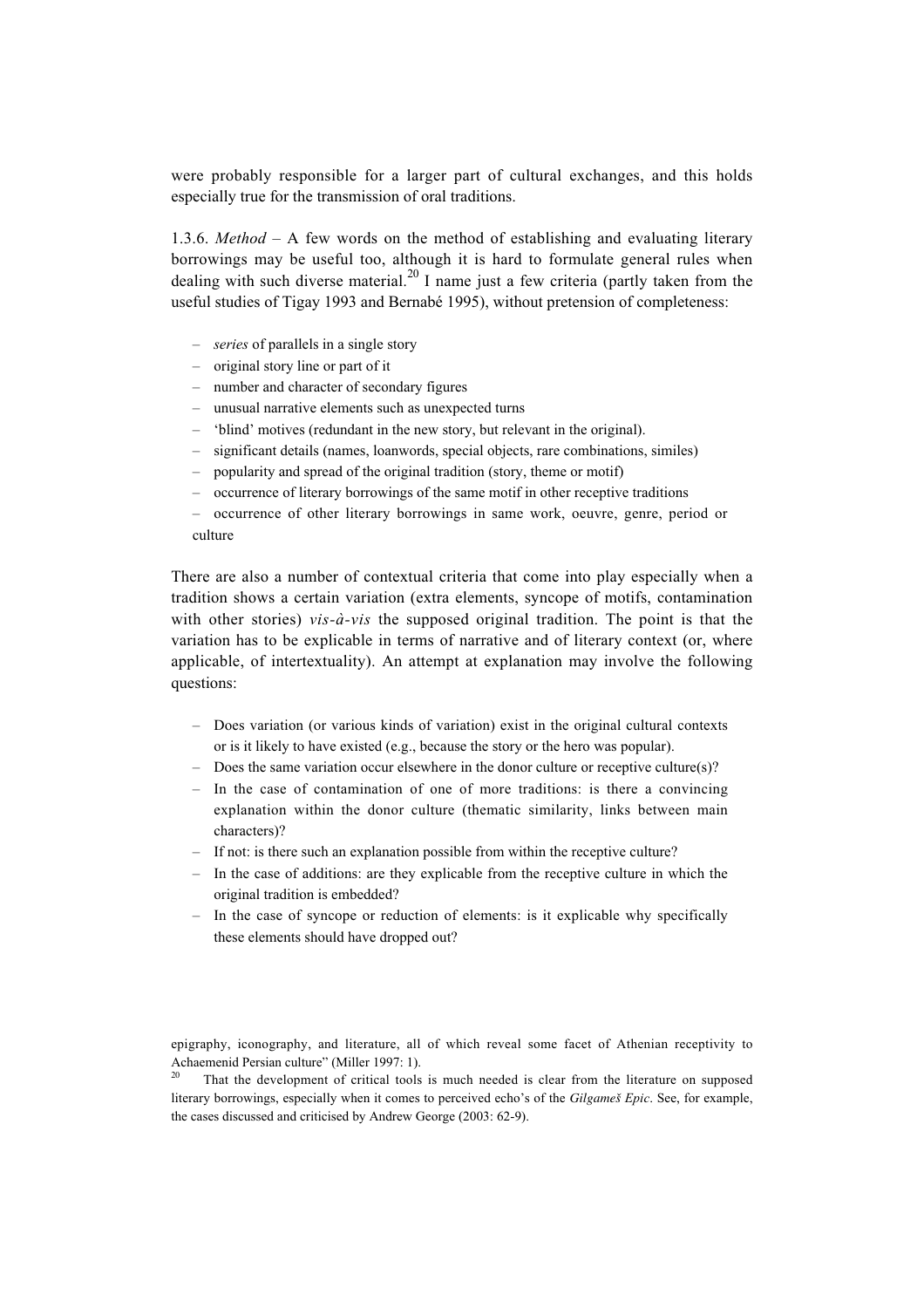were probably responsible for a larger part of cultural exchanges, and this holds especially true for the transmission of oral traditions.

1.3.6. *Method* – A few words on the method of establishing and evaluating literary borrowings may be useful too, although it is hard to formulate general rules when dealing with such diverse material.<sup>20</sup> I name just a few criteria (partly taken from the useful studies of Tigay 1993 and Bernabé 1995), without pretension of completeness:

- *series* of parallels in a single story
- original story line or part of it
- number and character of secondary figures
- unusual narrative elements such as unexpected turns
- 'blind' motives (redundant in the new story, but relevant in the original).
- significant details (names, loanwords, special objects, rare combinations, similes)
- popularity and spread of the original tradition (story, theme or motif)
- occurrence of literary borrowings of the same motif in other receptive traditions

– occurrence of other literary borrowings in same work, oeuvre, genre, period or culture

There are also a number of contextual criteria that come into play especially when a tradition shows a certain variation (extra elements, syncope of motifs, contamination with other stories) *vis-à-vis* the supposed original tradition. The point is that the variation has to be explicable in terms of narrative and of literary context (or, where applicable, of intertextuality). An attempt at explanation may involve the following questions:

- Does variation (or various kinds of variation) exist in the original cultural contexts or is it likely to have existed (e.g., because the story or the hero was popular).
- Does the same variation occur elsewhere in the donor culture or receptive culture(s)?
- In the case of contamination of one of more traditions: is there a convincing explanation within the donor culture (thematic similarity, links between main characters)?
- If not: is there such an explanation possible from within the receptive culture?
- In the case of additions: are they explicable from the receptive culture in which the original tradition is embedded?
- In the case of syncope or reduction of elements: is it explicable why specifically these elements should have dropped out?

epigraphy, iconography, and literature, all of which reveal some facet of Athenian receptivity to Achaemenid Persian culture" (Miller 1997: 1).

<sup>20</sup> That the development of critical tools is much needed is clear from the literature on supposed literary borrowings, especially when it comes to perceived echo's of the *Gilgameß Epic*. See, for example, the cases discussed and criticised by Andrew George (2003: 62-9).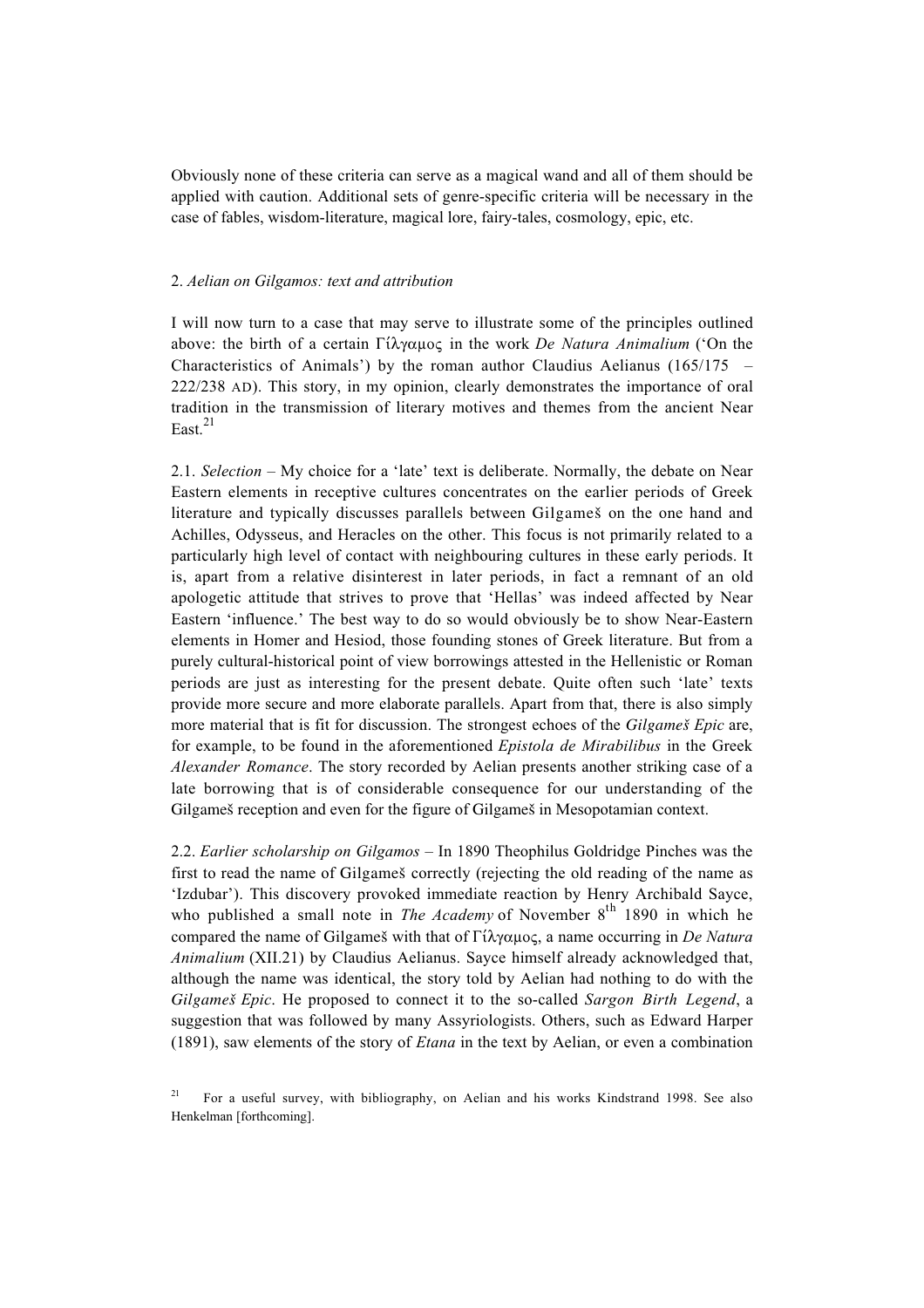Obviously none of these criteria can serve as a magical wand and all of them should be applied with caution. Additional sets of genre-specific criteria will be necessary in the case of fables, wisdom-literature, magical lore, fairy-tales, cosmology, epic, etc.

### 2. *Aelian on Gilgamos: text and attribution*

I will now turn to a case that may serve to illustrate some of the principles outlined above: the birth of a certain  $\Gamma(\lambda \gamma \alpha \mu \alpha \varsigma)$  in the work *De Natura Animalium* ('On the Characteristics of Animals') by the roman author Claudius Aelianus (165/175 – 222/238 AD). This story, in my opinion, clearly demonstrates the importance of oral tradition in the transmission of literary motives and themes from the ancient Near East $^{21}$ 

2.1. *Selection* – My choice for a 'late' text is deliberate. Normally, the debate on Near Eastern elements in receptive cultures concentrates on the earlier periods of Greek literature and typically discusses parallels between Gilgameß on the one hand and Achilles, Odysseus, and Heracles on the other. This focus is not primarily related to a particularly high level of contact with neighbouring cultures in these early periods. It is, apart from a relative disinterest in later periods, in fact a remnant of an old apologetic attitude that strives to prove that 'Hellas' was indeed affected by Near Eastern 'influence.' The best way to do so would obviously be to show Near-Eastern elements in Homer and Hesiod, those founding stones of Greek literature. But from a purely cultural-historical point of view borrowings attested in the Hellenistic or Roman periods are just as interesting for the present debate. Quite often such 'late' texts provide more secure and more elaborate parallels. Apart from that, there is also simply more material that is fit for discussion. The strongest echoes of the *Gilgameß Epic* are, for example, to be found in the aforementioned *Epistola de Mirabilibus* in the Greek *Alexander Romance*. The story recorded by Aelian presents another striking case of a late borrowing that is of considerable consequence for our understanding of the Gilgameß reception and even for the figure of Gilgameß in Mesopotamian context.

2.2. *Earlier scholarship on Gilgamos* – In 1890 Theophilus Goldridge Pinches was the first to read the name of Gilgameß correctly (rejecting the old reading of the name as 'Izdubar'). This discovery provoked immediate reaction by Henry Archibald Sayce, who published a small note in *The Academy* of November 8<sup>th</sup> 1890 in which he compared the name of Gilgames with that of  $\Gamma \hat{i} \lambda \gamma \alpha \mu o \varsigma$ , a name occurring in *De Natura Animalium* (XII.21) by Claudius Aelianus. Sayce himself already acknowledged that, although the name was identical, the story told by Aelian had nothing to do with the *Gilgameß Epic*. He proposed to connect it to the so-called *Sargon Birth Legend*, a suggestion that was followed by many Assyriologists. Others, such as Edward Harper (1891), saw elements of the story of *Etana* in the text by Aelian, or even a combination

<sup>&</sup>lt;sup>21</sup> For a useful survey, with bibliography, on Aelian and his works Kindstrand 1998. See also Henkelman [forthcoming].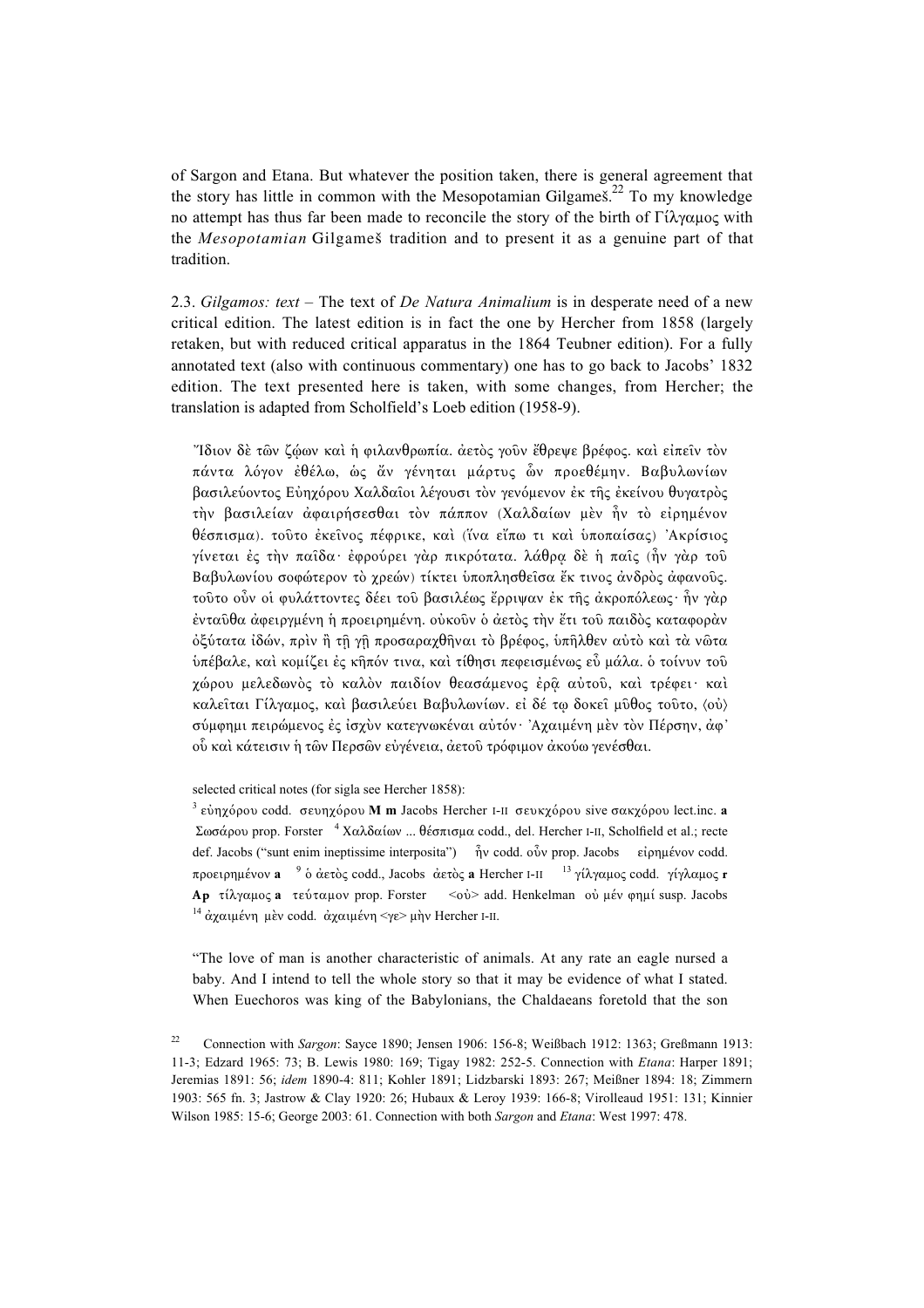of Sargon and Etana. But whatever the position taken, there is general agreement that the story has little in common with the Mesopotamian Gilgames.<sup>22</sup> To my knowledge no attempt has thus far been made to reconcile the story of the birth of  $\Gamma \hat{i} \lambda$  austency with the *Mesopotamian* Gilgameß tradition and to present it as a genuine part of that tradition.

2.3. *Gilgamos: text* – The text of *De Natura Animalium* is in desperate need of a new critical edition. The latest edition is in fact the one by Hercher from 1858 (largely retaken, but with reduced critical apparatus in the 1864 Teubner edition). For a fully annotated text (also with continuous commentary) one has to go back to Jacobs' 1832 edition. The text presented here is taken, with some changes, from Hercher; the translation is adapted from Scholfield's Loeb edition (1958-9).

"Ίδιον δε τῶν ζώων καὶ ἡ φιλανθρωπία, ἀετὸς γοῦν ἔθρεψε βρέφος, καὶ εἰπεῖν τὸν πάντα λόγον έθέλω, ως ἄν γένηται μάρτυς ὧν προεθέμην. Βαβυλωνίων βασιλεύοντος Εύηχόρου Χαλδαΐοι λέγουσι τον γενόμενον έκ της έκείνου θυγατρὸς την βασιλείαν άφαιρήσεσθαι τον πάππον (Χαλδαίων μεν ήν το είρημένον θέσπισμα). τούτο έκείνος πέφρικε, και (ΐνα εἴπω τι και υποπαίσας) Άκρίσιος  $\gamma$ ίνεται ές την παΐδα· έφρούρει γάρ πικρότατα. λάθρα δὲ η παΐς (ἦν γάρ τοῦ Bαβυλωνίου σοφώτερον τὸ χρεών) τίκτει ὑποπλησθεῖσα ἔκ τινος ἀνδρὸς ἀφανοῦς. τοῦτο οὖν οἱ φυλάττοντες δέει τοῦ βασιλέως ἔρριψαν ἐκ τῆς ἀκροπόλεως· ἦν γὰρ ενταύθα άφειργμένη ή προειρημένη. ούκούν ο άετος την έτι τού παιδος καταφοραν όξύτατα ίδών, πρὶν ἢ τῆ γῆ προσαραγθῆναι τὸ βρέφος, ὑπῆλθεν αὐτὸ καὶ τὰ νῶτα υπέβαλε, και κομίζει ές κῆπόν τινα, και τίθησι πεφεισμένως εὖ μάλα. ο τοίνυν του χώρου μελεδωνὸς τὸ καλὸν παιδίον θεασάμενος ἐρῷ αὐτοῦ, καὶ τρέφει· καὶ καλείται Γίλγαμος, και βασιλεύει Βαβυλωνίων. εί δέ τω δοκει μύθος τούτο, <oύ) σύμφημι πειρώμενος ές ίσχὺν κατεγνωκέναι αὐτόν· 'Αχαιμένη μεν τὸν Πέρσην, ἀφ' ού και κάτεισιν ή των Περσων ευγένεια, άετου τρόφιμον άκούω γενέσθαι.

selected critical notes (for sigla see Hercher 1858):

<sup>3</sup> εύηχόρου codd. σευηχόρου **M m** Jacobs Hercher I-II σευκχόρου sive σακχόρου lect.inc. **a** Σωσάρου prop. Forster  $4$  Χαλδαίων ... θέσπισμα codd., del. Hercher I-II, Scholfield et al.; recte def. Jacobs ("sunt enim ineptissime interposita") ήν codd. οὖν prop. Jacobs εἰρημένον codd. προειρημένον **a** <sup>9</sup> ο άετος codd., Jacobs άετος **a** Hercher I-II <sup>13</sup> γίλγαμος codd. γίγλαμος **r Ap** τίλγαμος **a** τεύταμον prop. Forster <0υ<sup>2</sup> add. Henkelman ου μέν φημί susp. Jacobs <sup>14</sup> άγαιμένη μεν codd. άγαιμένη  $\lt$ γε μην Hercher I-II.

"The love of man is another characteristic of animals. At any rate an eagle nursed a baby. And I intend to tell the whole story so that it may be evidence of what I stated. When Euechoros was king of the Babylonians, the Chaldaeans foretold that the son

<sup>22</sup> Connection with *Sargon*: Sayce 1890; Jensen 1906: 156-8; Weißbach 1912: 1363; Greßmann 1913: 11-3; Edzard 1965: 73; B. Lewis 1980: 169; Tigay 1982: 252-5. Connection with *Etana*: Harper 1891; Jeremias 1891: 56; *idem* 1890-4: 811; Kohler 1891; Lidzbarski 1893: 267; Meißner 1894: 18; Zimmern 1903: 565 fn. 3; Jastrow & Clay 1920: 26; Hubaux & Leroy 1939: 166-8; Virolleaud 1951: 131; Kinnier Wilson 1985: 15-6; George 2003: 61. Connection with both *Sargon* and *Etana*: West 1997: 478.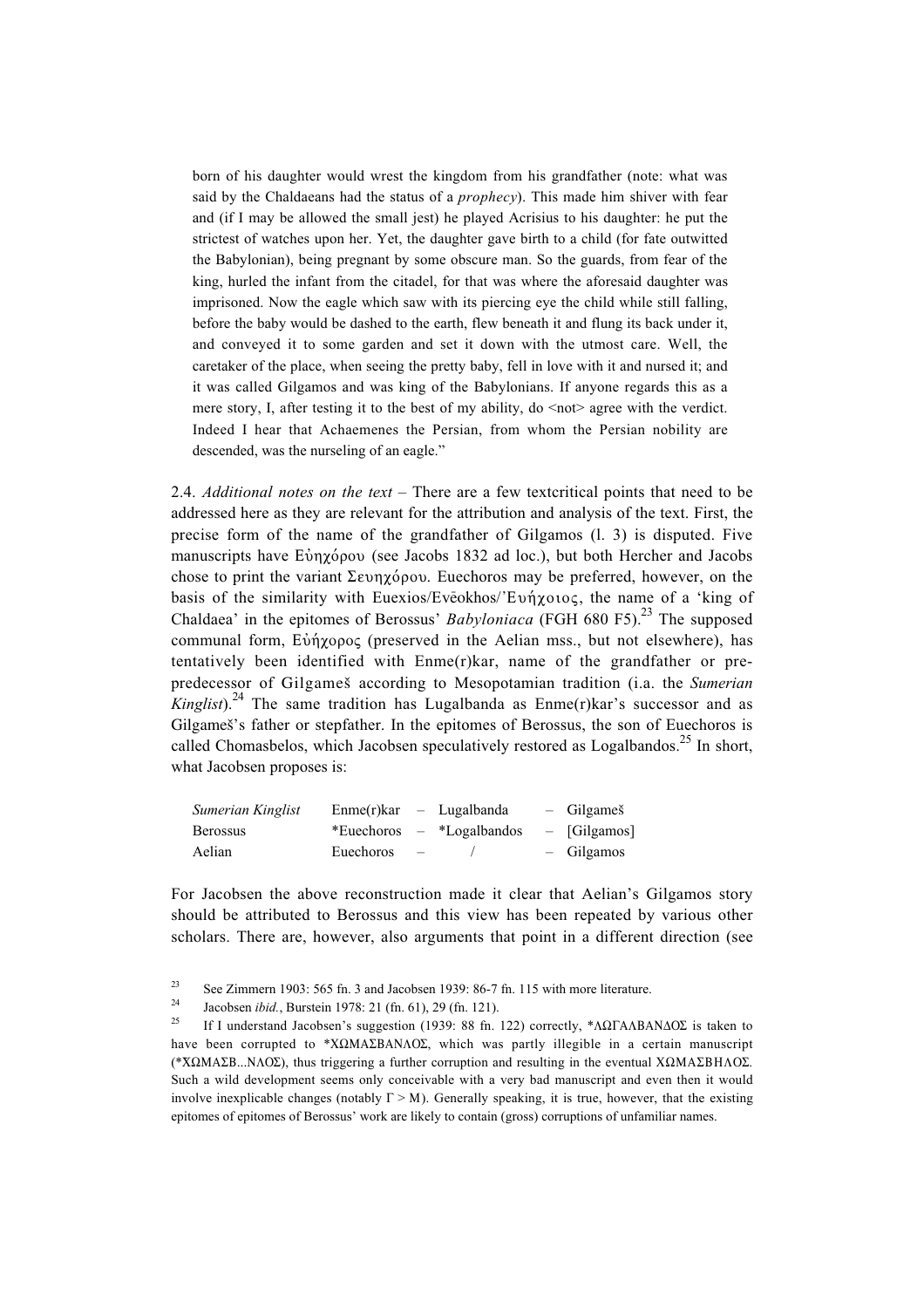born of his daughter would wrest the kingdom from his grandfather (note: what was said by the Chaldaeans had the status of a *prophecy*). This made him shiver with fear and (if I may be allowed the small jest) he played Acrisius to his daughter: he put the strictest of watches upon her. Yet, the daughter gave birth to a child (for fate outwitted the Babylonian), being pregnant by some obscure man. So the guards, from fear of the king, hurled the infant from the citadel, for that was where the aforesaid daughter was imprisoned. Now the eagle which saw with its piercing eye the child while still falling, before the baby would be dashed to the earth, flew beneath it and flung its back under it, and conveyed it to some garden and set it down with the utmost care. Well, the caretaker of the place, when seeing the pretty baby, fell in love with it and nursed it; and it was called Gilgamos and was king of the Babylonians. If anyone regards this as a mere story, I, after testing it to the best of my ability, do  $\leq$  not agree with the verdict. Indeed I hear that Achaemenes the Persian, from whom the Persian nobility are descended, was the nurseling of an eagle."

2.4. *Additional notes on the text* – There are a few textcritical points that need to be addressed here as they are relevant for the attribution and analysis of the text. First, the precise form of the name of the grandfather of Gilgamos (l. 3) is disputed. Five manuscripts have Eυηγόρου (see Jacobs 1832 ad loc.), but both Hercher and Jacobs chose to print the variant  $\Sigma \in \mathbb{R}^n$  euechoros may be preferred, however, on the basis of the similarity with Euexios/Evēokhos/'Evn  $\chi$ otog, the name of a 'king of Chaldaea' in the epitomes of Berossus' *Babyloniaca* (FGH 680 F5).<sup>23</sup> The supposed communal form, Εὐήγορος (preserved in the Aelian mss., but not elsewhere), has tentatively been identified with Enme(r)kar, name of the grandfather or prepredecessor of Gilgameß according to Mesopotamian tradition (i.a. the *Sumerian Kinglist*).<sup>24</sup> The same tradition has Lugalbanda as  $E$ nme(r)kar's successor and as Gilgameß's father or stepfather. In the epitomes of Berossus, the son of Euechoros is called Chomasbelos, which Jacobsen speculatively restored as Logalbandos.<sup>25</sup> In short, what Jacobsen proposes is:

| Sumerian Kinglist | $Emme(r)$ kar – Lugalbanda |               |                             | - Gilgameš   |
|-------------------|----------------------------|---------------|-----------------------------|--------------|
| <b>Berossus</b>   |                            |               | *Euechoros $-$ *Logalbandos | - [Gilgamos] |
| Aelian            | Euechoros                  | $\sim$ $\sim$ | $\sqrt{2}$                  | - Gilgamos   |

For Jacobsen the above reconstruction made it clear that Aelian's Gilgamos story should be attributed to Berossus and this view has been repeated by various other scholars. There are, however, also arguments that point in a different direction (see

<sup>23</sup> See Zimmern 1903: 565 fn. 3 and Jacobsen 1939: 86-7 fn. 115 with more literature.

<sup>24</sup> Jacobsen *ibid.*, Burstein 1978: 21 (fn. 61), 29 (fn. 121).<br>25 **16 J** we denote all local terms approaching (1920, 99 fn.

If I understand Jacobsen's suggestion (1939: 88 fn. 122) correctly, \* $\Lambda\Omega\Gamma\Lambda\Lambda B\Lambda N\Delta O\Sigma$  is taken to have been corrupted to \*X $\Omega$ MA $\Sigma$ BANAO $\Sigma$ , which was partly illegible in a certain manuscript (\*X $\Omega$ MA $\Sigma$ B...N $\Lambda$ O $\Sigma$ ), thus triggering a further corruption and resulting in the eventual X $\Omega$ MA $\Sigma$ BH $\Lambda$ O $\Sigma$ . Such a wild development seems only conceivable with a very bad manuscript and even then it would involve inexplicable changes (notably  $\Gamma > M$ ). Generally speaking, it is true, however, that the existing epitomes of epitomes of Berossus' work are likely to contain (gross) corruptions of unfamiliar names.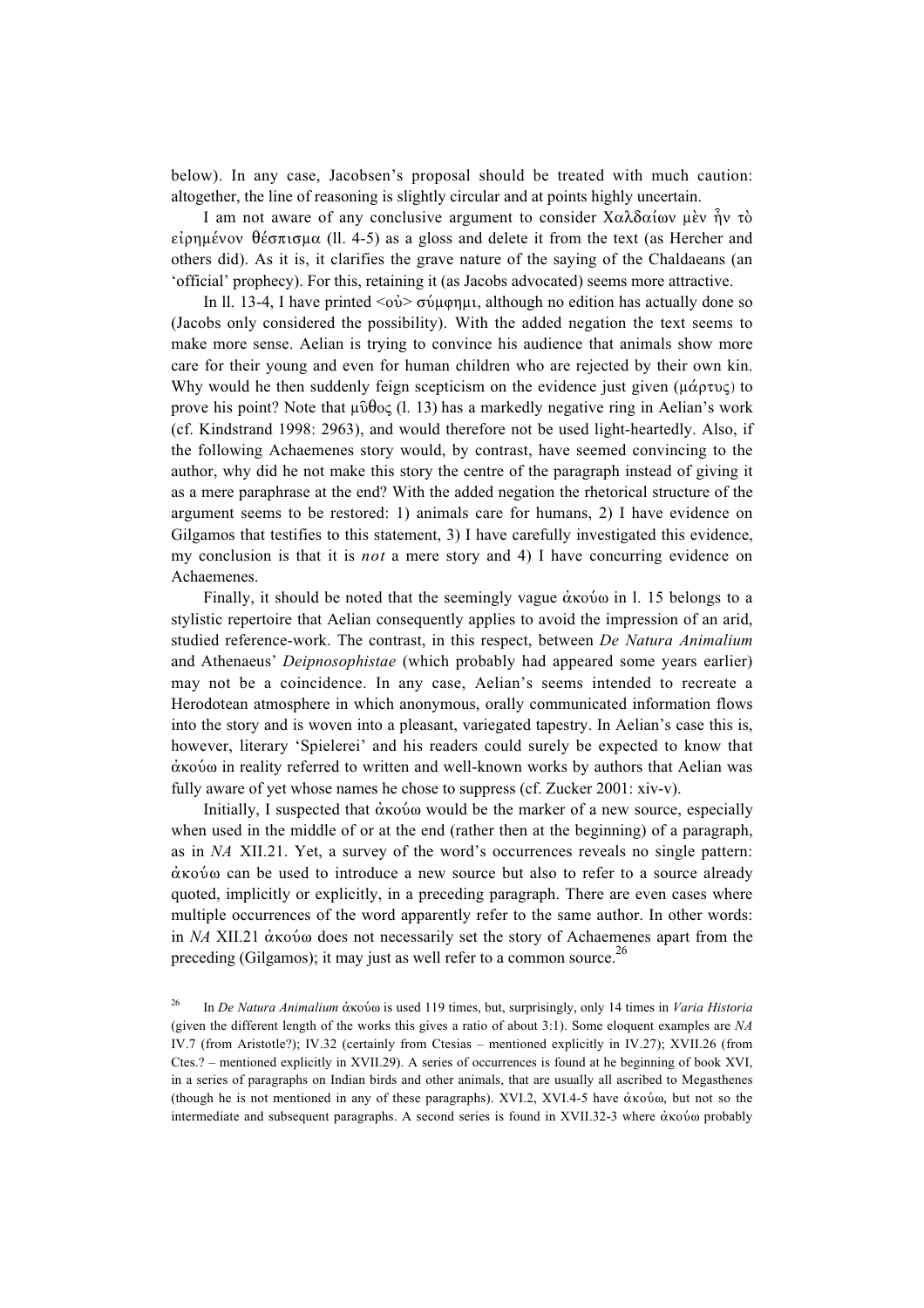below). In any case, Jacobsen's proposal should be treated with much caution: altogether, the line of reasoning is slightly circular and at points highly uncertain.

I am not aware of any conclusive argument to consider  $X\alpha\lambda\delta\alpha\alpha\omega$  using  $\gamma\gamma$  $\epsilon$ ίρημένον θέσπισμα (11. 4-5) as a gloss and delete it from the text (as Hercher and others did). As it is, it clarifies the grave nature of the saying of the Chaldaeans (an 'official' prophecy). For this, retaining it (as Jacobs advocated) seems more attractive.

In ll. 13-4, I have printed <oÈ> sÊmfhmi, although no edition has actually done so (Jacobs only considered the possibility). With the added negation the text seems to make more sense. Aelian is trying to convince his audience that animals show more care for their young and even for human children who are rejected by their own kin. Why would he then suddenly feign scepticism on the evidence just given  $(\mu \dot{\alpha} \rho \tau \nu \zeta)$  to prove his point? Note that  $\mu \hat{\theta} \theta$ oc (l. 13) has a markedly negative ring in Aelian's work (cf. Kindstrand 1998: 2963), and would therefore not be used light-heartedly. Also, if the following Achaemenes story would, by contrast, have seemed convincing to the author, why did he not make this story the centre of the paragraph instead of giving it as a mere paraphrase at the end? With the added negation the rhetorical structure of the argument seems to be restored: 1) animals care for humans, 2) I have evidence on Gilgamos that testifies to this statement, 3) I have carefully investigated this evidence, my conclusion is that it is *not* a mere story and 4) I have concurring evidence on Achaemenes.

Finally, it should be noted that the seemingly vague  $\dot{\alpha}$  xov $\dot{\alpha}$  in l. 15 belongs to a stylistic repertoire that Aelian consequently applies to avoid the impression of an arid, studied reference-work. The contrast, in this respect, between *De Natura Animalium* and Athenaeus' *Deipnosophistae* (which probably had appeared some years earlier) may not be a coincidence. In any case, Aelian's seems intended to recreate a Herodotean atmosphere in which anonymous, orally communicated information flows into the story and is woven into a pleasant, variegated tapestry. In Aelian's case this is, however, literary 'Spielerei' and his readers could surely be expected to know that  $\dot{\alpha}$ ко $\dot{\alpha}$  in reality referred to written and well-known works by authors that Aelian was fully aware of yet whose names he chose to suppress (cf. Zucker 2001: xiv-v).

Initially, I suspected that  $\dot{\alpha}$  ko $\dot{\alpha}$  would be the marker of a new source, especially when used in the middle of or at the end (rather then at the beginning) of a paragraph, as in *NA* XII.21. Yet, a survey of the word's occurrences reveals no single pattern:  $\dot{\alpha}$  ko $\dot{\alpha}$  can be used to introduce a new source but also to refer to a source already quoted, implicitly or explicitly, in a preceding paragraph. There are even cases where multiple occurrences of the word apparently refer to the same author. In other words: in *NA* XII.21  $\dot{\alpha}$  ko does not necessarily set the story of Achaemenes apart from the preceding (Gilgamos); it may just as well refer to a common source.<sup>26</sup>

<sup>26</sup> In *De Natura Animalium* ἀκούω is used 119 times, but, surprisingly, only 14 times in *Varia Historia* (given the different length of the works this gives a ratio of about 3:1). Some eloquent examples are *NA* IV.7 (from Aristotle?); IV.32 (certainly from Ctesias – mentioned explicitly in IV.27); XVII.26 (from Ctes.? – mentioned explicitly in XVII.29). A series of occurrences is found at he beginning of book XVI, in a series of paragraphs on Indian birds and other animals, that are usually all ascribed to Megasthenes (though he is not mentioned in any of these paragraphs). XVI.2, XVI.4-5 have  $\dot{\alpha}$  ko $\dot{\alpha}$ , but not so the intermediate and subsequent paragraphs. A second series is found in XVII.32-3 where  $\dot{\alpha}$ <sub>Ko</sub> o probably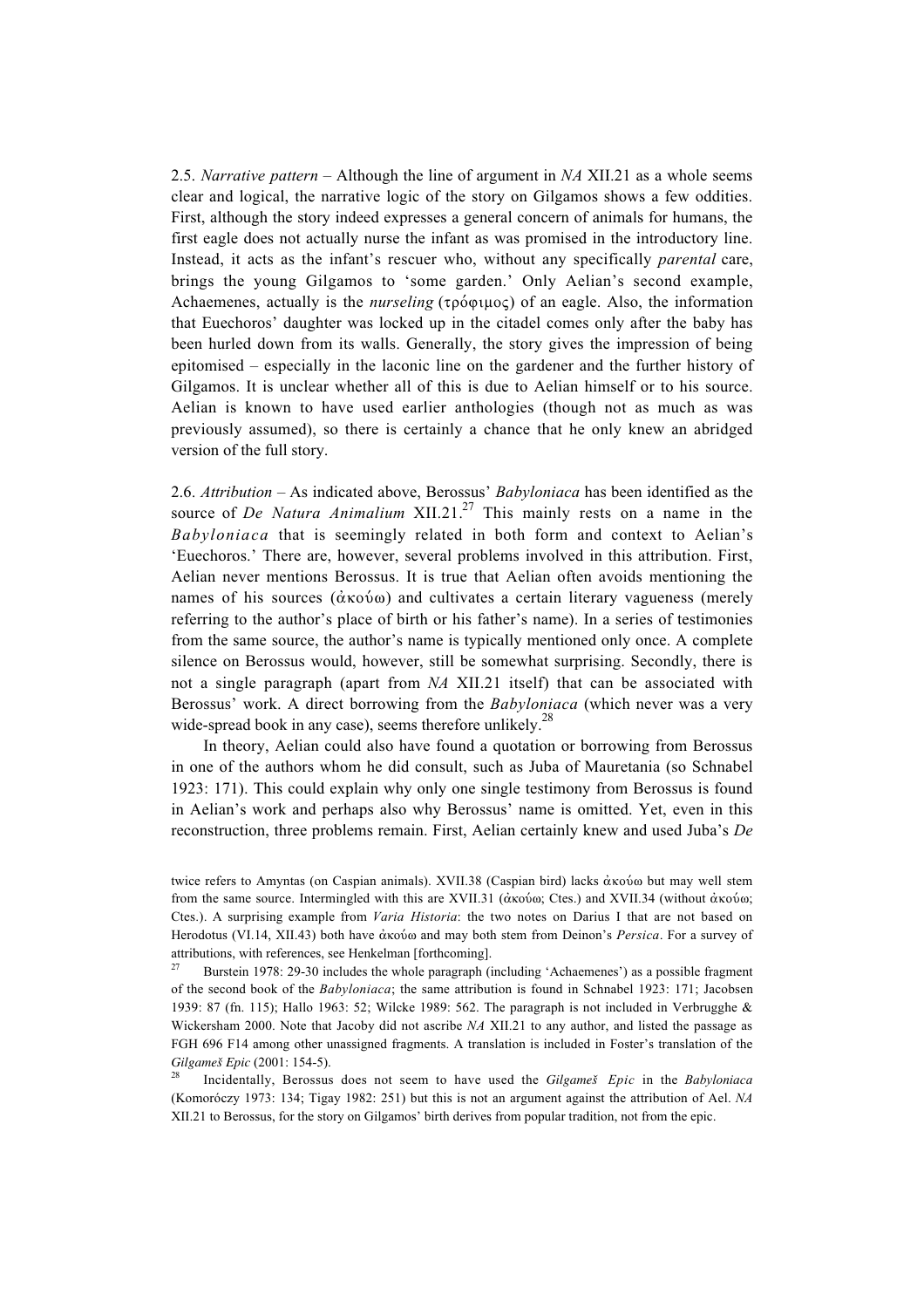2.5. *Narrative pattern* – Although the line of argument in *NA* XII.21 as a whole seems clear and logical, the narrative logic of the story on Gilgamos shows a few oddities. First, although the story indeed expresses a general concern of animals for humans, the first eagle does not actually nurse the infant as was promised in the introductory line. Instead, it acts as the infant's rescuer who, without any specifically *parental* care, brings the young Gilgamos to 'some garden.' Only Aelian's second example, Achaemenes, actually is the *nurseling* ( $\tau \rho \acute{o} \varphi \iota \mu \circ \varsigma$ ) of an eagle. Also, the information that Euechoros' daughter was locked up in the citadel comes only after the baby has been hurled down from its walls. Generally, the story gives the impression of being epitomised – especially in the laconic line on the gardener and the further history of Gilgamos. It is unclear whether all of this is due to Aelian himself or to his source. Aelian is known to have used earlier anthologies (though not as much as was previously assumed), so there is certainly a chance that he only knew an abridged version of the full story.

2.6. *Attribution* – As indicated above, Berossus' *Babyloniaca* has been identified as the source of *De Natura Animalium* XII.21.<sup>27</sup> This mainly rests on a name in the *Babyloniaca* that is seemingly related in both form and context to Aelian's 'Euechoros.' There are, however, several problems involved in this attribution. First, Aelian never mentions Berossus. It is true that Aelian often avoids mentioning the names of his sources  $(\dot{\alpha} \times \dot{\alpha})$  and cultivates a certain literary vagueness (merely referring to the author's place of birth or his father's name). In a series of testimonies from the same source, the author's name is typically mentioned only once. A complete silence on Berossus would, however, still be somewhat surprising. Secondly, there is not a single paragraph (apart from *NA* XII.21 itself) that can be associated with Berossus' work. A direct borrowing from the *Babyloniaca* (which never was a very wide-spread book in any case), seems therefore unlikely. $^{28}$ 

In theory, Aelian could also have found a quotation or borrowing from Berossus in one of the authors whom he did consult, such as Juba of Mauretania (so Schnabel 1923: 171). This could explain why only one single testimony from Berossus is found in Aelian's work and perhaps also why Berossus' name is omitted. Yet, even in this reconstruction, three problems remain. First, Aelian certainly knew and used Juba's *De*

twice refers to Amyntas (on Caspian animals). XVII.38 (Caspian bird) lacks  $\dot{\alpha}$  ko but may well stem from the same source. Intermingled with this are XVII.31 ( $\dot{\alpha}$ ко $\dot{\omega}$ , Ctes.) and XVII.34 (without  $\dot{\alpha}$ ко $\dot{\omega}$ ); Ctes.). A surprising example from *Varia Historia*: the two notes on Darius I that are not based on Herodotus (VI.14, XII.43) both have άκούω and may both stem from Deinon's *Persica*. For a survey of attributions, with references, see Henkelman [forthcoming].

Burstein 1978: 29-30 includes the whole paragraph (including 'Achaemenes') as a possible fragment of the second book of the *Babyloniaca*; the same attribution is found in Schnabel 1923: 171; Jacobsen 1939: 87 (fn. 115); Hallo 1963: 52; Wilcke 1989: 562. The paragraph is not included in Verbrugghe & Wickersham 2000. Note that Jacoby did not ascribe *NA* XII.21 to any author, and listed the passage as FGH 696 F14 among other unassigned fragments. A translation is included in Foster's translation of the *Gilgameß Epic* (2001: 154-5).

<sup>28</sup> Incidentally, Berossus does not seem to have used the *Gilgameß Epic* in the *Babyloniaca* (Komoróczy 1973: 134; Tigay 1982: 251) but this is not an argument against the attribution of Ael. *NA* XII.21 to Berossus, for the story on Gilgamos' birth derives from popular tradition, not from the epic.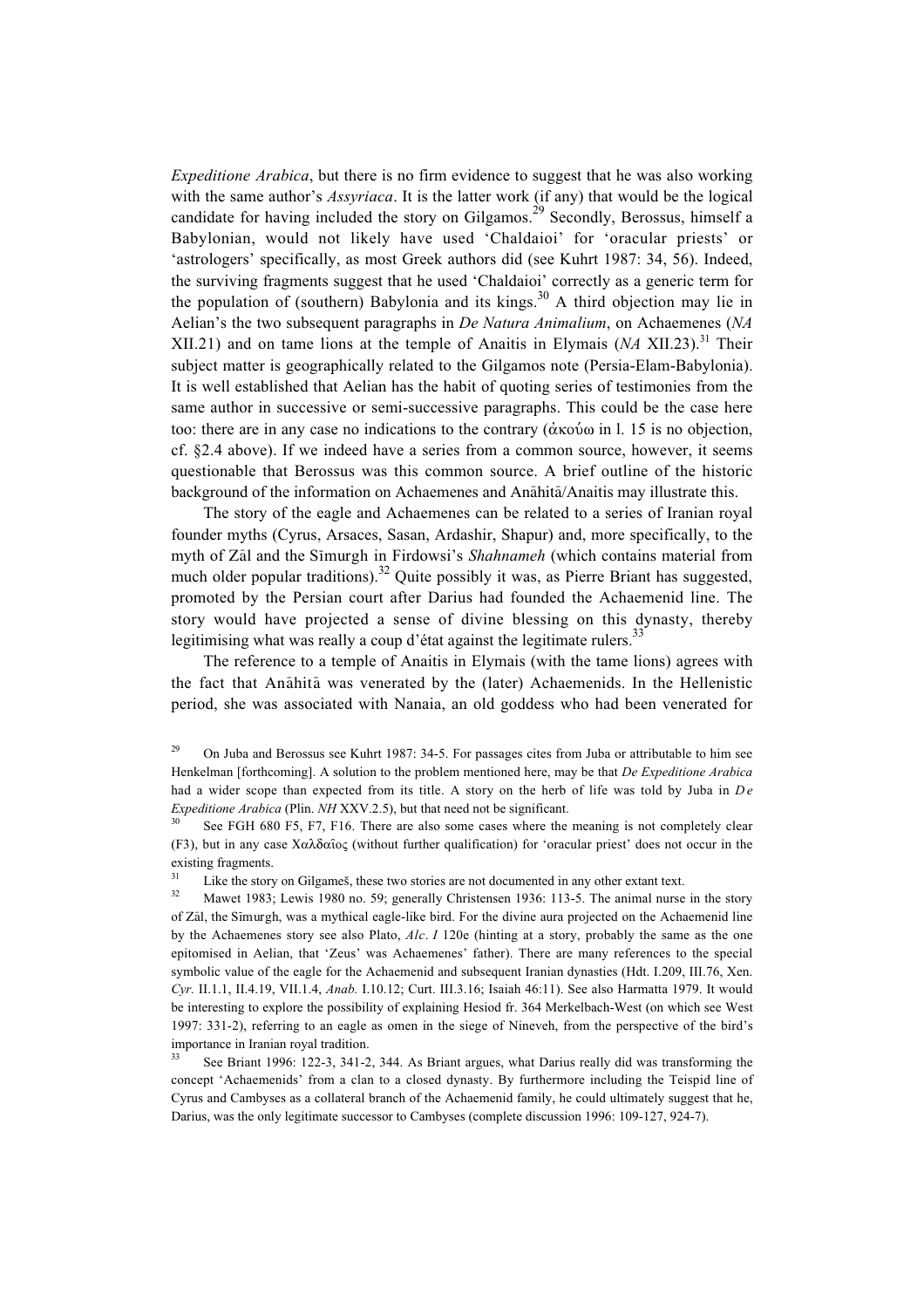*Expeditione Arabica*, but there is no firm evidence to suggest that he was also working with the same author's *Assyriaca*. It is the latter work (if any) that would be the logical candidate for having included the story on Gilgamos.<sup>29</sup> Secondly, Berossus, himself a Babylonian, would not likely have used 'Chaldaioi' for 'oracular priests' or 'astrologers' specifically, as most Greek authors did (see Kuhrt 1987: 34, 56). Indeed, the surviving fragments suggest that he used 'Chaldaioi' correctly as a generic term for the population of (southern) Babylonia and its kings. $30$  A third objection may lie in Aelian's the two subsequent paragraphs in *De Natura Animalium*, on Achaemenes (*NA* XII.21) and on tame lions at the temple of Anaitis in Elymais (*NA* XII.23).<sup>31</sup> Their subject matter is geographically related to the Gilgamos note (Persia-Elam-Babylonia). It is well established that Aelian has the habit of quoting series of testimonies from the same author in successive or semi-successive paragraphs. This could be the case here too: there are in any case no indications to the contrary  $(\alpha \kappa \omega)$  in l. 15 is no objection, cf. §2.4 above). If we indeed have a series from a common source, however, it seems questionable that Berossus was this common source. A brief outline of the historic background of the information on Achaemenes and Anāhitā/Anaitis may illustrate this.

The story of the eagle and Achaemenes can be related to a series of Iranian royal founder myths (Cyrus, Arsaces, Sasan, Ardashir, Shapur) and, more specifically, to the myth of Zal and the Simurgh in Firdowsi's *Shahnameh* (which contains material from much older popular traditions).<sup>32</sup> Quite possibly it was, as Pierre Briant has suggested, promoted by the Persian court after Darius had founded the Achaemenid line. The story would have projected a sense of divine blessing on this dynasty, thereby legitimising what was really a coup d'état against the legitimate rulers.<sup>33</sup>

The reference to a temple of Anaitis in Elymais (with the tame lions) agrees with the fact that Anāhitā was venerated by the (later) Achaemenids. In the Hellenistic period, she was associated with Nanaia, an old goddess who had been venerated for

<sup>&</sup>lt;sup>29</sup> On Juba and Berossus see Kuhrt 1987: 34-5. For passages cites from Juba or attributable to him see Henkelman [forthcoming]. A solution to the problem mentioned here, may be that *De Expeditione Arabica* had a wider scope than expected from its title. A story on the herb of life was told by Juba in  $De$ *Expeditione Arabica* (Plin. *NH* XXV.2.5), but that need not be significant.

See FGH 680 F5, F7, F16. There are also some cases where the meaning is not completely clear (F3), but in any case  $X\alpha\lambda\delta\alpha\hat{i}\alpha\varsigma$  (without further qualification) for 'oracular priest' does not occur in the existing fragments.<br> $\frac{31}{1}$ . Like the stam

<sup>&</sup>lt;sup>31</sup> Like the story on Gilgameš, these two stories are not documented in any other extant text.<br><sup>32</sup> March 1982: Largin 1989 as 50: convertly Christmaan 1936: 113.5. The extend waves

Mawet 1983; Lewis 1980 no. 59; generally Christensen 1936: 113-5. The animal nurse in the story of Zal, the Simurgh, was a mythical eagle-like bird. For the divine aura projected on the Achaemenid line by the Achaemenes story see also Plato, *Alc*. *I* 120e (hinting at a story, probably the same as the one epitomised in Aelian, that 'Zeus' was Achaemenes' father). There are many references to the special symbolic value of the eagle for the Achaemenid and subsequent Iranian dynasties (Hdt. I.209, III.76, Xen. *Cyr.* II.1.1, II.4.19, VII.1.4, *Anab.* I.10.12; Curt. III.3.16; Isaiah 46:11). See also Harmatta 1979. It would be interesting to explore the possibility of explaining Hesiod fr. 364 Merkelbach-West (on which see West 1997: 331-2), referring to an eagle as omen in the siege of Nineveh, from the perspective of the bird's importance in Iranian royal tradition.

See Briant 1996: 122-3, 341-2, 344. As Briant argues, what Darius really did was transforming the concept 'Achaemenids' from a clan to a closed dynasty. By furthermore including the Teispid line of Cyrus and Cambyses as a collateral branch of the Achaemenid family, he could ultimately suggest that he, Darius, was the only legitimate successor to Cambyses (complete discussion 1996: 109-127, 924-7).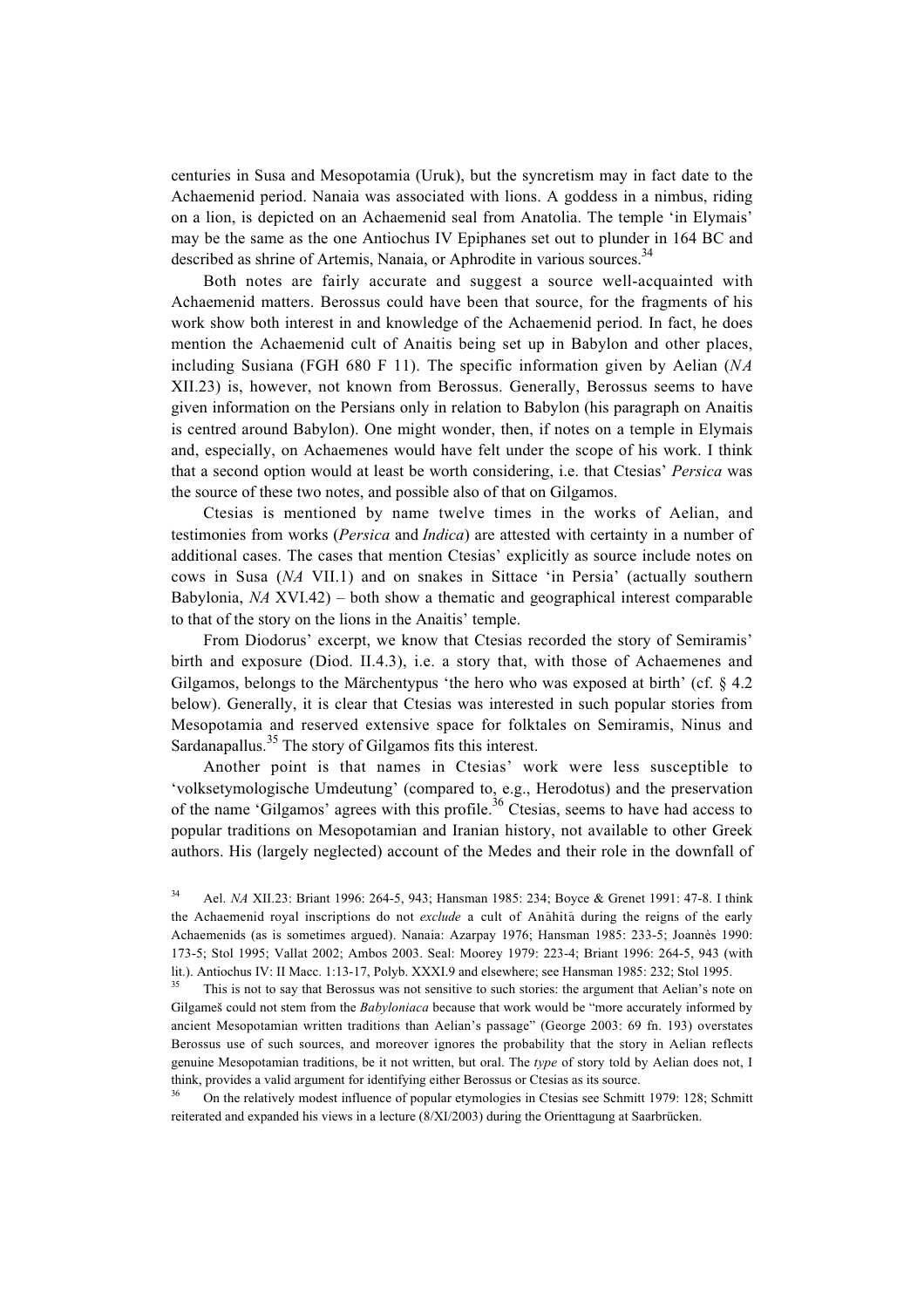centuries in Susa and Mesopotamia (Uruk), but the syncretism may in fact date to the Achaemenid period. Nanaia was associated with lions. A goddess in a nimbus, riding on a lion, is depicted on an Achaemenid seal from Anatolia. The temple 'in Elymais' may be the same as the one Antiochus IV Epiphanes set out to plunder in 164 BC and described as shrine of Artemis, Nanaia, or Aphrodite in various sources.<sup>34</sup>

Both notes are fairly accurate and suggest a source well-acquainted with Achaemenid matters. Berossus could have been that source, for the fragments of his work show both interest in and knowledge of the Achaemenid period. In fact, he does mention the Achaemenid cult of Anaitis being set up in Babylon and other places, including Susiana (FGH 680 F 11). The specific information given by Aelian (*NA* XII.23) is, however, not known from Berossus. Generally, Berossus seems to have given information on the Persians only in relation to Babylon (his paragraph on Anaitis is centred around Babylon). One might wonder, then, if notes on a temple in Elymais and, especially, on Achaemenes would have felt under the scope of his work. I think that a second option would at least be worth considering, i.e. that Ctesias' *Persica* was the source of these two notes, and possible also of that on Gilgamos.

Ctesias is mentioned by name twelve times in the works of Aelian, and testimonies from works (*Persica* and *Indica*) are attested with certainty in a number of additional cases. The cases that mention Ctesias' explicitly as source include notes on cows in Susa (*NA* VII.1) and on snakes in Sittace 'in Persia' (actually southern Babylonia, *NA* XVI.42) – both show a thematic and geographical interest comparable to that of the story on the lions in the Anaitis' temple.

From Diodorus' excerpt, we know that Ctesias recorded the story of Semiramis' birth and exposure (Diod. II.4.3), i.e. a story that, with those of Achaemenes and Gilgamos, belongs to the Märchentypus 'the hero who was exposed at birth' (cf. § 4.2 below). Generally, it is clear that Ctesias was interested in such popular stories from Mesopotamia and reserved extensive space for folktales on Semiramis, Ninus and Sardanapallus.<sup>35</sup> The story of Gilgamos fits this interest.

Another point is that names in Ctesias' work were less susceptible to 'volksetymologische Umdeutung' (compared to, e.g., Herodotus) and the preservation of the name 'Gilgamos' agrees with this profile.<sup>36</sup> Ctesias, seems to have had access to popular traditions on Mesopotamian and Iranian history, not available to other Greek authors. His (largely neglected) account of the Medes and their role in the downfall of

<sup>36</sup> On the relatively modest influence of popular etymologies in Ctesias see Schmitt 1979: 128; Schmitt reiterated and expanded his views in a lecture (8/XI/2003) during the Orienttagung at Saarbrücken.

<sup>34</sup> Ael. *NA* XII.23: Briant 1996: 264-5, 943; Hansman 1985: 234; Boyce & Grenet 1991: 47-8. I think the Achaemenid royal inscriptions do not *exclude* a cult of Anahita during the reigns of the early Achaemenids (as is sometimes argued). Nanaia: Azarpay 1976; Hansman 1985: 233-5; Joannès 1990: 173-5; Stol 1995; Vallat 2002; Ambos 2003. Seal: Moorey 1979: 223-4; Briant 1996: 264-5, 943 (with lit.). Antiochus IV: II Macc. 1:13-17, Polyb. XXXI.9 and elsewhere; see Hansman 1985: 232; Stol 1995.

This is not to say that Berossus was not sensitive to such stories: the argument that Aelian's note on Gilgameß could not stem from the *Babyloniaca* because that work would be "more accurately informed by ancient Mesopotamian written traditions than Aelian's passage" (George 2003: 69 fn. 193) overstates Berossus use of such sources, and moreover ignores the probability that the story in Aelian reflects genuine Mesopotamian traditions, be it not written, but oral. The *type* of story told by Aelian does not, I think, provides a valid argument for identifying either Berossus or Ctesias as its source.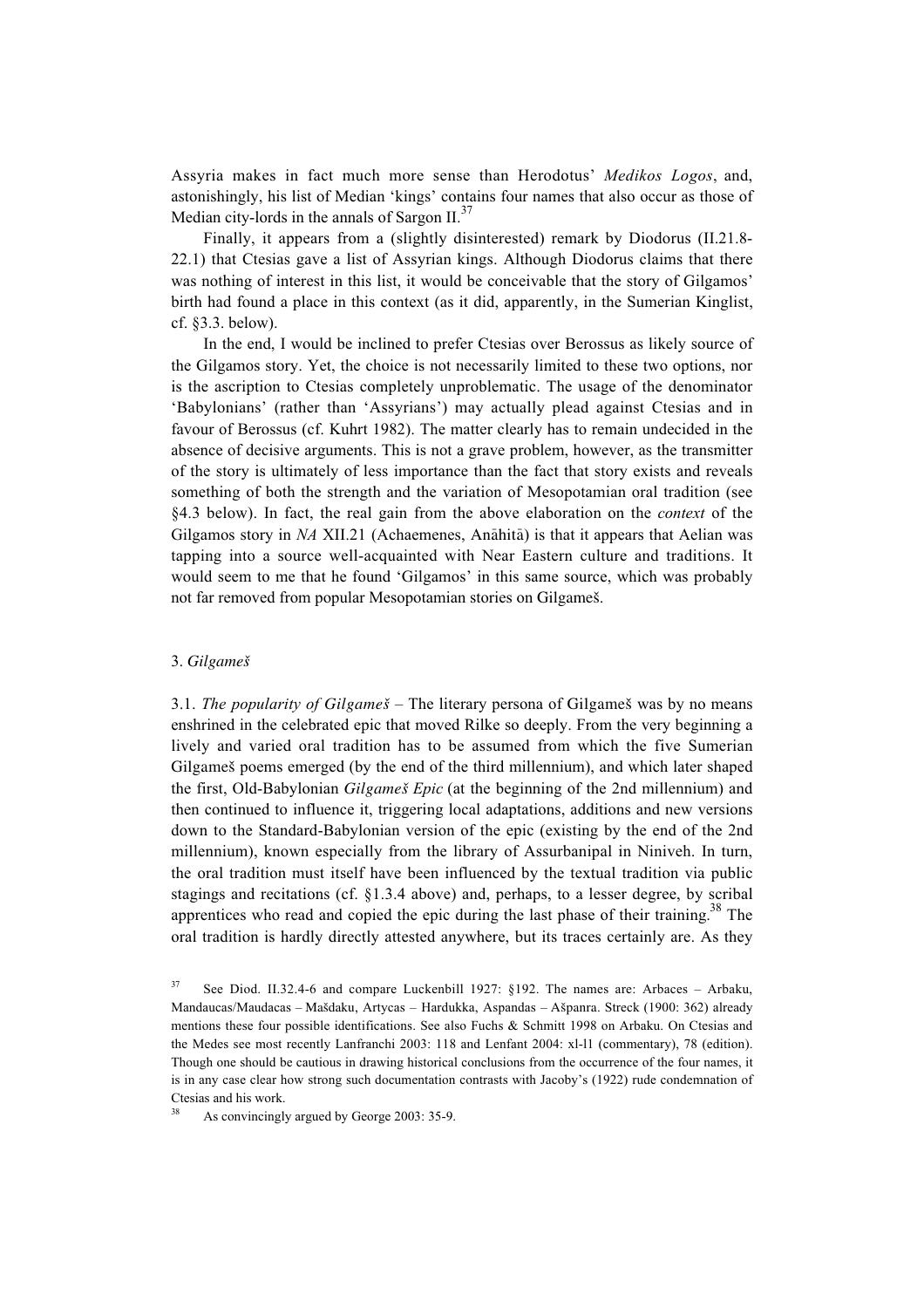Assyria makes in fact much more sense than Herodotus' *Medikos Logos*, and, astonishingly, his list of Median 'kings' contains four names that also occur as those of Median city-lords in the annals of Sargon  $II.^{37}$ .

Finally, it appears from a (slightly disinterested) remark by Diodorus (II.21.8- 22.1) that Ctesias gave a list of Assyrian kings. Although Diodorus claims that there was nothing of interest in this list, it would be conceivable that the story of Gilgamos' birth had found a place in this context (as it did, apparently, in the Sumerian Kinglist, cf. §3.3. below).

In the end, I would be inclined to prefer Ctesias over Berossus as likely source of the Gilgamos story. Yet, the choice is not necessarily limited to these two options, nor is the ascription to Ctesias completely unproblematic. The usage of the denominator 'Babylonians' (rather than 'Assyrians') may actually plead against Ctesias and in favour of Berossus (cf. Kuhrt 1982). The matter clearly has to remain undecided in the absence of decisive arguments. This is not a grave problem, however, as the transmitter of the story is ultimately of less importance than the fact that story exists and reveals something of both the strength and the variation of Mesopotamian oral tradition (see §4.3 below). In fact, the real gain from the above elaboration on the *context* of the Gilgamos story in *NA* XII.21 (Achaemenes, Anāhitā) is that it appears that Aelian was tapping into a source well-acquainted with Near Eastern culture and traditions. It would seem to me that he found 'Gilgamos' in this same source, which was probably not far removed from popular Mesopotamian stories on Gilgameß.

#### 3. *Gilgameß*

3.1. *The popularity of Gilgameß* – The literary persona of Gilgameß was by no means enshrined in the celebrated epic that moved Rilke so deeply. From the very beginning a lively and varied oral tradition has to be assumed from which the five Sumerian Gilgameß poems emerged (by the end of the third millennium), and which later shaped the first, Old-Babylonian *Gilgameß Epic* (at the beginning of the 2nd millennium) and then continued to influence it, triggering local adaptations, additions and new versions down to the Standard-Babylonian version of the epic (existing by the end of the 2nd millennium), known especially from the library of Assurbanipal in Niniveh. In turn, the oral tradition must itself have been influenced by the textual tradition via public stagings and recitations (cf. §1.3.4 above) and, perhaps, to a lesser degree, by scribal apprentices who read and copied the epic during the last phase of their training.<sup>38</sup> The oral tradition is hardly directly attested anywhere, but its traces certainly are. As they

<sup>37</sup> See Diod. II.32.4-6 and compare Luckenbill 1927: §192. The names are: Arbaces – Arbaku, Mandaucas/Maudacas – Maßdaku, Artycas – Hardukka, Aspandas – Aßpanra. Streck (1900: 362) already mentions these four possible identifications. See also Fuchs & Schmitt 1998 on Arbaku. On Ctesias and the Medes see most recently Lanfranchi 2003: 118 and Lenfant 2004: xl-l1 (commentary), 78 (edition). Though one should be cautious in drawing historical conclusions from the occurrence of the four names, it is in any case clear how strong such documentation contrasts with Jacoby's (1922) rude condemnation of Ctesias and his work.

As convincingly argued by George 2003: 35-9.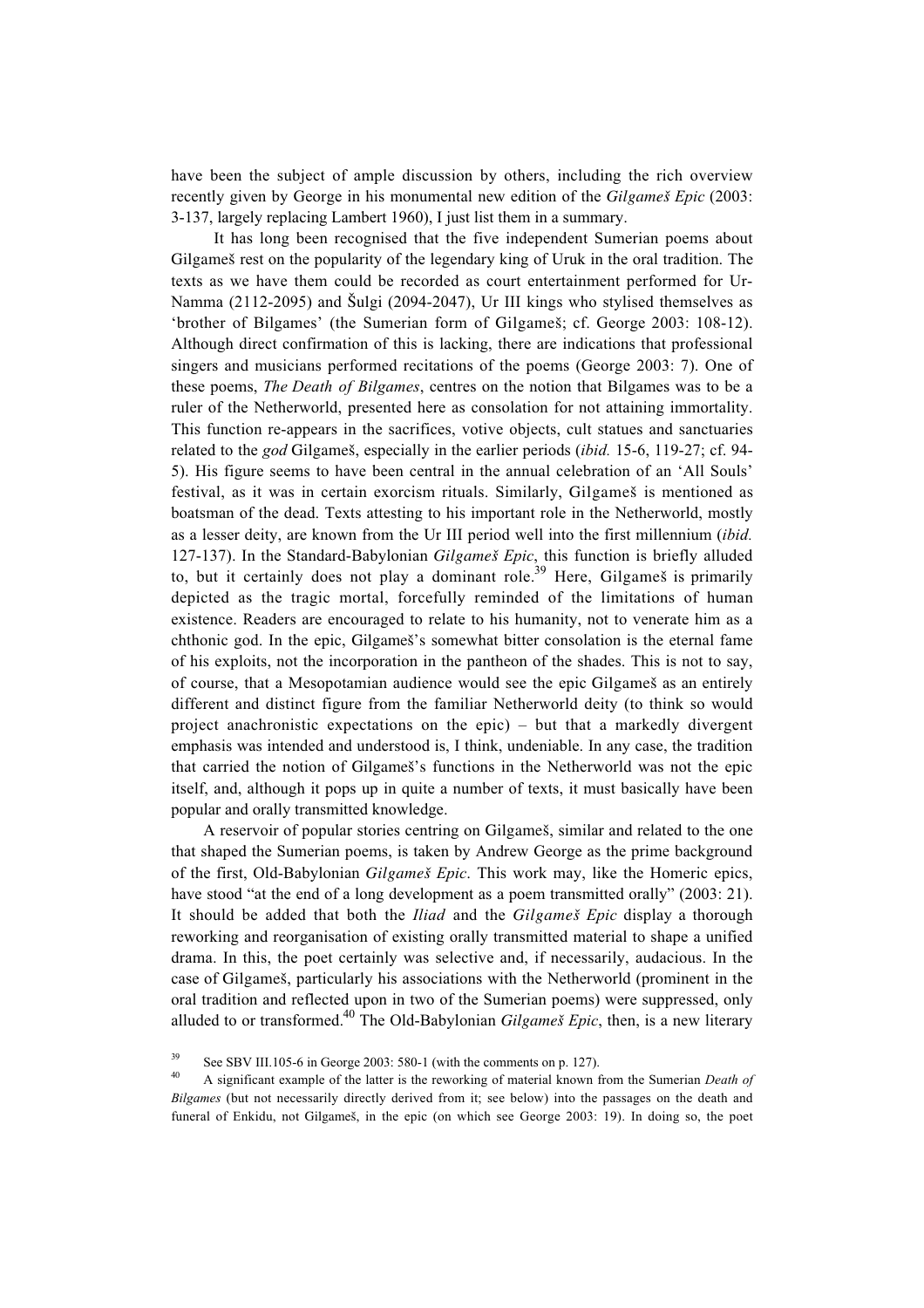have been the subject of ample discussion by others, including the rich overview recently given by George in his monumental new edition of the *Gilgameß Epic* (2003: 3-137, largely replacing Lambert 1960), I just list them in a summary.

It has long been recognised that the five independent Sumerian poems about Gilgameß rest on the popularity of the legendary king of Uruk in the oral tradition. The texts as we have them could be recorded as court entertainment performed for Ur-Namma (2112-2095) and Šulgi (2094-2047), Ur III kings who stylised themselves as 'brother of Bilgames' (the Sumerian form of Gilgameß; cf. George 2003: 108-12). Although direct confirmation of this is lacking, there are indications that professional singers and musicians performed recitations of the poems (George 2003: 7). One of these poems, *The Death of Bilgames*, centres on the notion that Bilgames was to be a ruler of the Netherworld, presented here as consolation for not attaining immortality. This function re-appears in the sacrifices, votive objects, cult statues and sanctuaries related to the *god* Gilgameß, especially in the earlier periods (*ibid.* 15-6, 119-27; cf. 94- 5). His figure seems to have been central in the annual celebration of an 'All Souls' festival, as it was in certain exorcism rituals. Similarly, Gilgameß is mentioned as boatsman of the dead. Texts attesting to his important role in the Netherworld, mostly as a lesser deity, are known from the Ur III period well into the first millennium (*ibid.* 127-137). In the Standard-Babylonian *Gilgameß Epic*, this function is briefly alluded to, but it certainly does not play a dominant role.<sup>39</sup> Here, Gilgameš is primarily depicted as the tragic mortal, forcefully reminded of the limitations of human existence. Readers are encouraged to relate to his humanity, not to venerate him as a chthonic god. In the epic, Gilgameß's somewhat bitter consolation is the eternal fame of his exploits, not the incorporation in the pantheon of the shades. This is not to say, of course, that a Mesopotamian audience would see the epic Gilgameß as an entirely different and distinct figure from the familiar Netherworld deity (to think so would project anachronistic expectations on the epic) – but that a markedly divergent emphasis was intended and understood is, I think, undeniable. In any case, the tradition that carried the notion of Gilgameß's functions in the Netherworld was not the epic itself, and, although it pops up in quite a number of texts, it must basically have been popular and orally transmitted knowledge.

A reservoir of popular stories centring on Gilgameß, similar and related to the one that shaped the Sumerian poems, is taken by Andrew George as the prime background of the first, Old-Babylonian *Gilgameß Epic*. This work may, like the Homeric epics, have stood "at the end of a long development as a poem transmitted orally" (2003: 21). It should be added that both the *Iliad* and the *Gilgameß Epic* display a thorough reworking and reorganisation of existing orally transmitted material to shape a unified drama. In this, the poet certainly was selective and, if necessarily, audacious. In the case of Gilgameß, particularly his associations with the Netherworld (prominent in the oral tradition and reflected upon in two of the Sumerian poems) were suppressed, only alluded to or transformed.40 The Old-Babylonian *Gilgameß Epic*, then, is a new literary

<sup>&</sup>lt;sup>39</sup> See SBV III.105-6 in George 2003: 580-1 (with the comments on p. 127).

<sup>40</sup> A significant example of the latter is the reworking of material known from the Sumerian *Death of Bilgames* (but not necessarily directly derived from it; see below) into the passages on the death and funeral of Enkidu, not Gilgameß, in the epic (on which see George 2003: 19). In doing so, the poet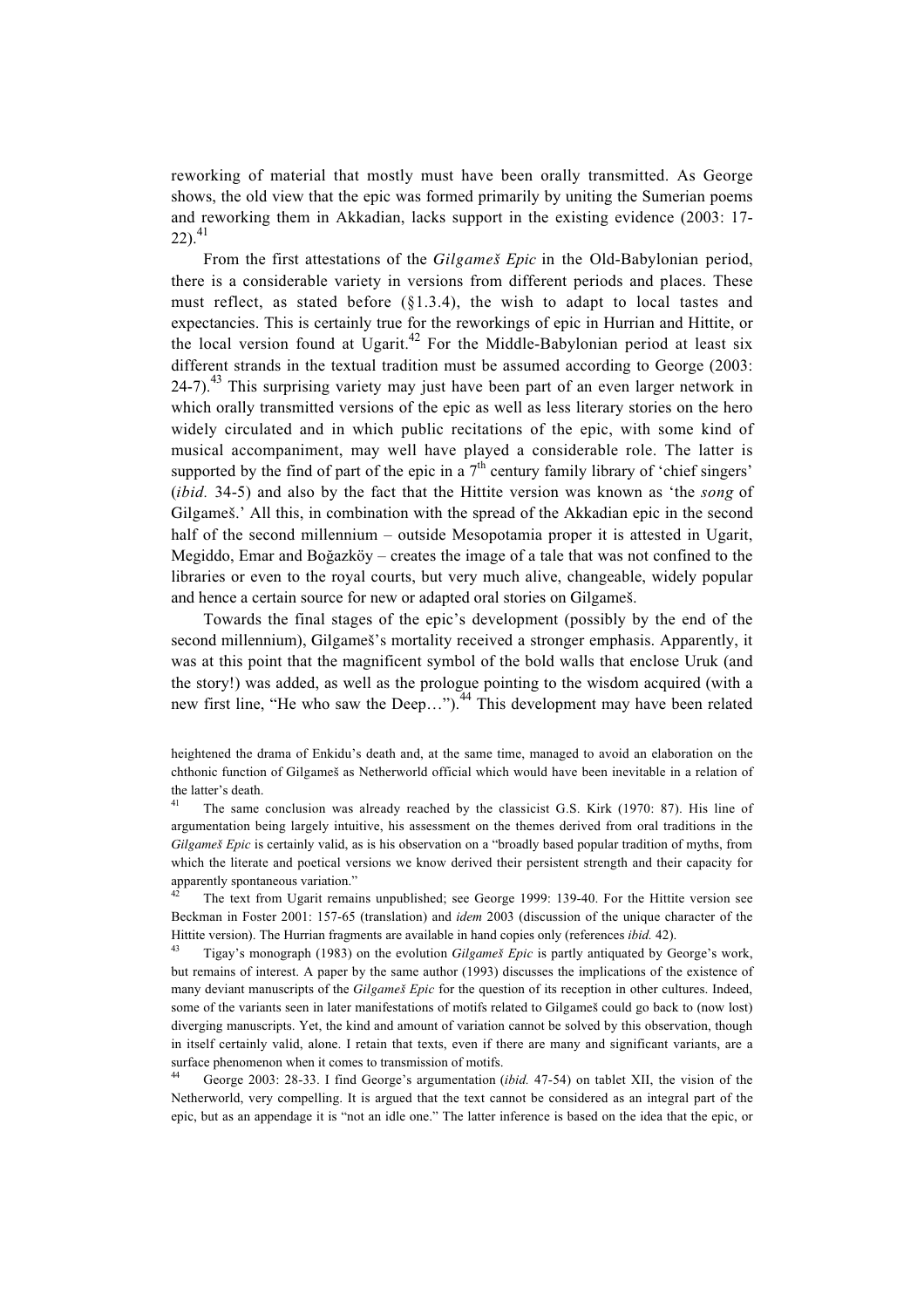reworking of material that mostly must have been orally transmitted. As George shows, the old view that the epic was formed primarily by uniting the Sumerian poems and reworking them in Akkadian, lacks support in the existing evidence (2003: 17-  $22)$ .<sup>41</sup>

From the first attestations of the *Gilgameß Epic* in the Old-Babylonian period, there is a considerable variety in versions from different periods and places. These must reflect, as stated before (§1.3.4), the wish to adapt to local tastes and expectancies. This is certainly true for the reworkings of epic in Hurrian and Hittite, or the local version found at Ugarit.<sup>42</sup> For the Middle-Babylonian period at least six different strands in the textual tradition must be assumed according to George (2003:  $24-7$ ).<sup>43</sup> This surprising variety may just have been part of an even larger network in which orally transmitted versions of the epic as well as less literary stories on the hero widely circulated and in which public recitations of the epic, with some kind of musical accompaniment, may well have played a considerable role. The latter is supported by the find of part of the epic in a  $7<sup>th</sup>$  century family library of 'chief singers' (*ibid.* 34-5) and also by the fact that the Hittite version was known as 'the *song* of Gilgameß.' All this, in combination with the spread of the Akkadian epic in the second half of the second millennium – outside Mesopotamia proper it is attested in Ugarit, Megiddo, Emar and Boğazköy – creates the image of a tale that was not confined to the libraries or even to the royal courts, but very much alive, changeable, widely popular and hence a certain source for new or adapted oral stories on Gilgameß.

Towards the final stages of the epic's development (possibly by the end of the second millennium), Gilgameß's mortality received a stronger emphasis. Apparently, it was at this point that the magnificent symbol of the bold walls that enclose Uruk (and the story!) was added, as well as the prologue pointing to the wisdom acquired (with a new first line, "He who saw the Deep...").<sup>44</sup> This development may have been related

<sup>41</sup> The same conclusion was already reached by the classicist G.S. Kirk (1970: 87). His line of argumentation being largely intuitive, his assessment on the themes derived from oral traditions in the *Gilgameß Epic* is certainly valid, as is his observation on a "broadly based popular tradition of myths, from which the literate and poetical versions we know derived their persistent strength and their capacity for apparently spontaneous variation."

The text from Ugarit remains unpublished; see George 1999: 139-40. For the Hittite version see Beckman in Foster 2001: 157-65 (translation) and *idem* 2003 (discussion of the unique character of the Hittite version). The Hurrian fragments are available in hand copies only (references *ibid.* 42).

<sup>43</sup> Tigay's monograph (1983) on the evolution *Gilgameß Epic* is partly antiquated by George's work, but remains of interest. A paper by the same author (1993) discusses the implications of the existence of many deviant manuscripts of the *Gilgameß Epic* for the question of its reception in other cultures. Indeed, some of the variants seen in later manifestations of motifs related to Gilgameß could go back to (now lost) diverging manuscripts. Yet, the kind and amount of variation cannot be solved by this observation, though in itself certainly valid, alone. I retain that texts, even if there are many and significant variants, are a surface phenomenon when it comes to transmission of motifs.

<sup>44</sup> George 2003: 28-33. I find George's argumentation (*ibid.* 47-54) on tablet XII, the vision of the Netherworld, very compelling. It is argued that the text cannot be considered as an integral part of the epic, but as an appendage it is "not an idle one." The latter inference is based on the idea that the epic, or

heightened the drama of Enkidu's death and, at the same time, managed to avoid an elaboration on the chthonic function of Gilgameß as Netherworld official which would have been inevitable in a relation of the latter's death.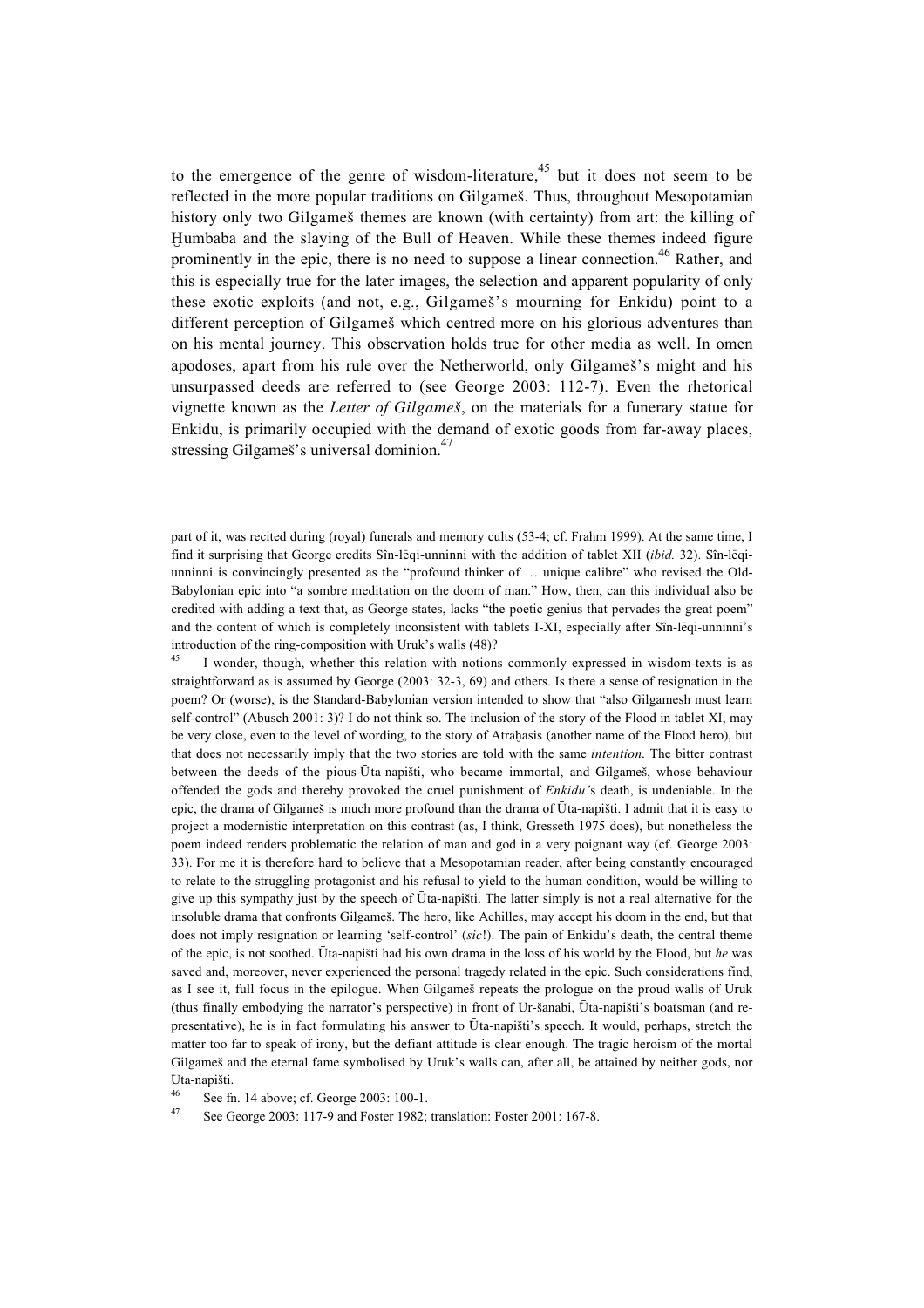to the emergence of the genre of wisdom-literature,<sup>45</sup> but it does not seem to be reflected in the more popular traditions on Gilgameß. Thus, throughout Mesopotamian history only two Gilgameß themes are known (with certainty) from art: the killing of Humbaba and the slaying of the Bull of Heaven. While these themes indeed figure prominently in the epic, there is no need to suppose a linear connection.<sup>46</sup> Rather, and this is especially true for the later images, the selection and apparent popularity of only these exotic exploits (and not, e.g., Gilgameß's mourning for Enkidu) point to a different perception of Gilgameß which centred more on his glorious adventures than on his mental journey. This observation holds true for other media as well. In omen apodoses, apart from his rule over the Netherworld, only Gilgameß's might and his unsurpassed deeds are referred to (see George 2003: 112-7). Even the rhetorical vignette known as the *Letter of Gilgameß*, on the materials for a funerary statue for Enkidu, is primarily occupied with the demand of exotic goods from far-away places, stressing Gilgameš's universal dominion.<sup>47</sup>

part of it, was recited during (royal) funerals and memory cults (53-4; cf. Frahm 1999). At the same time, I find it surprising that George credits Sîn-l£eqi-unninni with the addition of tablet XII (*ibid.* 32). Sîn-l£eqiunninni is convincingly presented as the "profound thinker of … unique calibre" who revised the Old-Babylonian epic into "a sombre meditation on the doom of man." How, then, can this individual also be credited with adding a text that, as George states, lacks "the poetic genius that pervades the great poem" and the content of which is completely inconsistent with tablets I-XI, especially after Sîn-lēqi-unninni's introduction of the ring-composition with Uruk's walls (48)?

<sup>45</sup> I wonder, though, whether this relation with notions commonly expressed in wisdom-texts is as straightforward as is assumed by George (2003: 32-3, 69) and others. Is there a sense of resignation in the poem? Or (worse), is the Standard-Babylonian version intended to show that "also Gilgamesh must learn self-control" (Abusch 2001: 3)? I do not think so. The inclusion of the story of the Flood in tablet XI, may be very close, even to the level of wording, to the story of Atrahasis (another name of the Flood hero), but that does not necessarily imply that the two stories are told with the same *intention*. The bitter contrast between the deeds of the pious Ūta-napišti, who became immortal, and Gilgameš, whose behaviour offended the gods and thereby provoked the cruel punishment of *Enkidu'*s death, is undeniable. In the epic, the drama of Gilgameš is much more profound than the drama of  $\bar{U}$ ta-napišti. I admit that it is easy to project a modernistic interpretation on this contrast (as, I think, Gresseth 1975 does), but nonetheless the poem indeed renders problematic the relation of man and god in a very poignant way (cf. George 2003: 33). For me it is therefore hard to believe that a Mesopotamian reader, after being constantly encouraged to relate to the struggling protagonist and his refusal to yield to the human condition, would be willing to give up this sympathy just by the speech of Uta-napišti. The latter simply is not a real alternative for the insoluble drama that confronts Gilgameß. The hero, like Achilles, may accept his doom in the end, but that does not imply resignation or learning 'self-control' (*sic*!). The pain of Enkidu's death, the central theme of the epic, is not soothed. ‡ta-napißti had his own drama in the loss of his world by the Flood, but *he* was saved and, moreover, never experienced the personal tragedy related in the epic. Such considerations find, as I see it, full focus in the epilogue. When Gilgameß repeats the prologue on the proud walls of Uruk (thus finally embodying the narrator's perspective) in front of Ur-ßanabi, £‡ta-napißti's boatsman (and representative), he is in fact formulating his answer to Ūta-napišti's speech. It would, perhaps, stretch the matter too far to speak of irony, but the defiant attitude is clear enough. The tragic heroism of the mortal Gilgameß and the eternal fame symbolised by Uruk's walls can, after all, be attained by neither gods, nor £‡ta-napißti.

See fn. 14 above; cf. George 2003: 100-1.

See George 2003: 117-9 and Foster 1982; translation: Foster 2001: 167-8.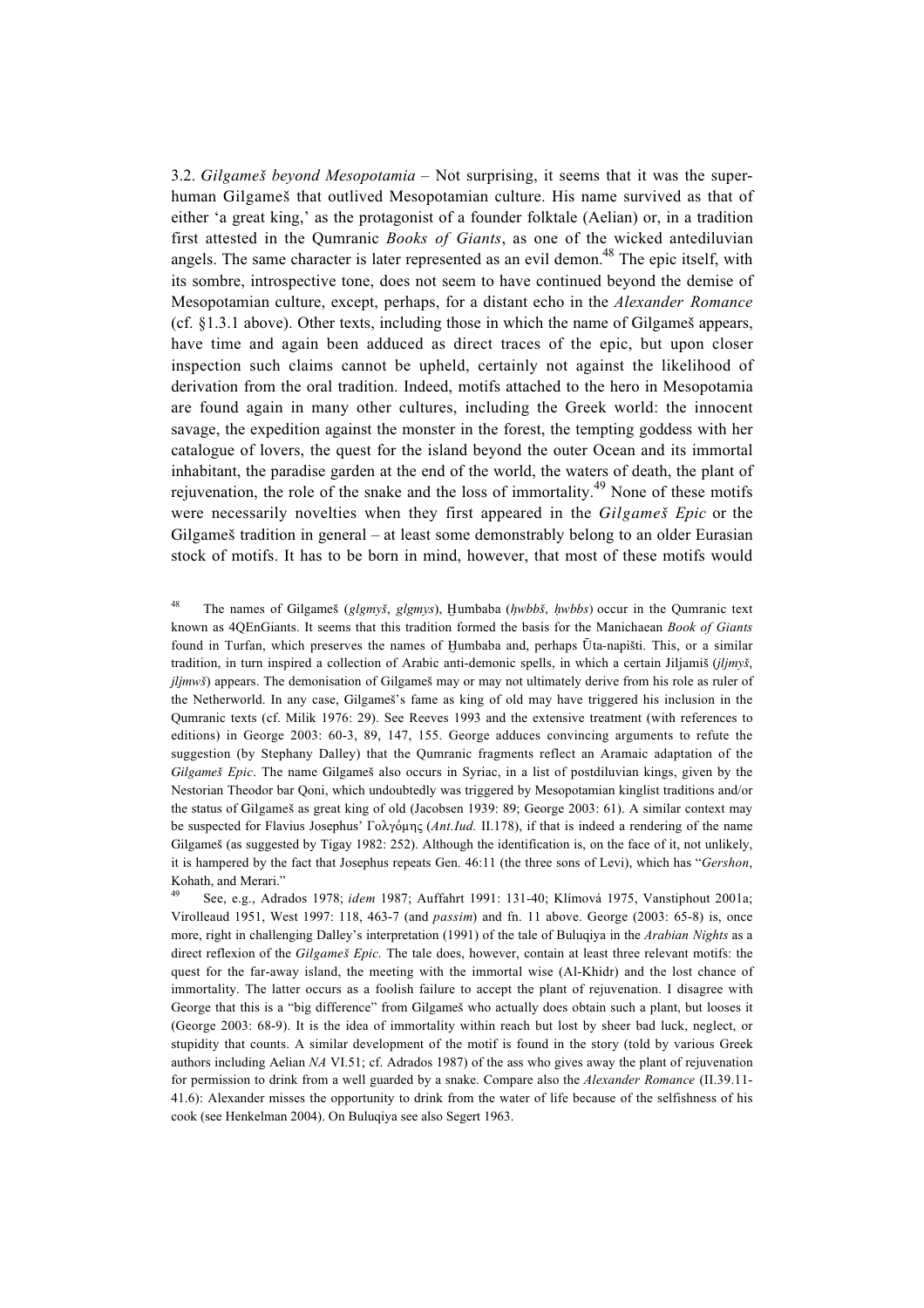3.2. *Gilgameß beyond Mesopotamia* – Not surprising, it seems that it was the superhuman Gilgameß that outlived Mesopotamian culture. His name survived as that of either 'a great king,' as the protagonist of a founder folktale (Aelian) or, in a tradition first attested in the Qumranic *Books of Giants*, as one of the wicked antediluvian angels. The same character is later represented as an evil demon.<sup>48</sup> The epic itself, with its sombre, introspective tone, does not seem to have continued beyond the demise of Mesopotamian culture, except, perhaps, for a distant echo in the *Alexander Romance* (cf.  $§1.3.1$  above). Other texts, including those in which the name of Gilgameš appears, have time and again been adduced as direct traces of the epic, but upon closer inspection such claims cannot be upheld, certainly not against the likelihood of derivation from the oral tradition. Indeed, motifs attached to the hero in Mesopotamia are found again in many other cultures, including the Greek world: the innocent savage, the expedition against the monster in the forest, the tempting goddess with her catalogue of lovers, the quest for the island beyond the outer Ocean and its immortal inhabitant, the paradise garden at the end of the world, the waters of death, the plant of rejuvenation, the role of the snake and the loss of immortality.<sup>49</sup> None of these motifs were necessarily novelties when they first appeared in the *Gilgameß Epic* or the Gilgameß tradition in general – at least some demonstrably belong to an older Eurasian stock of motifs. It has to be born in mind, however, that most of these motifs would

<sup>48</sup> The names of Gilgameš (*glgmyš*, *glgmys*), Humbaba (*hwbbš*, *hwbbs*) occur in the Qumranic text known as 4QEnGiants. It seems that this tradition formed the basis for the Manichaean *Book of Giants* found in Turfan, which preserves the names of Humbaba and, perhaps Ūta-napišti. This, or a similar tradition, in turn inspired a collection of Arabic anti-demonic spells, in which a certain Jiljamiß (*jljmyß*, *jljmwš*) appears. The demonisation of Gilgameš may or may not ultimately derive from his role as ruler of the Netherworld. In any case, Gilgameß's fame as king of old may have triggered his inclusion in the Qumranic texts (cf. Milik 1976: 29). See Reeves 1993 and the extensive treatment (with references to editions) in George 2003: 60-3, 89, 147, 155. George adduces convincing arguments to refute the suggestion (by Stephany Dalley) that the Qumranic fragments reflect an Aramaic adaptation of the *Gilgameß Epic*. The name Gilgameß also occurs in Syriac, in a list of postdiluvian kings, given by the Nestorian Theodor bar Qoni, which undoubtedly was triggered by Mesopotamian kinglist traditions and/or the status of Gilgameß as great king of old (Jacobsen 1939: 89; George 2003: 61). A similar context may be suspected for Flavius Josephus'  $\Gamma$ <sub>0</sub> $\lambda$  $\gamma$ <sup>6</sup> $\mu$  $\gamma$ <sub>5</sub> (*Ant.Iud.* II.178), if that is indeed a rendering of the name Gilgameß (as suggested by Tigay 1982: 252). Although the identification is, on the face of it, not unlikely, it is hampered by the fact that Josephus repeats Gen. 46:11 (the three sons of Levi), which has "*Gershon*, Kohath, and Merari."

<sup>49</sup> See, e.g., Adrados 1978; *idem* 1987; Auffahrt 1991: 131-40; Klímová 1975, Vanstiphout 2001a; Virolleaud 1951, West 1997: 118, 463-7 (and *passim*) and fn. 11 above. George (2003: 65-8) is, once more, right in challenging Dalley's interpretation (1991) of the tale of Buluqiya in the *Arabian Nights* as a direct reflexion of the *Gilgameß Epic.* The tale does, however, contain at least three relevant motifs: the quest for the far-away island, the meeting with the immortal wise (Al-Khidr) and the lost chance of immortality. The latter occurs as a foolish failure to accept the plant of rejuvenation. I disagree with George that this is a "big difference" from Gilgameš who actually does obtain such a plant, but looses it (George 2003: 68-9). It is the idea of immortality within reach but lost by sheer bad luck, neglect, or stupidity that counts. A similar development of the motif is found in the story (told by various Greek authors including Aelian *NA* VI.51; cf. Adrados 1987) of the ass who gives away the plant of rejuvenation for permission to drink from a well guarded by a snake. Compare also the *Alexander Romance* (II.39.11- 41.6): Alexander misses the opportunity to drink from the water of life because of the selfishness of his cook (see Henkelman 2004). On Buluqiya see also Segert 1963.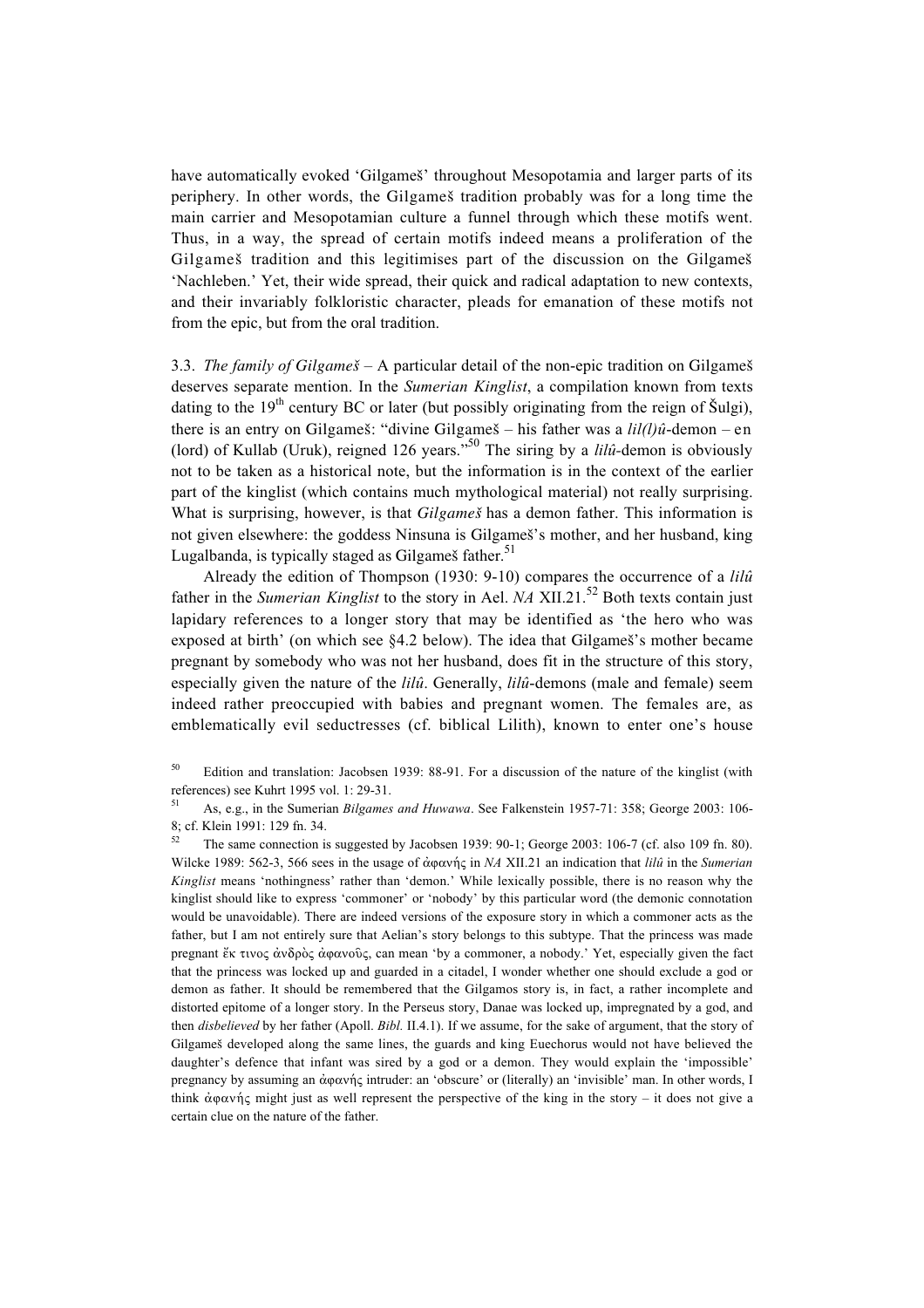have automatically evoked 'Gilgameš' throughout Mesopotamia and larger parts of its periphery. In other words, the Gilgameß tradition probably was for a long time the main carrier and Mesopotamian culture a funnel through which these motifs went. Thus, in a way, the spread of certain motifs indeed means a proliferation of the Gilgameß tradition and this legitimises part of the discussion on the Gilgameß 'Nachleben.' Yet, their wide spread, their quick and radical adaptation to new contexts, and their invariably folkloristic character, pleads for emanation of these motifs not from the epic, but from the oral tradition.

3.3. *The family of Gilgameß* – A particular detail of the non-epic tradition on Gilgameß deserves separate mention. In the *Sumerian Kinglist*, a compilation known from texts dating to the  $19<sup>th</sup>$  century BC or later (but possibly originating from the reign of Šulgi), there is an entry on Gilgameš: "divine Gilgameš – his father was a *lil(l)û*-demon – en (lord) of Kullab (Uruk), reigned 126 years."50 The siring by a *lilû-*demon is obviously not to be taken as a historical note, but the information is in the context of the earlier part of the kinglist (which contains much mythological material) not really surprising. What is surprising, however, is that *Gilgameß* has a demon father. This information is not given elsewhere: the goddess Ninsuna is Gilgameß's mother, and her husband, king Lugalbanda, is typically staged as Gilgameš father. $51$ 

Already the edition of Thompson (1930: 9-10) compares the occurrence of a *lilû* father in the *Sumerian Kinglist* to the story in Ael. *NA* XII.21.<sup>52</sup> Both texts contain just lapidary references to a longer story that may be identified as 'the hero who was exposed at birth' (on which see §4.2 below). The idea that Gilgameß's mother became pregnant by somebody who was not her husband, does fit in the structure of this story, especially given the nature of the *lilû*. Generally, *lilû*-demons (male and female) seem indeed rather preoccupied with babies and pregnant women. The females are, as emblematically evil seductresses (cf. biblical Lilith), known to enter one's house

<sup>50</sup> Edition and translation: Jacobsen 1939: 88-91. For a discussion of the nature of the kinglist (with references) see Kuhrt 1995 vol. 1: 29-31.

<sup>51</sup> As, e.g., in the Sumerian *Bilgames and Huwawa*. See Falkenstein 1957-71: 358; George 2003: 106- 8; cf. Klein 1991: 129 fn. 34.

<sup>52</sup> The same connection is suggested by Jacobsen 1939: 90-1; George 2003: 106-7 (cf. also 109 fn. 80). Wilcke 1989: 562-3, 566 sees in the usage of  $\dot{\alpha}$   $\alpha$ w in *NA* XII.21 an indication that *lilû* in the *Sumerian Kinglist* means 'nothingness' rather than 'demon.' While lexically possible, there is no reason why the kinglist should like to express 'commoner' or 'nobody' by this particular word (the demonic connotation would be unavoidable). There are indeed versions of the exposure story in which a commoner acts as the father, but I am not entirely sure that Aelian's story belongs to this subtype. That the princess was made pregnant  $\zeta_K$  tivos  $\dot{\alpha}$   $\delta \rho \dot{\beta}$   $\alpha \dot{\alpha}$   $\alpha \dot{\alpha}$   $\delta \dot{\beta}$ , can mean 'by a commoner, a nobody.' Yet, especially given the fact that the princess was locked up and guarded in a citadel, I wonder whether one should exclude a god or demon as father. It should be remembered that the Gilgamos story is, in fact, a rather incomplete and distorted epitome of a longer story. In the Perseus story, Danae was locked up, impregnated by a god, and then *disbelieved* by her father (Apoll. *Bibl.* II.4.1). If we assume, for the sake of argument, that the story of Gilgameß developed along the same lines, the guards and king Euechorus would not have believed the daughter's defence that infant was sired by a god or a demon. They would explain the 'impossible' pregnancy by assuming an άφανής intruder: an 'obscure' or (literally) an 'invisible' man. In other words, I think  $\dot{\alpha}$   $\dot{\alpha}$  might just as well represent the perspective of the king in the story – it does not give a certain clue on the nature of the father.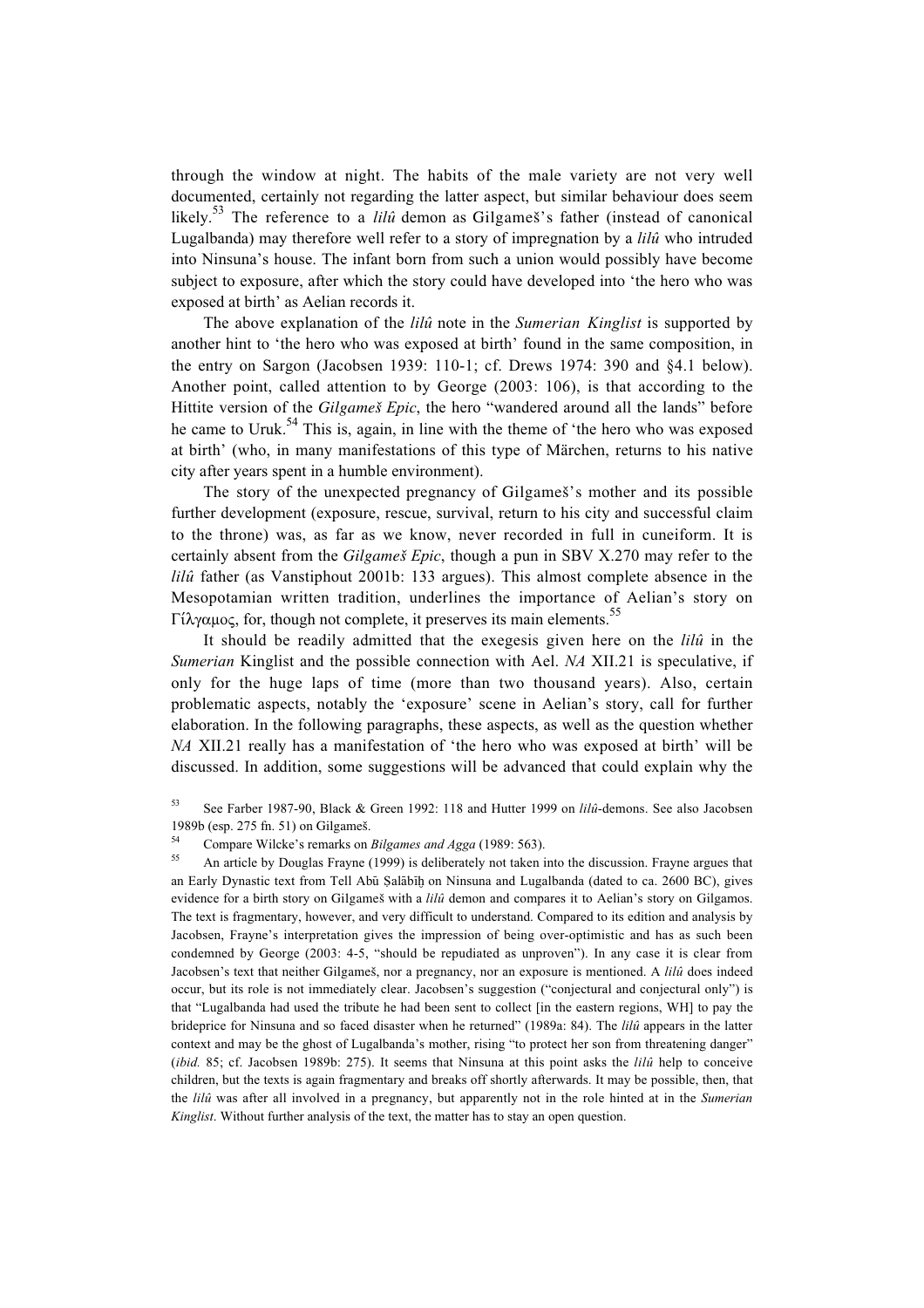through the window at night. The habits of the male variety are not very well documented, certainly not regarding the latter aspect, but similar behaviour does seem likely.<sup>53</sup> The reference to a *lilû* demon as Gilgameš's father (instead of canonical Lugalbanda) may therefore well refer to a story of impregnation by a *lilû* who intruded into Ninsuna's house. The infant born from such a union would possibly have become subject to exposure, after which the story could have developed into 'the hero who was exposed at birth' as Aelian records it.

The above explanation of the *lilû* note in the *Sumerian Kinglist* is supported by another hint to 'the hero who was exposed at birth' found in the same composition, in the entry on Sargon (Jacobsen 1939: 110-1; cf. Drews 1974: 390 and §4.1 below). Another point, called attention to by George (2003: 106), is that according to the Hittite version of the *Gilgameš Epic*, the hero "wandered around all the lands" before he came to Uruk.<sup>54</sup> This is, again, in line with the theme of 'the hero who was exposed at birth' (who, in many manifestations of this type of Märchen, returns to his native city after years spent in a humble environment).

The story of the unexpected pregnancy of Gilgameß's mother and its possible further development (exposure, rescue, survival, return to his city and successful claim to the throne) was, as far as we know, never recorded in full in cuneiform. It is certainly absent from the *Gilgameß Epic*, though a pun in SBV X.270 may refer to the *lilû* father (as Vanstiphout 2001b: 133 argues). This almost complete absence in the Mesopotamian written tradition, underlines the importance of Aelian's story on Γίλγαμος, for, though not complete, it preserves its main elements.<sup>55</sup>

It should be readily admitted that the exegesis given here on the *lilû* in the *Sumerian* Kinglist and the possible connection with Ael. *NA* XII.21 is speculative, if only for the huge laps of time (more than two thousand years). Also, certain problematic aspects, notably the 'exposure' scene in Aelian's story, call for further elaboration. In the following paragraphs, these aspects, as well as the question whether *NA* XII.21 really has a manifestation of 'the hero who was exposed at birth' will be discussed. In addition, some suggestions will be advanced that could explain why the

<sup>53</sup> See Farber 1987-90, Black & Green 1992: 118 and Hutter 1999 on *lilû*-demons. See also Jacobsen 1989b (esp. 275 fn. 51) on Gilgameß.

<sup>55</sup> An article by Douglas Frayne (1999) is deliberately not taken into the discussion. Frayne argues that an Early Dynastic text from Tell Abū Salābīh on Ninsuna and Lugalbanda (dated to ca. 2600 BC), gives evidence for a birth story on Gilgameß with a *lilû* demon and compares it to Aelian's story on Gilgamos. The text is fragmentary, however, and very difficult to understand. Compared to its edition and analysis by Jacobsen, Frayne's interpretation gives the impression of being over-optimistic and has as such been condemned by George (2003: 4-5, "should be repudiated as unproven"). In any case it is clear from Jacobsen's text that neither Gilgameß, nor a pregnancy, nor an exposure is mentioned. A *lilû* does indeed occur, but its role is not immediately clear. Jacobsen's suggestion ("conjectural and conjectural only") is that "Lugalbanda had used the tribute he had been sent to collect [in the eastern regions, WH] to pay the brideprice for Ninsuna and so faced disaster when he returned" (1989a: 84). The *lilû* appears in the latter context and may be the ghost of Lugalbanda's mother, rising "to protect her son from threatening danger" (*ibid.* 85; cf. Jacobsen 1989b: 275). It seems that Ninsuna at this point asks the *lilû* help to conceive children, but the texts is again fragmentary and breaks off shortly afterwards. It may be possible, then, that the *lilû* was after all involved in a pregnancy, but apparently not in the role hinted at in the *Sumerian Kinglist*. Without further analysis of the text, the matter has to stay an open question.

<sup>&</sup>lt;sup>54</sup> Compare Wilcke's remarks on *Bilgames and Agga* (1989: 563).<br><sup>55</sup> An orticle by Dougles Frame (1000) is deliberately not taken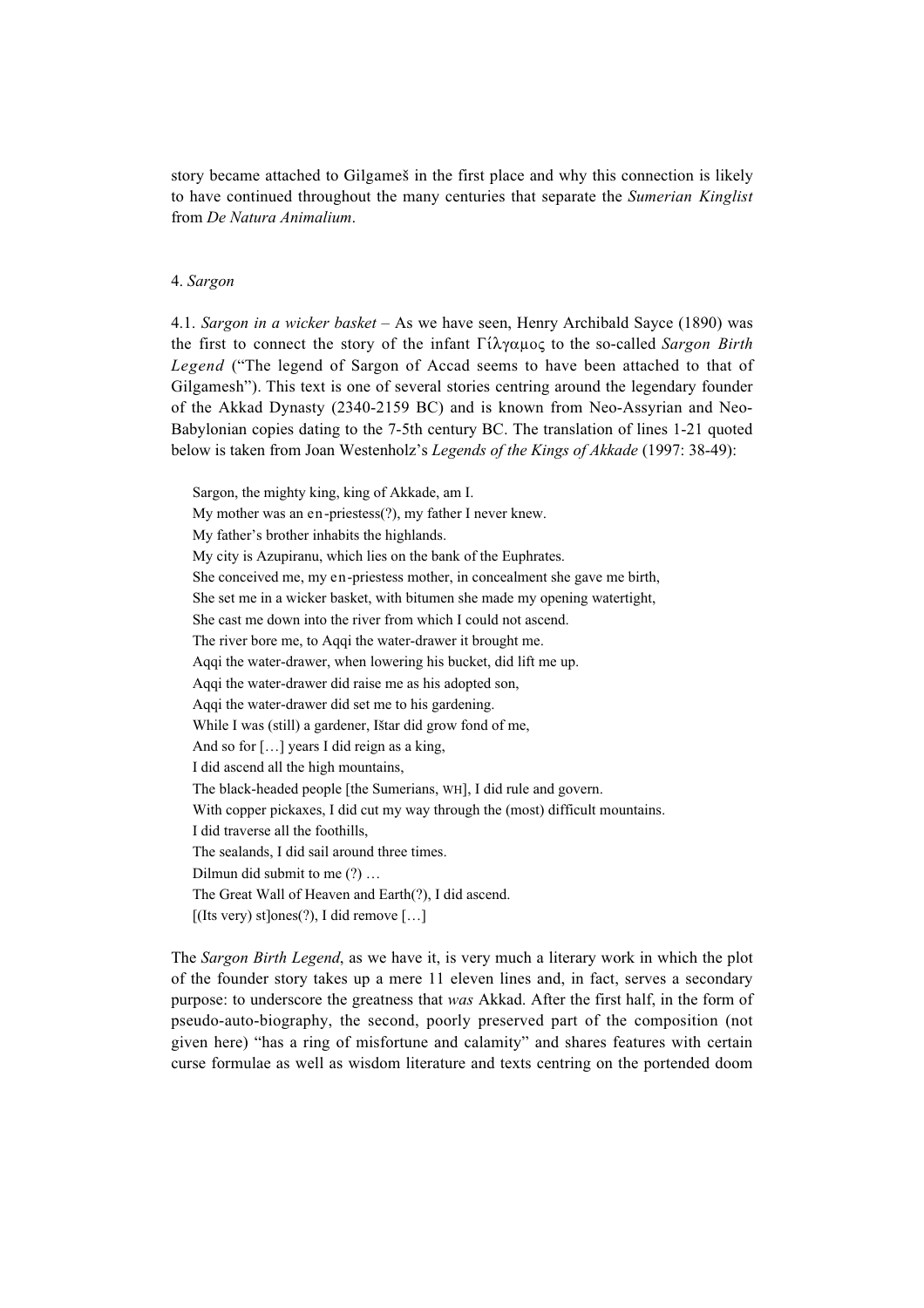story became attached to Gilgameß in the first place and why this connection is likely to have continued throughout the many centuries that separate the *Sumerian Kinglist* from *De Natura Animalium*.

#### 4. *Sargon*

4.1. *Sargon in a wicker basket* – As we have seen, Henry Archibald Sayce (1890) was the first to connect the story of the infant  $\Gamma \hat{i} \lambda \gamma \alpha \mu$  to the so-called *Sargon Birth Legend* ("The legend of Sargon of Accad seems to have been attached to that of Gilgamesh"). This text is one of several stories centring around the legendary founder of the Akkad Dynasty (2340-2159 BC) and is known from Neo-Assyrian and Neo-Babylonian copies dating to the 7-5th century BC. The translation of lines 1-21 quoted below is taken from Joan Westenholz's *Legends of the Kings of Akkade* (1997: 38-49):

Sargon, the mighty king, king of Akkade, am I. My mother was an en-priestess(?), my father I never knew. My father's brother inhabits the highlands. My city is Azupiranu, which lies on the bank of the Euphrates. She conceived me, my en-priestess mother, in concealment she gave me birth, She set me in a wicker basket, with bitumen she made my opening watertight, She cast me down into the river from which I could not ascend. The river bore me, to Aqqi the water-drawer it brought me. Aqqi the water-drawer, when lowering his bucket, did lift me up. Aqqi the water-drawer did raise me as his adopted son, Aqqi the water-drawer did set me to his gardening. While I was (still) a gardener, Ißtar did grow fond of me, And so for [...] years I did reign as a king, I did ascend all the high mountains, The black-headed people [the Sumerians, WH], I did rule and govern. With copper pickaxes, I did cut my way through the (most) difficult mountains. I did traverse all the foothills, The sealands, I did sail around three times. Dilmun did submit to me (?) … The Great Wall of Heaven and Earth(?), I did ascend.  $[$ (Its very) st $]$ ones $(?)$ , I did remove  $[$ ... $]$ 

The *Sargon Birth Legend*, as we have it, is very much a literary work in which the plot of the founder story takes up a mere 11 eleven lines and, in fact, serves a secondary purpose: to underscore the greatness that *was* Akkad. After the first half, in the form of pseudo-auto-biography, the second, poorly preserved part of the composition (not given here) "has a ring of misfortune and calamity" and shares features with certain curse formulae as well as wisdom literature and texts centring on the portended doom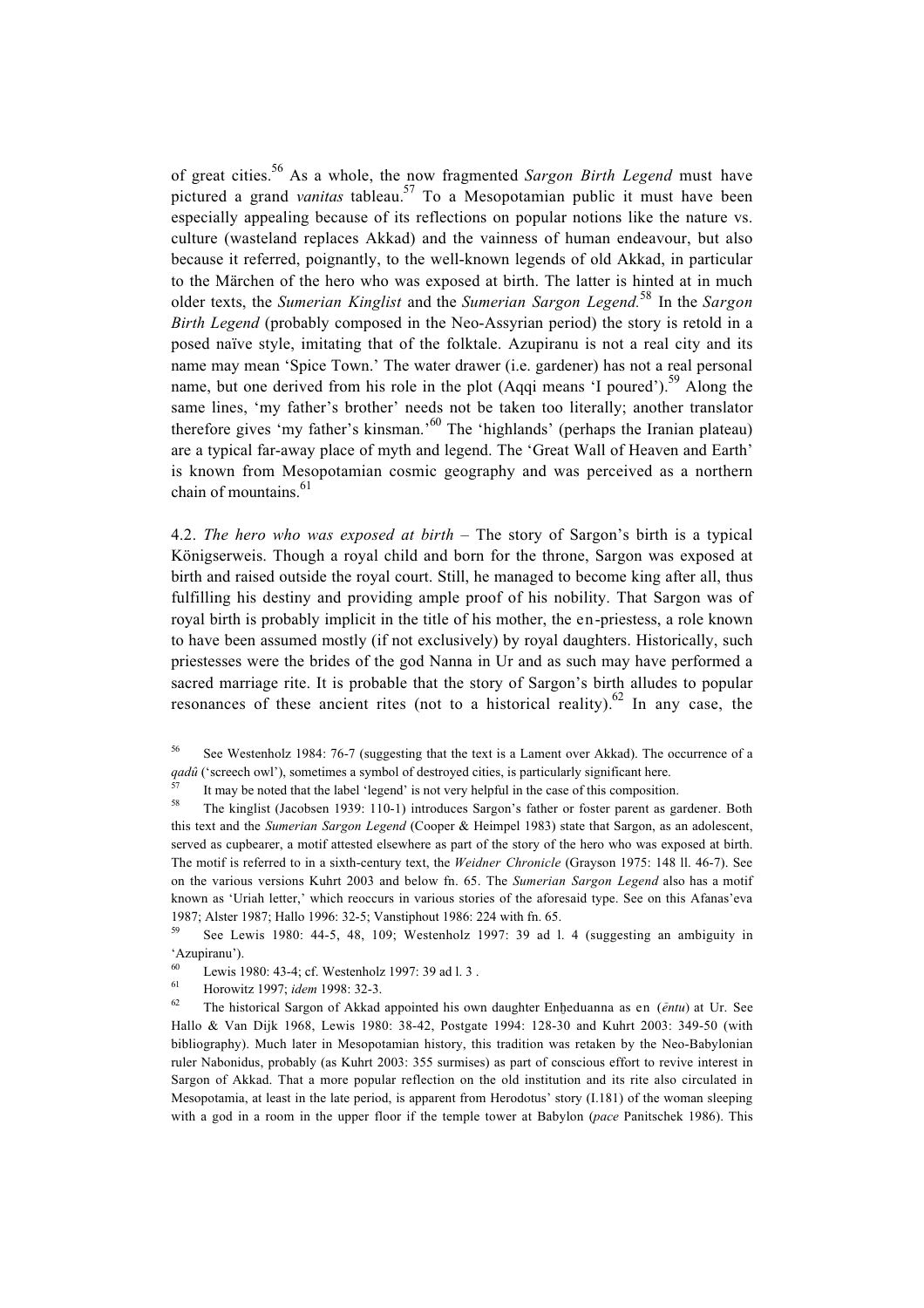of great cities.56 As a whole, the now fragmented *Sargon Birth Legend* must have pictured a grand *vanitas* tableau.57 To a Mesopotamian public it must have been especially appealing because of its reflections on popular notions like the nature vs. culture (wasteland replaces Akkad) and the vainness of human endeavour, but also because it referred, poignantly, to the well-known legends of old Akkad, in particular to the Märchen of the hero who was exposed at birth. The latter is hinted at in much older texts, the *Sumerian Kinglist* and the *Sumerian Sargon Legend.*<sup>58</sup> In the *Sargon Birth Legend* (probably composed in the Neo-Assyrian period) the story is retold in a posed naïve style, imitating that of the folktale. Azupiranu is not a real city and its name may mean 'Spice Town.' The water drawer (i.e. gardener) has not a real personal name, but one derived from his role in the plot (Aqqi means 'I poured').<sup>59</sup> Along the same lines, 'my father's brother' needs not be taken too literally; another translator therefore gives 'my father's kinsman.'60 The 'highlands' (perhaps the Iranian plateau) are a typical far-away place of myth and legend. The 'Great Wall of Heaven and Earth' is known from Mesopotamian cosmic geography and was perceived as a northern chain of mountains.<sup>61</sup>

4.2. *The hero who was exposed at birth* – The story of Sargon's birth is a typical Königserweis. Though a royal child and born for the throne, Sargon was exposed at birth and raised outside the royal court. Still, he managed to become king after all, thus fulfilling his destiny and providing ample proof of his nobility. That Sargon was of royal birth is probably implicit in the title of his mother, the en-priestess, a role known to have been assumed mostly (if not exclusively) by royal daughters. Historically, such priestesses were the brides of the god Nanna in Ur and as such may have performed a sacred marriage rite. It is probable that the story of Sargon's birth alludes to popular resonances of these ancient rites (not to a historical reality).<sup>62</sup> In any case, the

<sup>56</sup> See Westenholz 1984: 76-7 (suggesting that the text is a Lament over Akkad). The occurrence of a *qadû* ('screech owl'), sometimes a symbol of destroyed cities, is particularly significant here.

<sup>57</sup> It may be noted that the label 'legend' is not very helpful in the case of this composition.<br><sup>58</sup> The kinglist (Jacobaan 1020: 110.1) introduces Sarson's father on factor namet as equ

<sup>58</sup> The kinglist (Jacobsen 1939: 110-1) introduces Sargon's father or foster parent as gardener. Both this text and the *Sumerian Sargon Legend* (Cooper & Heimpel 1983) state that Sargon, as an adolescent, served as cupbearer, a motif attested elsewhere as part of the story of the hero who was exposed at birth. The motif is referred to in a sixth-century text, the *Weidner Chronicle* (Grayson 1975: 148 ll. 46-7). See on the various versions Kuhrt 2003 and below fn. 65. The *Sumerian Sargon Legend* also has a motif known as 'Uriah letter,' which reoccurs in various stories of the aforesaid type. See on this Afanas'eva 1987; Alster 1987; Hallo 1996: 32-5; Vanstiphout 1986: 224 with fn. 65.

<sup>59</sup> See Lewis 1980: 44-5, 48, 109; Westenholz 1997: 39 ad l. 4 (suggesting an ambiguity in 'Azupiranu').

<sup>60</sup> Lewis 1980: 43-4; cf. Westenholz 1997: 39 ad l. 3.

<sup>61</sup> Horowitz 1997; *idem* 1998: 32-3.

The historical Sargon of Akkad appointed his own daughter Enheduanna as en (*ēntu*) at Ur. See Hallo & Van Dijk 1968, Lewis 1980: 38-42, Postgate 1994: 128-30 and Kuhrt 2003: 349-50 (with bibliography). Much later in Mesopotamian history, this tradition was retaken by the Neo-Babylonian ruler Nabonidus, probably (as Kuhrt 2003: 355 surmises) as part of conscious effort to revive interest in Sargon of Akkad. That a more popular reflection on the old institution and its rite also circulated in Mesopotamia, at least in the late period, is apparent from Herodotus' story (I.181) of the woman sleeping with a god in a room in the upper floor if the temple tower at Babylon (*pace* Panitschek 1986). This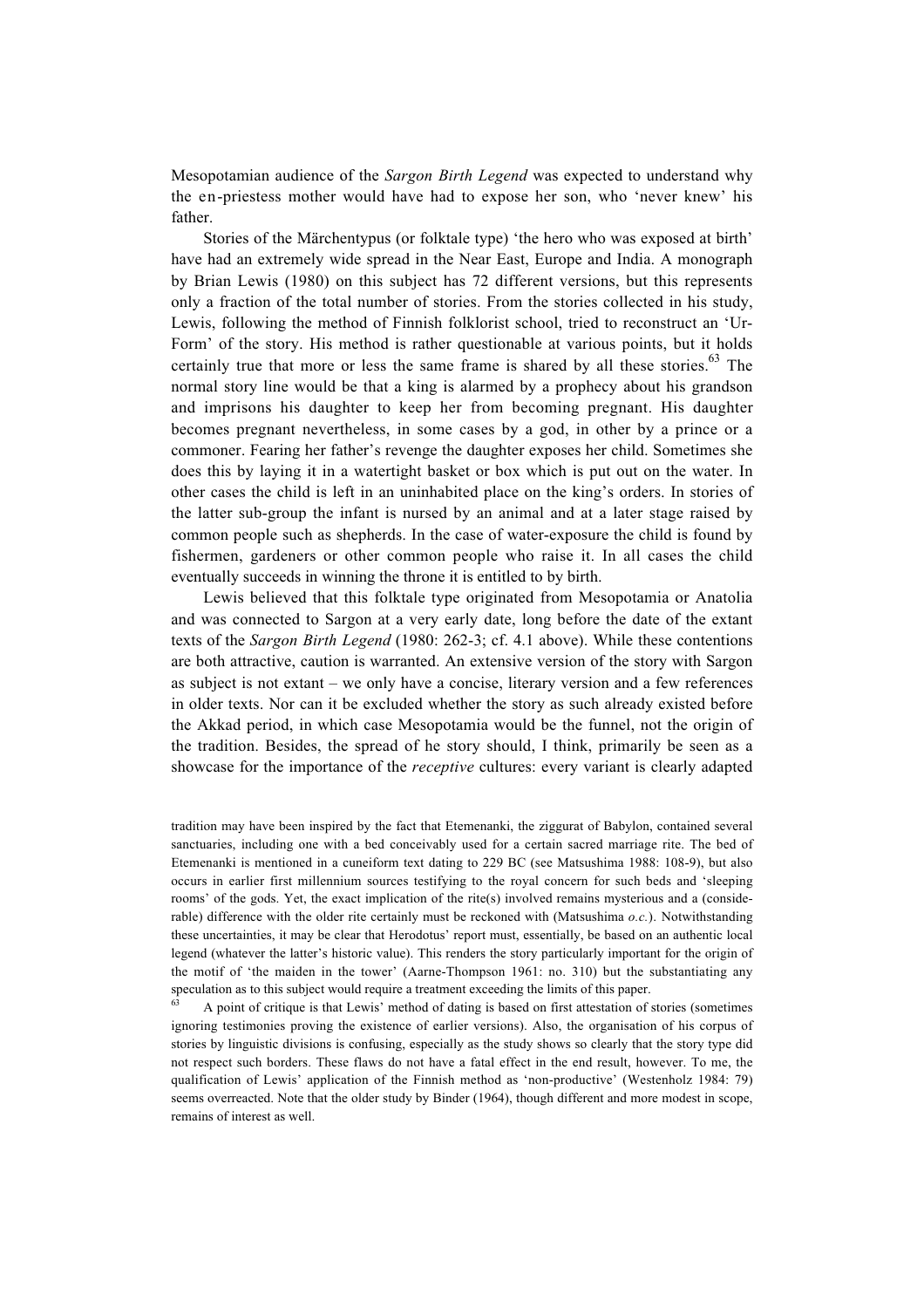Mesopotamian audience of the *Sargon Birth Legend* was expected to understand why the en-priestess mother would have had to expose her son, who 'never knew' his father.

Stories of the Märchentypus (or folktale type) 'the hero who was exposed at birth' have had an extremely wide spread in the Near East, Europe and India. A monograph by Brian Lewis (1980) on this subject has 72 different versions, but this represents only a fraction of the total number of stories. From the stories collected in his study, Lewis, following the method of Finnish folklorist school, tried to reconstruct an 'Ur-Form' of the story. His method is rather questionable at various points, but it holds certainly true that more or less the same frame is shared by all these stories. $63$  The normal story line would be that a king is alarmed by a prophecy about his grandson and imprisons his daughter to keep her from becoming pregnant. His daughter becomes pregnant nevertheless, in some cases by a god, in other by a prince or a commoner. Fearing her father's revenge the daughter exposes her child. Sometimes she does this by laying it in a watertight basket or box which is put out on the water. In other cases the child is left in an uninhabited place on the king's orders. In stories of the latter sub-group the infant is nursed by an animal and at a later stage raised by common people such as shepherds. In the case of water-exposure the child is found by fishermen, gardeners or other common people who raise it. In all cases the child eventually succeeds in winning the throne it is entitled to by birth.

Lewis believed that this folktale type originated from Mesopotamia or Anatolia and was connected to Sargon at a very early date, long before the date of the extant texts of the *Sargon Birth Legend* (1980: 262-3; cf. 4.1 above). While these contentions are both attractive, caution is warranted. An extensive version of the story with Sargon as subject is not extant – we only have a concise, literary version and a few references in older texts. Nor can it be excluded whether the story as such already existed before the Akkad period, in which case Mesopotamia would be the funnel, not the origin of the tradition. Besides, the spread of he story should, I think, primarily be seen as a showcase for the importance of the *receptive* cultures: every variant is clearly adapted

tradition may have been inspired by the fact that Etemenanki, the ziggurat of Babylon, contained several sanctuaries, including one with a bed conceivably used for a certain sacred marriage rite. The bed of Etemenanki is mentioned in a cuneiform text dating to 229 BC (see Matsushima 1988: 108-9), but also occurs in earlier first millennium sources testifying to the royal concern for such beds and 'sleeping rooms' of the gods. Yet, the exact implication of the rite(s) involved remains mysterious and a (considerable) difference with the older rite certainly must be reckoned with (Matsushima *o.c.*). Notwithstanding these uncertainties, it may be clear that Herodotus' report must, essentially, be based on an authentic local legend (whatever the latter's historic value). This renders the story particularly important for the origin of the motif of 'the maiden in the tower' (Aarne-Thompson 1961: no. 310) but the substantiating any speculation as to this subject would require a treatment exceeding the limits of this paper.

<sup>63</sup> A point of critique is that Lewis' method of dating is based on first attestation of stories (sometimes ignoring testimonies proving the existence of earlier versions). Also, the organisation of his corpus of stories by linguistic divisions is confusing, especially as the study shows so clearly that the story type did not respect such borders. These flaws do not have a fatal effect in the end result, however. To me, the qualification of Lewis' application of the Finnish method as 'non-productive' (Westenholz 1984: 79) seems overreacted. Note that the older study by Binder (1964), though different and more modest in scope, remains of interest as well.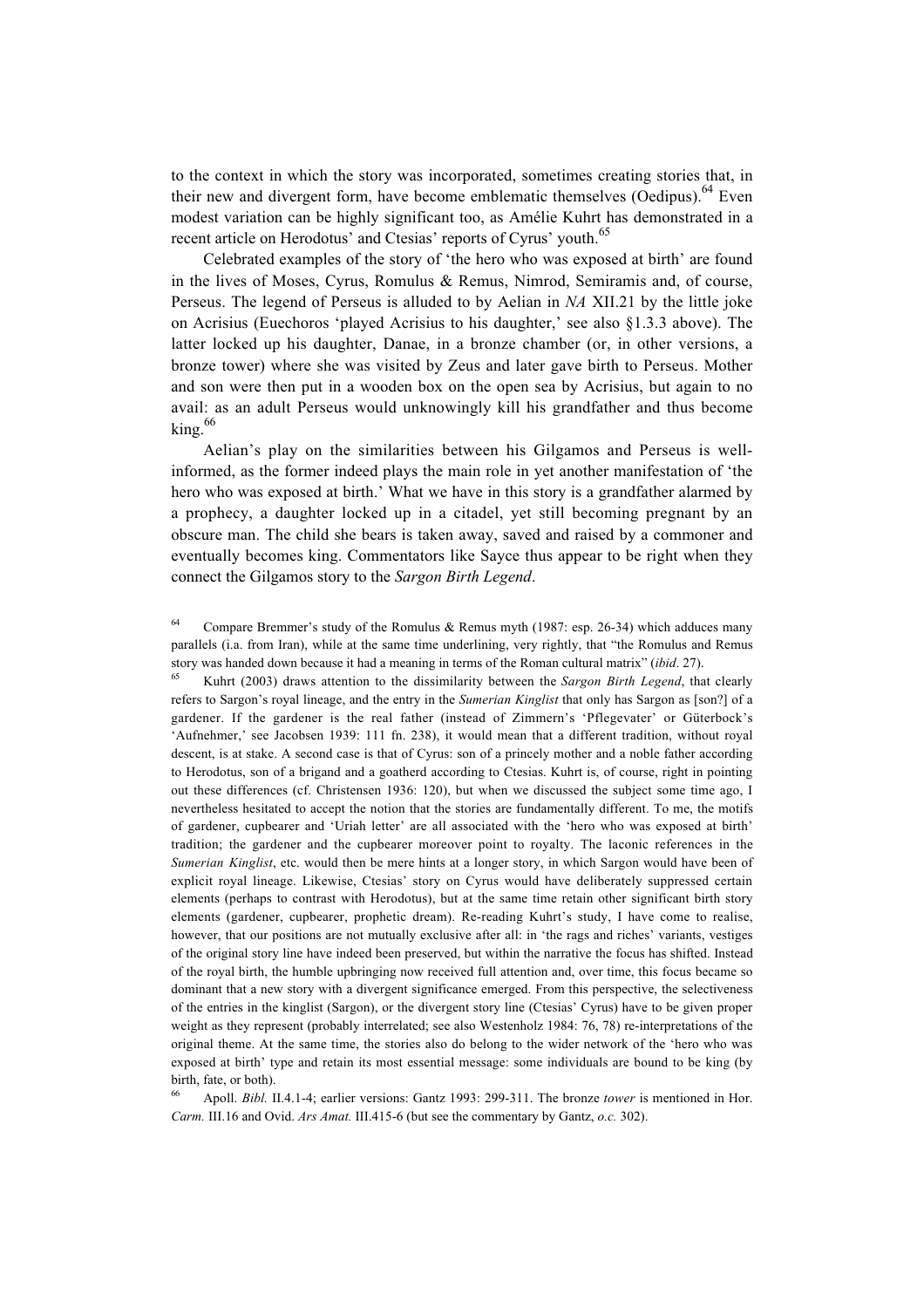to the context in which the story was incorporated, sometimes creating stories that, in their new and divergent form, have become emblematic themselves  $(Oedinus)$ .<sup>64</sup> Even modest variation can be highly significant too, as Amélie Kuhrt has demonstrated in a recent article on Herodotus' and Ctesias' reports of Cyrus' youth.<sup>65</sup>

Celebrated examples of the story of 'the hero who was exposed at birth' are found in the lives of Moses, Cyrus, Romulus & Remus, Nimrod, Semiramis and, of course, Perseus. The legend of Perseus is alluded to by Aelian in *NA* XII.21 by the little joke on Acrisius (Euechoros 'played Acrisius to his daughter,' see also §1.3.3 above). The latter locked up his daughter, Danae, in a bronze chamber (or, in other versions, a bronze tower) where she was visited by Zeus and later gave birth to Perseus. Mother and son were then put in a wooden box on the open sea by Acrisius, but again to no avail: as an adult Perseus would unknowingly kill his grandfather and thus become king.<sup>66</sup>

Aelian's play on the similarities between his Gilgamos and Perseus is wellinformed, as the former indeed plays the main role in yet another manifestation of 'the hero who was exposed at birth.' What we have in this story is a grandfather alarmed by a prophecy, a daughter locked up in a citadel, yet still becoming pregnant by an obscure man. The child she bears is taken away, saved and raised by a commoner and eventually becomes king. Commentators like Sayce thus appear to be right when they connect the Gilgamos story to the *Sargon Birth Legend*.

<sup>65</sup> Kuhrt (2003) draws attention to the dissimilarity between the *Sargon Birth Legend*, that clearly refers to Sargon's royal lineage, and the entry in the *Sumerian Kinglist* that only has Sargon as [son?] of a gardener. If the gardener is the real father (instead of Zimmern's 'Pflegevater' or Güterbock's 'Aufnehmer,' see Jacobsen 1939: 111 fn. 238), it would mean that a different tradition, without royal descent, is at stake. A second case is that of Cyrus: son of a princely mother and a noble father according to Herodotus, son of a brigand and a goatherd according to Ctesias. Kuhrt is, of course, right in pointing out these differences (cf. Christensen 1936: 120), but when we discussed the subject some time ago, I nevertheless hesitated to accept the notion that the stories are fundamentally different. To me, the motifs of gardener, cupbearer and 'Uriah letter' are all associated with the 'hero who was exposed at birth' tradition; the gardener and the cupbearer moreover point to royalty. The laconic references in the *Sumerian Kinglist*, etc. would then be mere hints at a longer story, in which Sargon would have been of explicit royal lineage. Likewise, Ctesias' story on Cyrus would have deliberately suppressed certain elements (perhaps to contrast with Herodotus), but at the same time retain other significant birth story elements (gardener, cupbearer, prophetic dream). Re-reading Kuhrt's study, I have come to realise, however, that our positions are not mutually exclusive after all: in 'the rags and riches' variants, vestiges of the original story line have indeed been preserved, but within the narrative the focus has shifted. Instead of the royal birth, the humble upbringing now received full attention and, over time, this focus became so dominant that a new story with a divergent significance emerged. From this perspective, the selectiveness of the entries in the kinglist (Sargon), or the divergent story line (Ctesias' Cyrus) have to be given proper weight as they represent (probably interrelated; see also Westenholz 1984: 76, 78) re-interpretations of the original theme. At the same time, the stories also do belong to the wider network of the 'hero who was exposed at birth' type and retain its most essential message: some individuals are bound to be king (by birth, fate, or both).

<sup>66</sup> Apoll. *Bibl.* II.4.1-4; earlier versions: Gantz 1993: 299-311. The bronze *tower* is mentioned in Hor. *Carm.* III.16 and Ovid. *Ars Amat.* III.415-6 (but see the commentary by Gantz, *o.c.* 302).

Compare Bremmer's study of the Romulus & Remus myth (1987: esp. 26-34) which adduces many parallels (i.a. from Iran), while at the same time underlining, very rightly, that "the Romulus and Remus story was handed down because it had a meaning in terms of the Roman cultural matrix" (*ibid*. 27).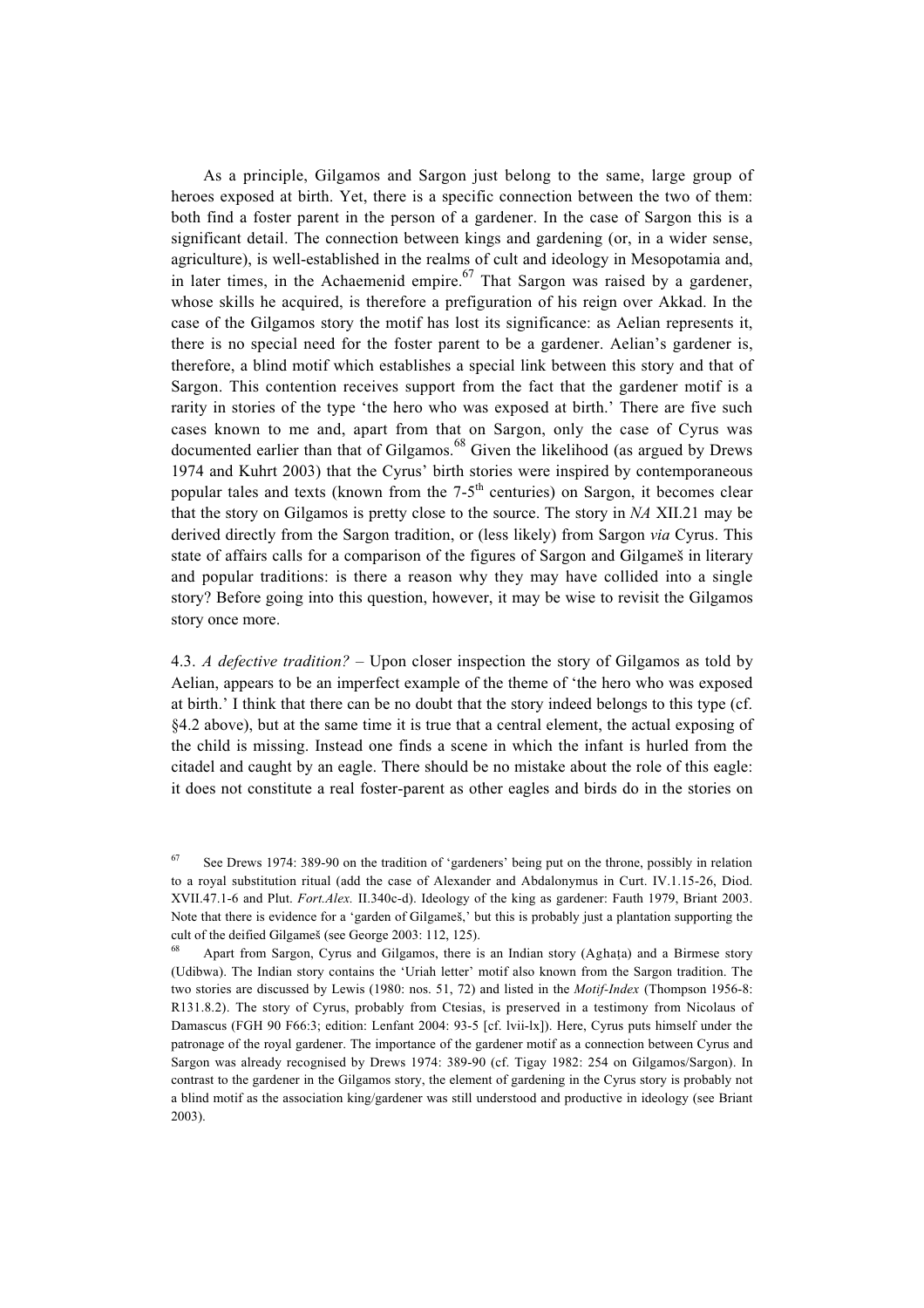As a principle, Gilgamos and Sargon just belong to the same, large group of heroes exposed at birth. Yet, there is a specific connection between the two of them: both find a foster parent in the person of a gardener. In the case of Sargon this is a significant detail. The connection between kings and gardening (or, in a wider sense, agriculture), is well-established in the realms of cult and ideology in Mesopotamia and, in later times, in the Achaemenid empire.<sup>67</sup> That Sargon was raised by a gardener, whose skills he acquired, is therefore a prefiguration of his reign over Akkad. In the case of the Gilgamos story the motif has lost its significance: as Aelian represents it, there is no special need for the foster parent to be a gardener. Aelian's gardener is, therefore, a blind motif which establishes a special link between this story and that of Sargon. This contention receives support from the fact that the gardener motif is a rarity in stories of the type 'the hero who was exposed at birth.' There are five such cases known to me and, apart from that on Sargon, only the case of Cyrus was documented earlier than that of Gilgamos.<sup>68</sup> Given the likelihood (as argued by Drews 1974 and Kuhrt 2003) that the Cyrus' birth stories were inspired by contemporaneous popular tales and texts (known from the  $7-5<sup>th</sup>$  centuries) on Sargon, it becomes clear that the story on Gilgamos is pretty close to the source. The story in *NA* XII.21 may be derived directly from the Sargon tradition, or (less likely) from Sargon *via* Cyrus. This state of affairs calls for a comparison of the figures of Sargon and Gilgameß in literary and popular traditions: is there a reason why they may have collided into a single story? Before going into this question, however, it may be wise to revisit the Gilgamos story once more.

4.3. *A defective tradition?* – Upon closer inspection the story of Gilgamos as told by Aelian, appears to be an imperfect example of the theme of 'the hero who was exposed at birth.' I think that there can be no doubt that the story indeed belongs to this type (cf. §4.2 above), but at the same time it is true that a central element, the actual exposing of the child is missing. Instead one finds a scene in which the infant is hurled from the citadel and caught by an eagle. There should be no mistake about the role of this eagle: it does not constitute a real foster-parent as other eagles and birds do in the stories on

<sup>67</sup> See Drews 1974: 389-90 on the tradition of 'gardeners' being put on the throne, possibly in relation to a royal substitution ritual (add the case of Alexander and Abdalonymus in Curt. IV.1.15-26, Diod. XVII.47.1-6 and Plut. *Fort.Alex.* II.340c-d). Ideology of the king as gardener: Fauth 1979, Briant 2003. Note that there is evidence for a 'garden of Gilgameß,' but this is probably just a plantation supporting the cult of the deified Gilgameß (see George 2003: 112, 125).

<sup>68</sup> Apart from Sargon, Cyrus and Gilgamos, there is an Indian story (Agha†a) and a Birmese story (Udibwa). The Indian story contains the 'Uriah letter' motif also known from the Sargon tradition. The two stories are discussed by Lewis (1980: nos. 51, 72) and listed in the *Motif-Index* (Thompson 1956-8: R131.8.2). The story of Cyrus, probably from Ctesias, is preserved in a testimony from Nicolaus of Damascus (FGH 90 F66:3; edition: Lenfant 2004: 93-5 [cf. lvii-lx]). Here, Cyrus puts himself under the patronage of the royal gardener. The importance of the gardener motif as a connection between Cyrus and Sargon was already recognised by Drews 1974: 389-90 (cf. Tigay 1982: 254 on Gilgamos/Sargon). In contrast to the gardener in the Gilgamos story, the element of gardening in the Cyrus story is probably not a blind motif as the association king/gardener was still understood and productive in ideology (see Briant 2003).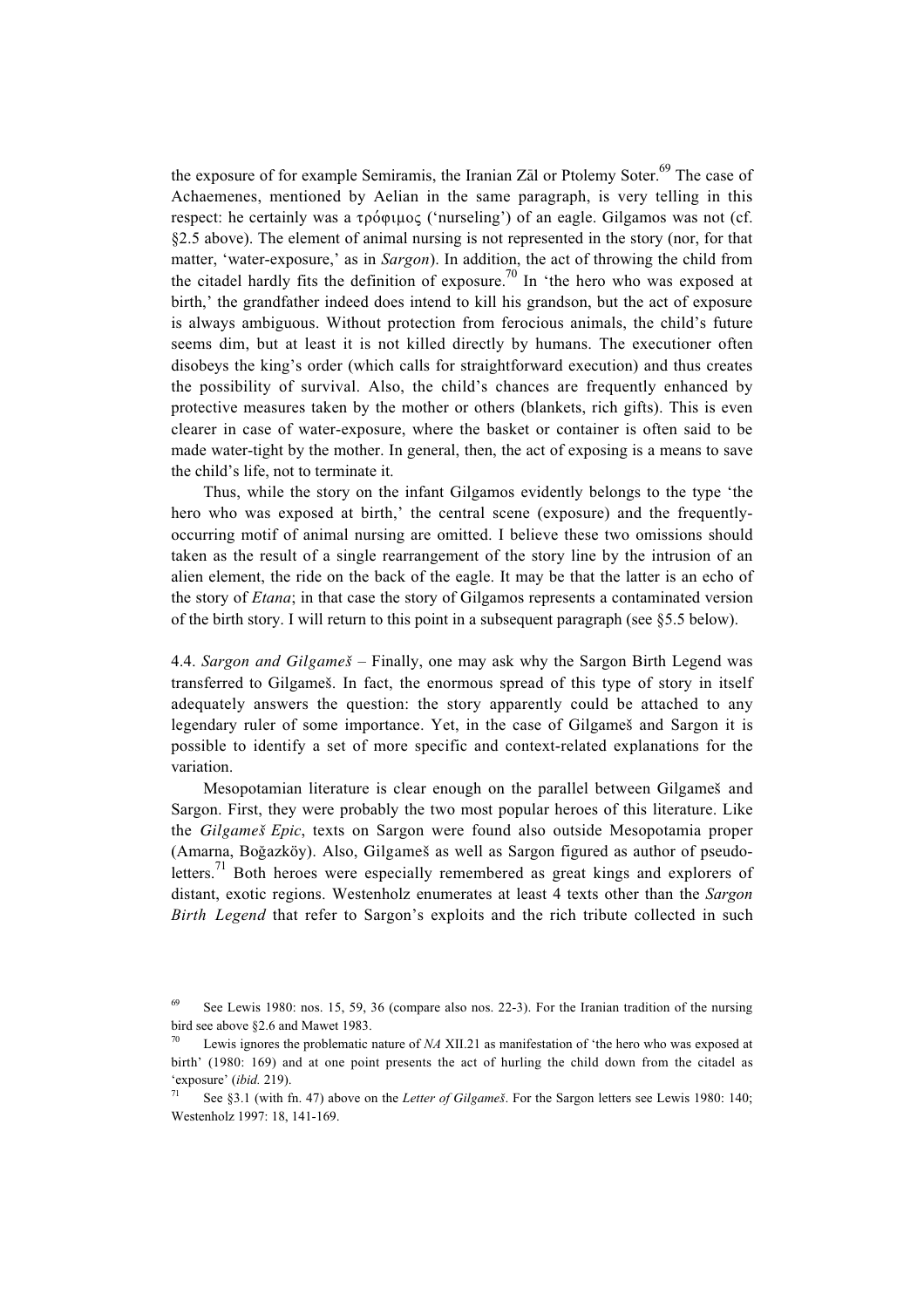the exposure of for example Semiramis, the Iranian Zal or Ptolemy Soter.<sup>69</sup> The case of Achaemenes, mentioned by Aelian in the same paragraph, is very telling in this respect: he certainly was a  $\tau \rho \delta \varphi \mu \rho \sigma$  ('nurseling') of an eagle. Gilgamos was not (cf. §2.5 above). The element of animal nursing is not represented in the story (nor, for that matter, 'water-exposure,' as in *Sargon*). In addition, the act of throwing the child from the citadel hardly fits the definition of exposure.<sup>70</sup> In 'the hero who was exposed at birth,' the grandfather indeed does intend to kill his grandson, but the act of exposure is always ambiguous. Without protection from ferocious animals, the child's future seems dim, but at least it is not killed directly by humans. The executioner often disobeys the king's order (which calls for straightforward execution) and thus creates the possibility of survival. Also, the child's chances are frequently enhanced by protective measures taken by the mother or others (blankets, rich gifts). This is even clearer in case of water-exposure, where the basket or container is often said to be made water-tight by the mother. In general, then, the act of exposing is a means to save the child's life, not to terminate it.

Thus, while the story on the infant Gilgamos evidently belongs to the type 'the hero who was exposed at birth,' the central scene (exposure) and the frequentlyoccurring motif of animal nursing are omitted. I believe these two omissions should taken as the result of a single rearrangement of the story line by the intrusion of an alien element, the ride on the back of the eagle. It may be that the latter is an echo of the story of *Etana*; in that case the story of Gilgamos represents a contaminated version of the birth story. I will return to this point in a subsequent paragraph (see §5.5 below).

4.4. *Sargon and Gilgameß* – Finally, one may ask why the Sargon Birth Legend was transferred to Gilgameß. In fact, the enormous spread of this type of story in itself adequately answers the question: the story apparently could be attached to any legendary ruler of some importance. Yet, in the case of Gilgameß and Sargon it is possible to identify a set of more specific and context-related explanations for the variation.

Mesopotamian literature is clear enough on the parallel between Gilgameß and Sargon. First, they were probably the two most popular heroes of this literature. Like the *Gilgameß Epic*, texts on Sargon were found also outside Mesopotamia proper (Amarna, Boğazköy). Also, Gilgameš as well as Sargon figured as author of pseudoletters.<sup>71</sup> Both heroes were especially remembered as great kings and explorers of distant, exotic regions. Westenholz enumerates at least 4 texts other than the *Sargon Birth Legend* that refer to Sargon's exploits and the rich tribute collected in such

<sup>69</sup> See Lewis 1980: nos. 15, 59, 36 (compare also nos. 22-3). For the Iranian tradition of the nursing bird see above §2.6 and Mawet 1983.

<sup>70</sup> Lewis ignores the problematic nature of *NA* XII.21 as manifestation of 'the hero who was exposed at birth' (1980: 169) and at one point presents the act of hurling the child down from the citadel as 'exposure' (*ibid.* 219).

<sup>71</sup> See §3.1 (with fn. 47) above on the *Letter of Gilgameß*. For the Sargon letters see Lewis 1980: 140; Westenholz 1997: 18, 141-169.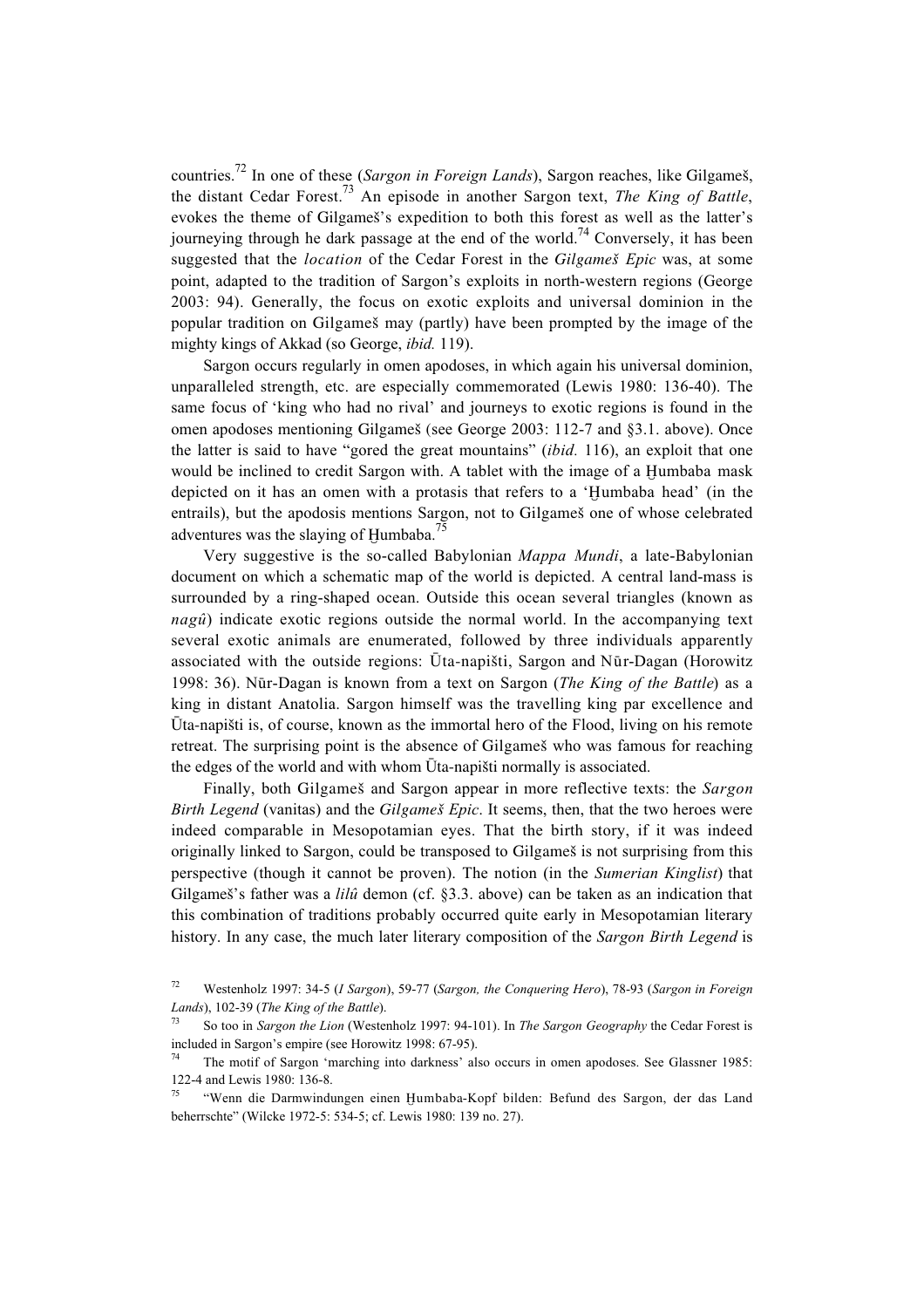countries.72 In one of these (*Sargon in Foreign Lands*), Sargon reaches, like Gilgameß, the distant Cedar Forest.73 An episode in another Sargon text, *The King of Battle*, evokes the theme of Gilgameß's expedition to both this forest as well as the latter's journeying through he dark passage at the end of the world.<sup>74</sup> Conversely, it has been suggested that the *location* of the Cedar Forest in the *Gilgameß Epic* was, at some point, adapted to the tradition of Sargon's exploits in north-western regions (George 2003: 94). Generally, the focus on exotic exploits and universal dominion in the popular tradition on Gilgameß may (partly) have been prompted by the image of the mighty kings of Akkad (so George, *ibid.* 119).

Sargon occurs regularly in omen apodoses, in which again his universal dominion, unparalleled strength, etc. are especially commemorated (Lewis 1980: 136-40). The same focus of 'king who had no rival' and journeys to exotic regions is found in the omen apodoses mentioning Gilgameß (see George 2003: 112-7 and §3.1. above). Once the latter is said to have "gored the great mountains" (*ibid.* 116), an exploit that one would be inclined to credit Sargon with. A tablet with the image of a Humbaba mask depicted on it has an omen with a protasis that refers to a 'Humbaba head' (in the entrails), but the apodosis mentions Sargon, not to Gilgameß one of whose celebrated adventures was the slaying of Humbaba.<sup>75</sup>

Very suggestive is the so-called Babylonian *Mappa Mundi*, a late-Babylonian document on which a schematic map of the world is depicted. A central land-mass is surrounded by a ring-shaped ocean. Outside this ocean several triangles (known as *nagû*) indicate exotic regions outside the normal world. In the accompanying text several exotic animals are enumerated, followed by three individuals apparently associated with the outside regions:  $\bar{U}$ ta-napišti, Sargon and Nūr-Dagan (Horowitz 1998: 36). N'r-Dagan is known from a text on Sargon (*The King of the Battle*) as a king in distant Anatolia. Sargon himself was the travelling king par excellence and  $\bar{U}$ ta-napišti is, of course, known as the immortal hero of the Flood, living on his remote retreat. The surprising point is the absence of Gilgameß who was famous for reaching the edges of the world and with whom  $\bar{U}$ ta-napišti normally is associated.

Finally, both Gilgameß and Sargon appear in more reflective texts: the *Sargon Birth Legend* (vanitas) and the *Gilgameß Epic*. It seems, then, that the two heroes were indeed comparable in Mesopotamian eyes. That the birth story, if it was indeed originally linked to Sargon, could be transposed to Gilgameß is not surprising from this perspective (though it cannot be proven). The notion (in the *Sumerian Kinglist*) that Gilgameß's father was a *lilû* demon (cf. §3.3. above) can be taken as an indication that this combination of traditions probably occurred quite early in Mesopotamian literary history. In any case, the much later literary composition of the *Sargon Birth Legend* is

<sup>72</sup> Westenholz 1997: 34-5 (*I Sargon*), 59-77 (*Sargon, the Conquering Hero*), 78-93 (*Sargon in Foreign Lands*), 102-39 (*The King of the Battle*).

<sup>73</sup> So too in *Sargon the Lion* (Westenholz 1997: 94-101). In *The Sargon Geography* the Cedar Forest is included in Sargon's empire (see Horowitz 1998: 67-95).

The motif of Sargon 'marching into darkness' also occurs in omen apodoses. See Glassner 1985: 122-4 and Lewis 1980: 136-8.

<sup>&</sup>quot;Wenn die Darmwindungen einen Humbaba-Kopf bilden: Befund des Sargon, der das Land beherrschte" (Wilcke 1972-5: 534-5; cf. Lewis 1980: 139 no. 27).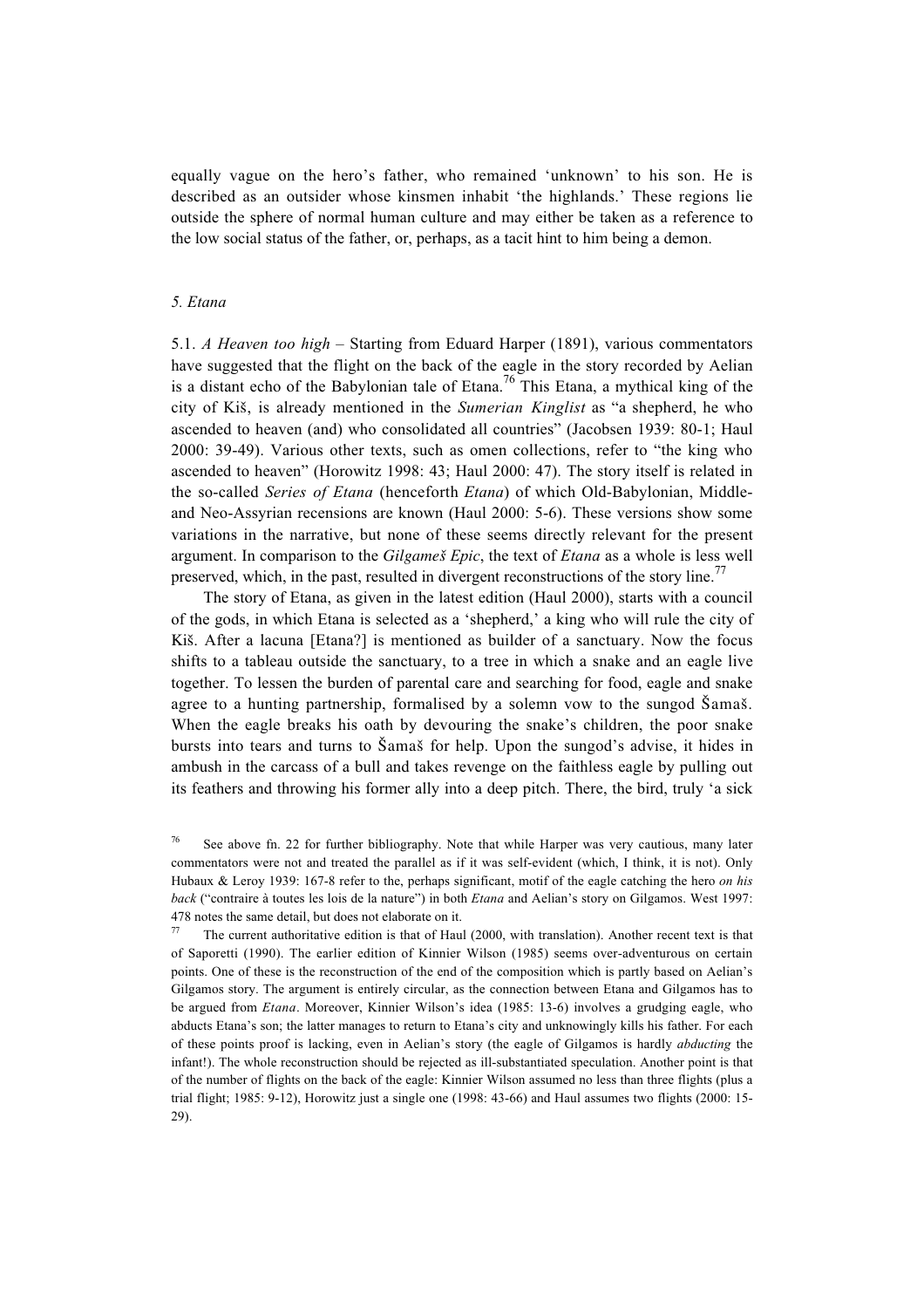equally vague on the hero's father, who remained 'unknown' to his son. He is described as an outsider whose kinsmen inhabit 'the highlands.' These regions lie outside the sphere of normal human culture and may either be taken as a reference to the low social status of the father, or, perhaps, as a tacit hint to him being a demon.

## *5. Etana*

5.1. *A Heaven too high* – Starting from Eduard Harper (1891), various commentators have suggested that the flight on the back of the eagle in the story recorded by Aelian is a distant echo of the Babylonian tale of Etana.<sup>76</sup> This Etana, a mythical king of the city of Kiß, is already mentioned in the *Sumerian Kinglist* as "a shepherd, he who ascended to heaven (and) who consolidated all countries" (Jacobsen 1939: 80-1; Haul 2000: 39-49). Various other texts, such as omen collections, refer to "the king who ascended to heaven" (Horowitz 1998: 43; Haul 2000: 47). The story itself is related in the so-called *Series of Etana* (henceforth *Etana*) of which Old-Babylonian, Middleand Neo-Assyrian recensions are known (Haul 2000: 5-6). These versions show some variations in the narrative, but none of these seems directly relevant for the present argument. In comparison to the *Gilgameß Epic*, the text of *Etana* as a whole is less well preserved, which, in the past, resulted in divergent reconstructions of the story line.<sup>77</sup>

The story of Etana, as given in the latest edition (Haul 2000), starts with a council of the gods, in which Etana is selected as a 'shepherd,' a king who will rule the city of Kiš. After a lacuna [Etana?] is mentioned as builder of a sanctuary. Now the focus shifts to a tableau outside the sanctuary, to a tree in which a snake and an eagle live together. To lessen the burden of parental care and searching for food, eagle and snake agree to a hunting partnership, formalised by a solemn vow to the sungod Šamaš. When the eagle breaks his oath by devouring the snake's children, the poor snake bursts into tears and turns to Íamaß for help. Upon the sungod's advise, it hides in ambush in the carcass of a bull and takes revenge on the faithless eagle by pulling out its feathers and throwing his former ally into a deep pitch. There, the bird, truly 'a sick

<sup>&</sup>lt;sup>76</sup> See above fn. 22 for further bibliography. Note that while Harper was very cautious, many later commentators were not and treated the parallel as if it was self-evident (which, I think, it is not). Only Hubaux & Leroy 1939: 167-8 refer to the, perhaps significant, motif of the eagle catching the hero *on his back* ("contraire à toutes les lois de la nature") in both *Etana* and Aelian's story on Gilgamos. West 1997: 478 notes the same detail, but does not elaborate on it.

The current authoritative edition is that of Haul (2000, with translation). Another recent text is that of Saporetti (1990). The earlier edition of Kinnier Wilson (1985) seems over-adventurous on certain points. One of these is the reconstruction of the end of the composition which is partly based on Aelian's Gilgamos story. The argument is entirely circular, as the connection between Etana and Gilgamos has to be argued from *Etana*. Moreover, Kinnier Wilson's idea (1985: 13-6) involves a grudging eagle, who abducts Etana's son; the latter manages to return to Etana's city and unknowingly kills his father. For each of these points proof is lacking, even in Aelian's story (the eagle of Gilgamos is hardly *abducting* the infant!). The whole reconstruction should be rejected as ill-substantiated speculation. Another point is that of the number of flights on the back of the eagle: Kinnier Wilson assumed no less than three flights (plus a trial flight; 1985: 9-12), Horowitz just a single one (1998: 43-66) and Haul assumes two flights (2000: 15- 29).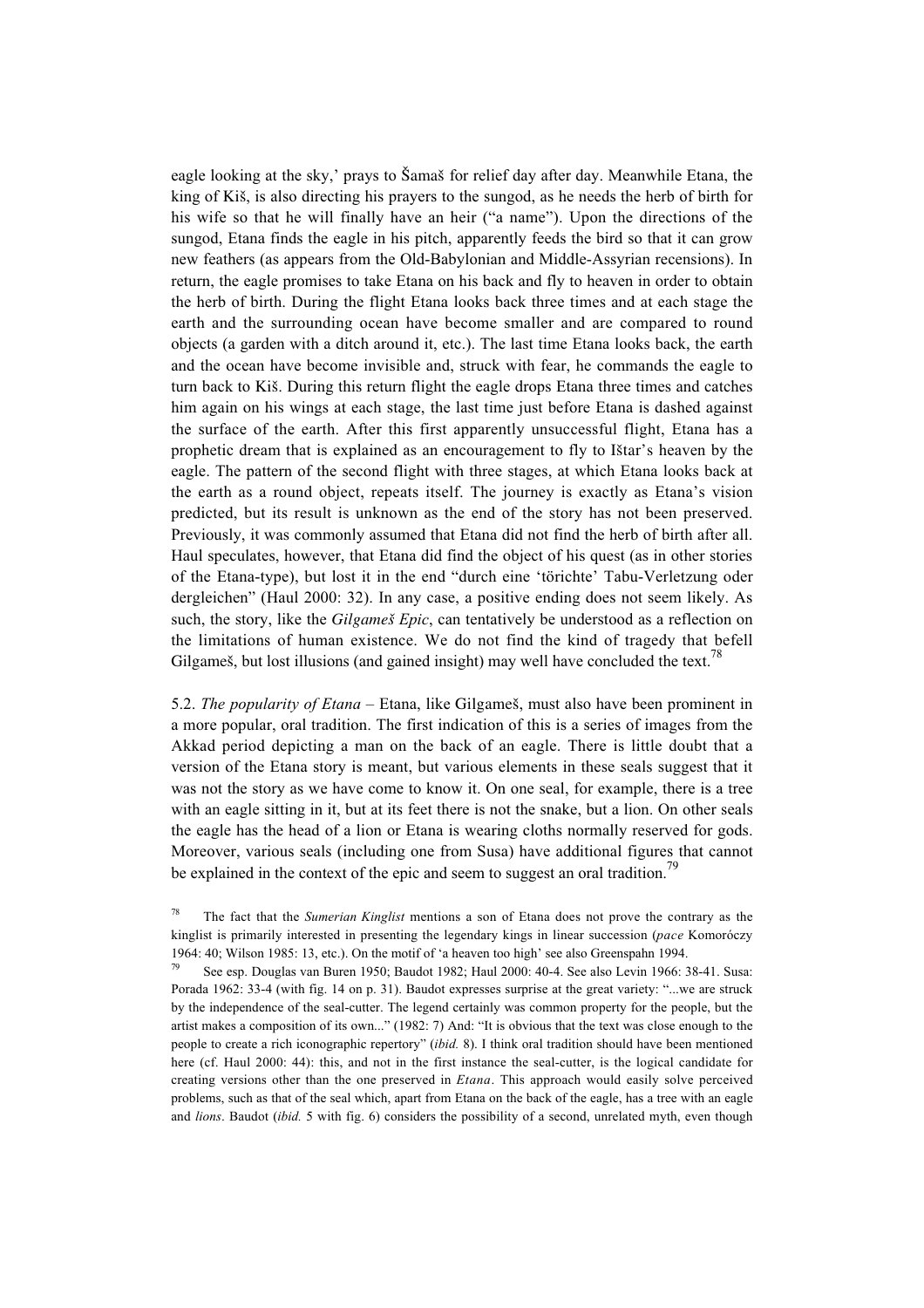eagle looking at the sky,' prays to Šamaš for relief day after day. Meanwhile Etana, the king of Kiß, is also directing his prayers to the sungod, as he needs the herb of birth for his wife so that he will finally have an heir ("a name"). Upon the directions of the sungod, Etana finds the eagle in his pitch, apparently feeds the bird so that it can grow new feathers (as appears from the Old-Babylonian and Middle-Assyrian recensions). In return, the eagle promises to take Etana on his back and fly to heaven in order to obtain the herb of birth. During the flight Etana looks back three times and at each stage the earth and the surrounding ocean have become smaller and are compared to round objects (a garden with a ditch around it, etc.). The last time Etana looks back, the earth and the ocean have become invisible and, struck with fear, he commands the eagle to turn back to Kiß. During this return flight the eagle drops Etana three times and catches him again on his wings at each stage, the last time just before Etana is dashed against the surface of the earth. After this first apparently unsuccessful flight, Etana has a prophetic dream that is explained as an encouragement to fly to Ißtar's heaven by the eagle. The pattern of the second flight with three stages, at which Etana looks back at the earth as a round object, repeats itself. The journey is exactly as Etana's vision predicted, but its result is unknown as the end of the story has not been preserved. Previously, it was commonly assumed that Etana did not find the herb of birth after all. Haul speculates, however, that Etana did find the object of his quest (as in other stories of the Etana-type), but lost it in the end "durch eine 'törichte' Tabu-Verletzung oder dergleichen" (Haul 2000: 32). In any case, a positive ending does not seem likely. As such, the story, like the *Gilgameß Epic*, can tentatively be understood as a reflection on the limitations of human existence. We do not find the kind of tragedy that befell Gilgameš, but lost illusions (and gained insight) may well have concluded the text.<sup>78</sup>

5.2. *The popularity of Etana* – Etana, like Gilgameß, must also have been prominent in a more popular, oral tradition. The first indication of this is a series of images from the Akkad period depicting a man on the back of an eagle. There is little doubt that a version of the Etana story is meant, but various elements in these seals suggest that it was not the story as we have come to know it. On one seal, for example, there is a tree with an eagle sitting in it, but at its feet there is not the snake, but a lion. On other seals the eagle has the head of a lion or Etana is wearing cloths normally reserved for gods. Moreover, various seals (including one from Susa) have additional figures that cannot be explained in the context of the epic and seem to suggest an oral tradition.<sup>79</sup>

<sup>78</sup> The fact that the *Sumerian Kinglist* mentions a son of Etana does not prove the contrary as the kinglist is primarily interested in presenting the legendary kings in linear succession (*pace* Komoróczy 1964: 40; Wilson 1985: 13, etc.). On the motif of 'a heaven too high' see also Greenspahn 1994.

<sup>79</sup> See esp. Douglas van Buren 1950; Baudot 1982; Haul 2000: 40-4. See also Levin 1966: 38-41. Susa: Porada 1962: 33-4 (with fig. 14 on p. 31). Baudot expresses surprise at the great variety: "...we are struck by the independence of the seal-cutter. The legend certainly was common property for the people, but the artist makes a composition of its own..." (1982: 7) And: "It is obvious that the text was close enough to the people to create a rich iconographic repertory" (*ibid.* 8). I think oral tradition should have been mentioned here (cf. Haul 2000: 44): this, and not in the first instance the seal-cutter, is the logical candidate for creating versions other than the one preserved in *Etana*. This approach would easily solve perceived problems, such as that of the seal which, apart from Etana on the back of the eagle, has a tree with an eagle and *lions*. Baudot (*ibid.* 5 with fig. 6) considers the possibility of a second, unrelated myth, even though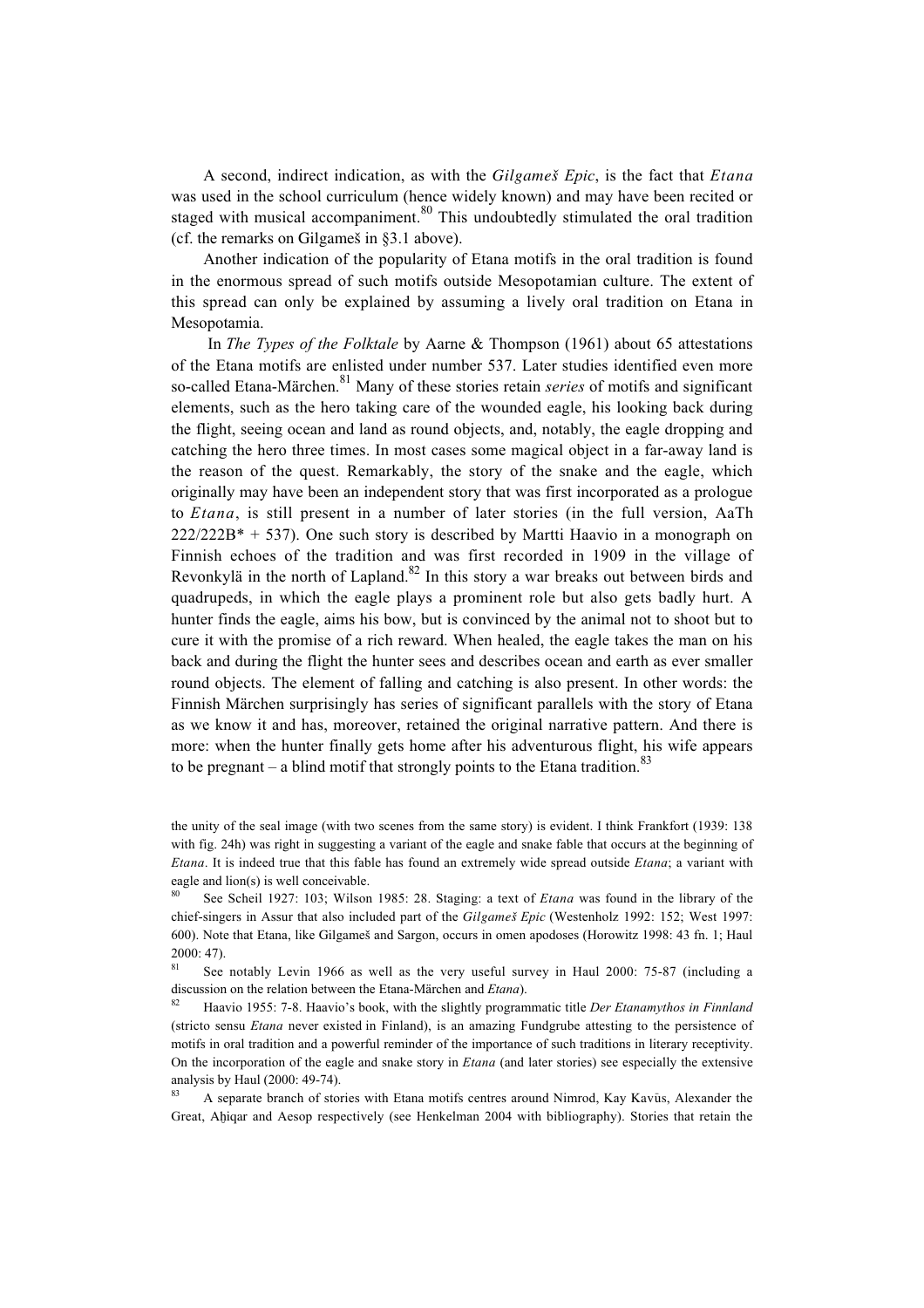A second, indirect indication, as with the *Gilgameß Epic*, is the fact that *Etana* was used in the school curriculum (hence widely known) and may have been recited or staged with musical accompaniment. $80$  This undoubtedly stimulated the oral tradition (cf. the remarks on Gilgameß in §3.1 above).

Another indication of the popularity of Etana motifs in the oral tradition is found in the enormous spread of such motifs outside Mesopotamian culture. The extent of this spread can only be explained by assuming a lively oral tradition on Etana in Mesopotamia.

 In *The Types of the Folktale* by Aarne & Thompson (1961) about 65 attestations of the Etana motifs are enlisted under number 537. Later studies identified even more so-called Etana-Märchen.81 Many of these stories retain *series* of motifs and significant elements, such as the hero taking care of the wounded eagle, his looking back during the flight, seeing ocean and land as round objects, and, notably, the eagle dropping and catching the hero three times. In most cases some magical object in a far-away land is the reason of the quest. Remarkably, the story of the snake and the eagle, which originally may have been an independent story that was first incorporated as a prologue to *Etana*, is still present in a number of later stories (in the full version, AaTh  $222/222B^* + 537$ ). One such story is described by Martti Haavio in a monograph on Finnish echoes of the tradition and was first recorded in 1909 in the village of Revonkylä in the north of Lapland.<sup>82</sup> In this story a war breaks out between birds and quadrupeds, in which the eagle plays a prominent role but also gets badly hurt. A hunter finds the eagle, aims his bow, but is convinced by the animal not to shoot but to cure it with the promise of a rich reward. When healed, the eagle takes the man on his back and during the flight the hunter sees and describes ocean and earth as ever smaller round objects. The element of falling and catching is also present. In other words: the Finnish Märchen surprisingly has series of significant parallels with the story of Etana as we know it and has, moreover, retained the original narrative pattern. And there is more: when the hunter finally gets home after his adventurous flight, his wife appears to be pregnant – a blind motif that strongly points to the Etana tradition.<sup>83</sup>

the unity of the seal image (with two scenes from the same story) is evident. I think Frankfort (1939: 138 with fig. 24h) was right in suggesting a variant of the eagle and snake fable that occurs at the beginning of *Etana*. It is indeed true that this fable has found an extremely wide spread outside *Etana*; a variant with eagle and lion(s) is well conceivable.

See notably Levin 1966 as well as the very useful survey in Haul 2000: 75-87 (including a discussion on the relation between the Etana-Märchen and *Etana*).

<sup>82</sup> Haavio 1955: 7-8. Haavio's book, with the slightly programmatic title *Der Etanamythos in Finnland* (stricto sensu *Etana* never existed in Finland), is an amazing Fundgrube attesting to the persistence of motifs in oral tradition and a powerful reminder of the importance of such traditions in literary receptivity. On the incorporation of the eagle and snake story in *Etana* (and later stories) see especially the extensive analysis by Haul (2000: 49-74).

A separate branch of stories with Etana motifs centres around Nimrod, Kay Kavūs, Alexander the Great, Ahigar and Aesop respectively (see Henkelman 2004 with bibliography). Stories that retain the

<sup>80</sup> See Scheil 1927: 103; Wilson 1985: 28. Staging: a text of *Etana* was found in the library of the chief-singers in Assur that also included part of the *Gilgameß Epic* (Westenholz 1992: 152; West 1997: 600). Note that Etana, like Gilgameß and Sargon, occurs in omen apodoses (Horowitz 1998: 43 fn. 1; Haul  $2000: 47$ .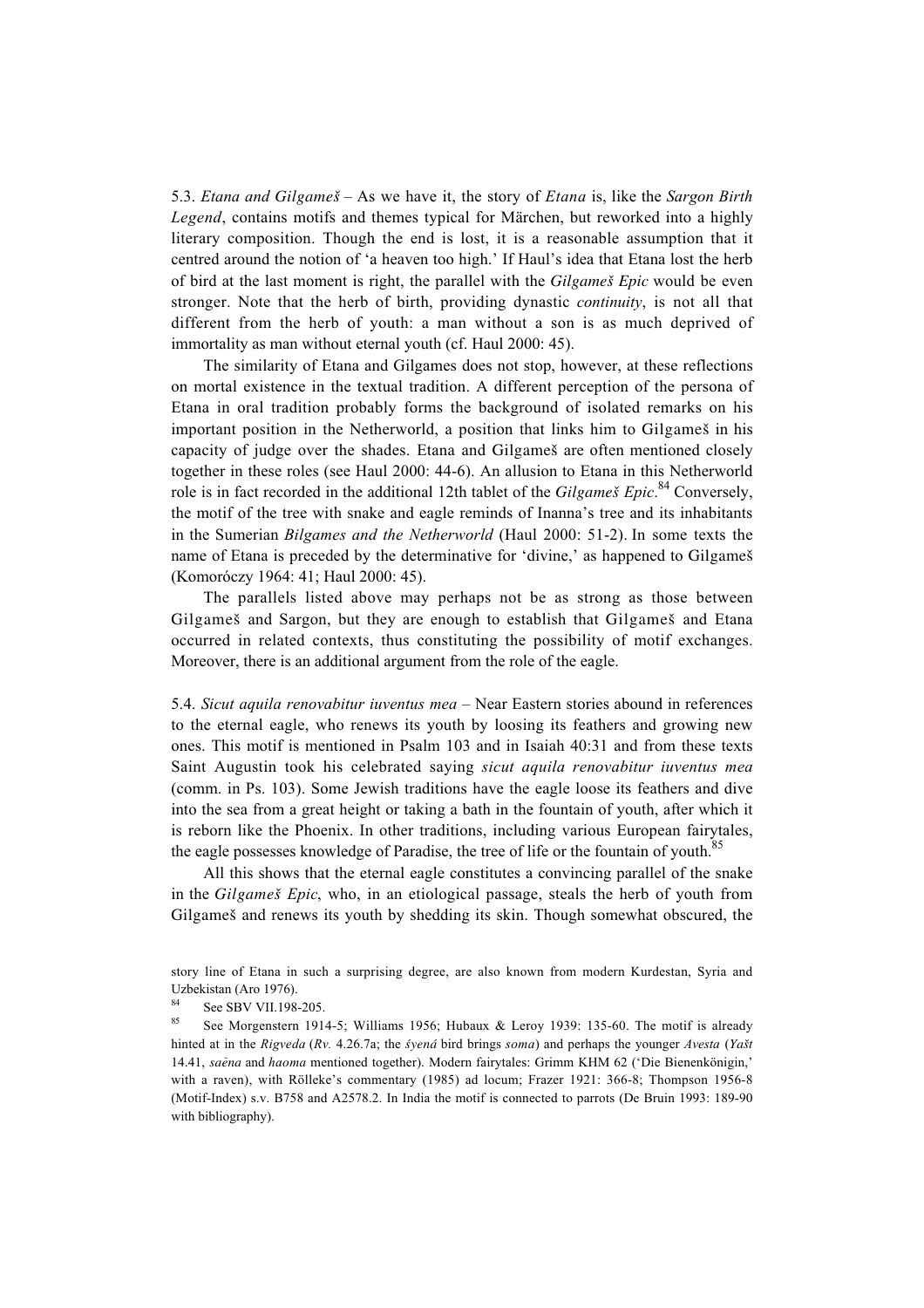5.3. *Etana and Gilgameß* – As we have it, the story of *Etana* is, like the *Sargon Birth Legend*, contains motifs and themes typical for Märchen, but reworked into a highly literary composition. Though the end is lost, it is a reasonable assumption that it centred around the notion of 'a heaven too high.' If Haul's idea that Etana lost the herb of bird at the last moment is right, the parallel with the *Gilgameß Epic* would be even stronger. Note that the herb of birth, providing dynastic *continuity*, is not all that different from the herb of youth: a man without a son is as much deprived of immortality as man without eternal youth (cf. Haul 2000: 45).

The similarity of Etana and Gilgames does not stop, however, at these reflections on mortal existence in the textual tradition. A different perception of the persona of Etana in oral tradition probably forms the background of isolated remarks on his important position in the Netherworld, a position that links him to Gilgameß in his capacity of judge over the shades. Etana and Gilgameß are often mentioned closely together in these roles (see Haul 2000: 44-6). An allusion to Etana in this Netherworld role is in fact recorded in the additional 12th tablet of the *Gilgameß Epic*. 84 Conversely, the motif of the tree with snake and eagle reminds of Inanna's tree and its inhabitants in the Sumerian *Bilgames and the Netherworld* (Haul 2000: 51-2). In some texts the name of Etana is preceded by the determinative for 'divine,' as happened to Gilgameß (Komoróczy 1964: 41; Haul 2000: 45).

The parallels listed above may perhaps not be as strong as those between Gilgameß and Sargon, but they are enough to establish that Gilgameß and Etana occurred in related contexts, thus constituting the possibility of motif exchanges. Moreover, there is an additional argument from the role of the eagle.

5.4. *Sicut aquila renovabitur iuventus mea* – Near Eastern stories abound in references to the eternal eagle, who renews its youth by loosing its feathers and growing new ones. This motif is mentioned in Psalm 103 and in Isaiah 40:31 and from these texts Saint Augustin took his celebrated saying *sicut aquila renovabitur iuventus mea* (comm. in Ps. 103). Some Jewish traditions have the eagle loose its feathers and dive into the sea from a great height or taking a bath in the fountain of youth, after which it is reborn like the Phoenix. In other traditions, including various European fairytales, the eagle possesses knowledge of Paradise, the tree of life or the fountain of youth.<sup>85</sup>

All this shows that the eternal eagle constitutes a convincing parallel of the snake in the *Gilgameß Epic*, who, in an etiological passage, steals the herb of youth from Gilgameß and renews its youth by shedding its skin. Though somewhat obscured, the

story line of Etana in such a surprising degree, are also known from modern Kurdestan, Syria and Uzbekistan (Aro 1976).<br> $84 \text{ C} \quad \text{CDW} \quad 100$ 

 $rac{84}{85}$  See SBV VII.198-205.

See Morgenstern 1914-5; Williams 1956; Hubaux & Leroy 1939: 135-60. The motif is already hinted at in the *Rigveda* (*Rv.* 4.26.7a; the *≈yená* bird brings *soma*) and perhaps the younger *Avesta* (*Yaßt* 14.41, *sa£ena* and *haoma* mentioned together). Modern fairytales: Grimm KHM 62 ('Die Bienenkönigin,' with a raven), with Rölleke's commentary (1985) ad locum; Frazer 1921: 366-8; Thompson 1956-8 (Motif-Index) s.v. B758 and A2578.2. In India the motif is connected to parrots (De Bruin 1993: 189-90 with bibliography).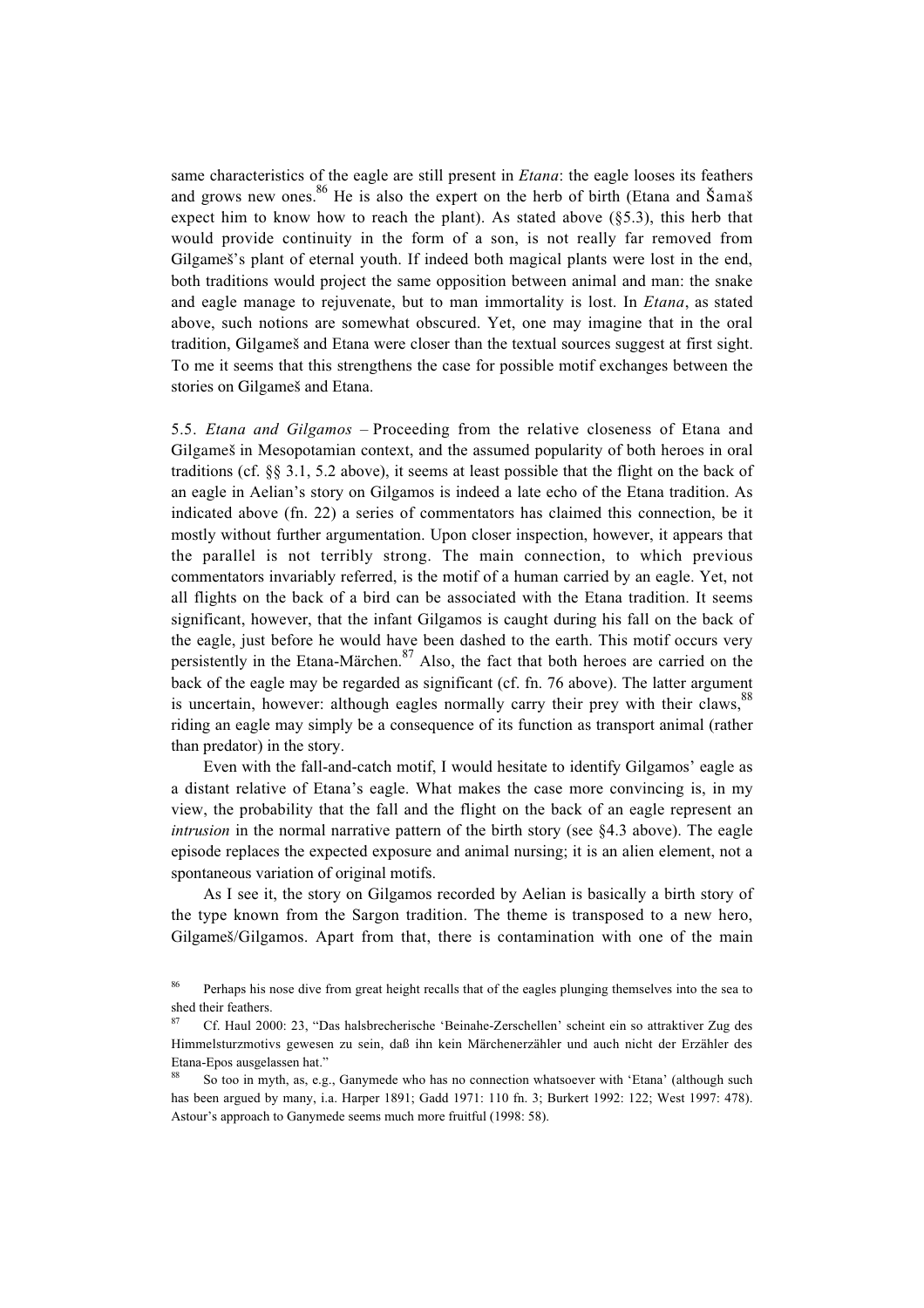same characteristics of the eagle are still present in *Etana*: the eagle looses its feathers and grows new ones.<sup>86</sup> He is also the expert on the herb of birth (Etana and Šamaš expect him to know how to reach the plant). As stated above  $(\S 5.3)$ , this herb that would provide continuity in the form of a son, is not really far removed from Gilgameß's plant of eternal youth. If indeed both magical plants were lost in the end, both traditions would project the same opposition between animal and man: the snake and eagle manage to rejuvenate, but to man immortality is lost. In *Etana*, as stated above, such notions are somewhat obscured. Yet, one may imagine that in the oral tradition, Gilgameß and Etana were closer than the textual sources suggest at first sight. To me it seems that this strengthens the case for possible motif exchanges between the stories on Gilgameß and Etana.

5.5. *Etana and Gilgamos* – Proceeding from the relative closeness of Etana and Gilgameß in Mesopotamian context, and the assumed popularity of both heroes in oral traditions (cf. §§ 3.1, 5.2 above), it seems at least possible that the flight on the back of an eagle in Aelian's story on Gilgamos is indeed a late echo of the Etana tradition. As indicated above (fn. 22) a series of commentators has claimed this connection, be it mostly without further argumentation. Upon closer inspection, however, it appears that the parallel is not terribly strong. The main connection, to which previous commentators invariably referred, is the motif of a human carried by an eagle. Yet, not all flights on the back of a bird can be associated with the Etana tradition. It seems significant, however, that the infant Gilgamos is caught during his fall on the back of the eagle, just before he would have been dashed to the earth. This motif occurs very persistently in the Etana-Märchen. $87$  Also, the fact that both heroes are carried on the back of the eagle may be regarded as significant (cf. fn. 76 above). The latter argument is uncertain, however: although eagles normally carry their prey with their claws,<sup>88</sup> riding an eagle may simply be a consequence of its function as transport animal (rather than predator) in the story.

Even with the fall-and-catch motif, I would hesitate to identify Gilgamos' eagle as a distant relative of Etana's eagle. What makes the case more convincing is, in my view, the probability that the fall and the flight on the back of an eagle represent an *intrusion* in the normal narrative pattern of the birth story (see §4.3 above). The eagle episode replaces the expected exposure and animal nursing; it is an alien element, not a spontaneous variation of original motifs.

As I see it, the story on Gilgamos recorded by Aelian is basically a birth story of the type known from the Sargon tradition. The theme is transposed to a new hero, Gilgameß/Gilgamos. Apart from that, there is contamination with one of the main

<sup>86</sup> Perhaps his nose dive from great height recalls that of the eagles plunging themselves into the sea to shed their feathers.

<sup>87</sup> Cf. Haul 2000: 23, "Das halsbrecherische 'Beinahe-Zerschellen' scheint ein so attraktiver Zug des Himmelsturzmotivs gewesen zu sein, daß ihn kein Märchenerzähler und auch nicht der Erzähler des Etana-Epos ausgelassen hat."

<sup>88</sup> So too in myth, as, e.g., Ganymede who has no connection whatsoever with 'Etana' (although such has been argued by many, i.a. Harper 1891; Gadd 1971: 110 fn. 3; Burkert 1992: 122; West 1997: 478). Astour's approach to Ganymede seems much more fruitful (1998: 58).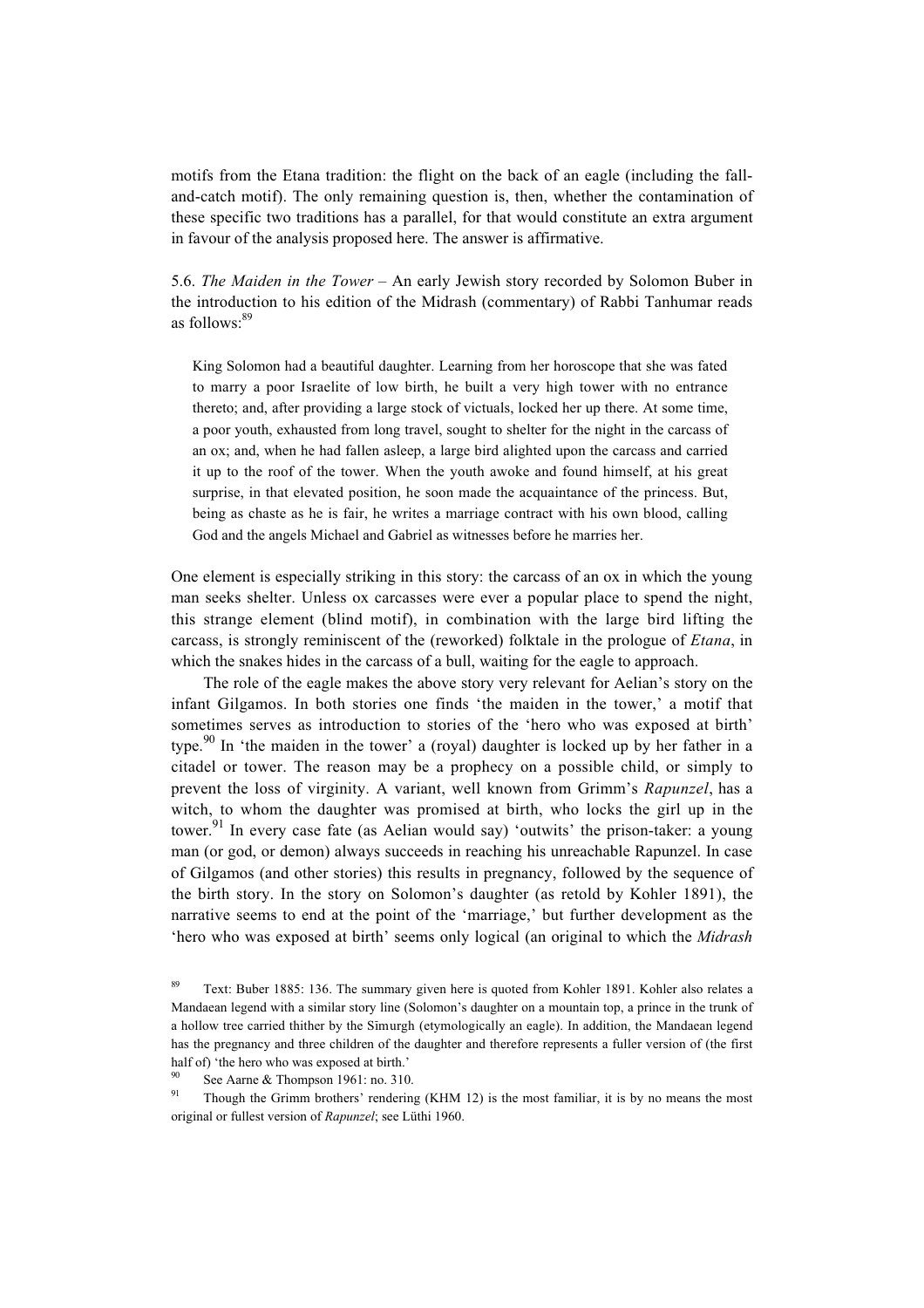motifs from the Etana tradition: the flight on the back of an eagle (including the falland-catch motif). The only remaining question is, then, whether the contamination of these specific two traditions has a parallel, for that would constitute an extra argument in favour of the analysis proposed here. The answer is affirmative.

5.6. *The Maiden in the Tower* – An early Jewish story recorded by Solomon Buber in the introduction to his edition of the Midrash (commentary) of Rabbi Tanhumar reads as follows:<sup>89</sup>

King Solomon had a beautiful daughter. Learning from her horoscope that she was fated to marry a poor Israelite of low birth, he built a very high tower with no entrance thereto; and, after providing a large stock of victuals, locked her up there. At some time, a poor youth, exhausted from long travel, sought to shelter for the night in the carcass of an ox; and, when he had fallen asleep, a large bird alighted upon the carcass and carried it up to the roof of the tower. When the youth awoke and found himself, at his great surprise, in that elevated position, he soon made the acquaintance of the princess. But, being as chaste as he is fair, he writes a marriage contract with his own blood, calling God and the angels Michael and Gabriel as witnesses before he marries her.

One element is especially striking in this story: the carcass of an ox in which the young man seeks shelter. Unless ox carcasses were ever a popular place to spend the night, this strange element (blind motif), in combination with the large bird lifting the carcass, is strongly reminiscent of the (reworked) folktale in the prologue of *Etana*, in which the snakes hides in the carcass of a bull, waiting for the eagle to approach.

The role of the eagle makes the above story very relevant for Aelian's story on the infant Gilgamos. In both stories one finds 'the maiden in the tower,' a motif that sometimes serves as introduction to stories of the 'hero who was exposed at birth' type.<sup>90</sup> In 'the maiden in the tower' a (royal) daughter is locked up by her father in a citadel or tower. The reason may be a prophecy on a possible child, or simply to prevent the loss of virginity. A variant, well known from Grimm's *Rapunzel*, has a witch, to whom the daughter was promised at birth, who locks the girl up in the tower.<sup>91</sup> In every case fate (as Aelian would say) 'outwits' the prison-taker: a young man (or god, or demon) always succeeds in reaching his unreachable Rapunzel. In case of Gilgamos (and other stories) this results in pregnancy, followed by the sequence of the birth story. In the story on Solomon's daughter (as retold by Kohler 1891), the narrative seems to end at the point of the 'marriage,' but further development as the 'hero who was exposed at birth' seems only logical (an original to which the *Midrash*

<sup>&</sup>lt;sup>89</sup> Text: Buber 1885: 136. The summary given here is quoted from Kohler 1891. Kohler also relates a Mandaean legend with a similar story line (Solomon's daughter on a mountain top, a prince in the trunk of a hollow tree carried thither by the Simurgh (etymologically an eagle). In addition, the Mandaean legend has the pregnancy and three children of the daughter and therefore represents a fuller version of (the first half of) 'the hero who was exposed at birth.'

<sup>&</sup>lt;sup>90</sup> See Aarne & Thompson 1961: no. 310.

Though the Grimm brothers' rendering (KHM 12) is the most familiar, it is by no means the most original or fullest version of *Rapunzel*; see Lüthi 1960.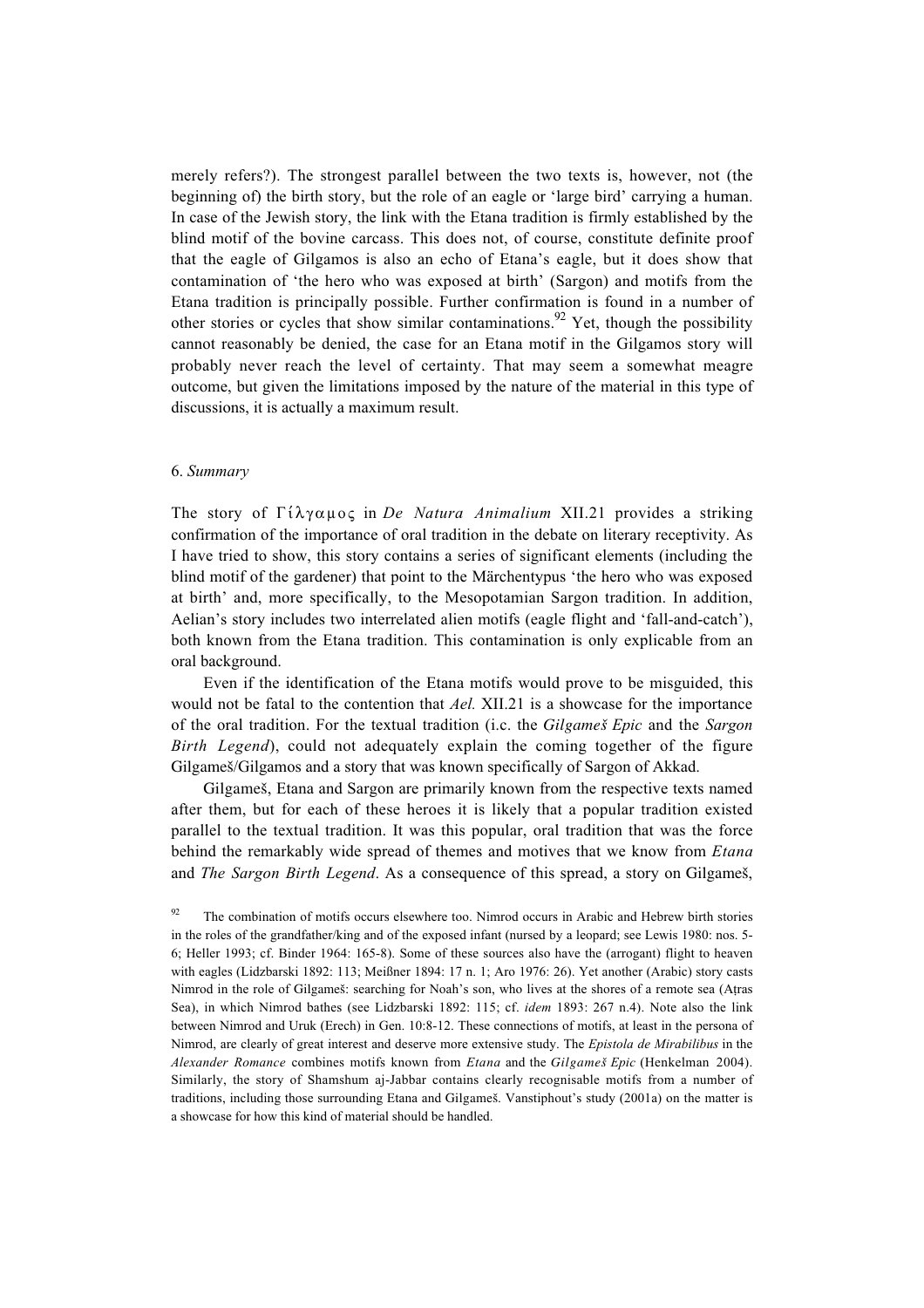merely refers?). The strongest parallel between the two texts is, however, not (the beginning of) the birth story, but the role of an eagle or 'large bird' carrying a human. In case of the Jewish story, the link with the Etana tradition is firmly established by the blind motif of the bovine carcass. This does not, of course, constitute definite proof that the eagle of Gilgamos is also an echo of Etana's eagle, but it does show that contamination of 'the hero who was exposed at birth' (Sargon) and motifs from the Etana tradition is principally possible. Further confirmation is found in a number of other stories or cycles that show similar contaminations.<sup>92</sup> Yet, though the possibility cannot reasonably be denied, the case for an Etana motif in the Gilgamos story will probably never reach the level of certainty. That may seem a somewhat meagre outcome, but given the limitations imposed by the nature of the material in this type of discussions, it is actually a maximum result.

#### 6. *Summary*

The story of  $\Gamma$ i $\lambda$ <sup>n</sup> $\alpha$ µoc in *De Natura Animalium* XII.21 provides a striking confirmation of the importance of oral tradition in the debate on literary receptivity. As I have tried to show, this story contains a series of significant elements (including the blind motif of the gardener) that point to the Märchentypus 'the hero who was exposed at birth' and, more specifically, to the Mesopotamian Sargon tradition. In addition, Aelian's story includes two interrelated alien motifs (eagle flight and 'fall-and-catch'), both known from the Etana tradition. This contamination is only explicable from an oral background.

Even if the identification of the Etana motifs would prove to be misguided, this would not be fatal to the contention that *Ael.* XII.21 is a showcase for the importance of the oral tradition. For the textual tradition (i.c. the *Gilgameß Epic* and the *Sargon Birth Legend*), could not adequately explain the coming together of the figure Gilgameß/Gilgamos and a story that was known specifically of Sargon of Akkad.

Gilgameß, Etana and Sargon are primarily known from the respective texts named after them, but for each of these heroes it is likely that a popular tradition existed parallel to the textual tradition. It was this popular, oral tradition that was the force behind the remarkably wide spread of themes and motives that we know from *Etana* and *The Sargon Birth Legend*. As a consequence of this spread, a story on Gilgameß,

The combination of motifs occurs elsewhere too. Nimrod occurs in Arabic and Hebrew birth stories in the roles of the grandfather/king and of the exposed infant (nursed by a leopard; see Lewis 1980: nos. 5- 6; Heller 1993; cf. Binder 1964: 165-8). Some of these sources also have the (arrogant) flight to heaven with eagles (Lidzbarski 1892: 113; Meißner 1894: 17 n. 1; Aro 1976: 26). Yet another (Arabic) story casts Nimrod in the role of Gilgameß: searching for Noah's son, who lives at the shores of a remote sea (A†ras Sea), in which Nimrod bathes (see Lidzbarski 1892: 115; cf. *idem* 1893: 267 n.4). Note also the link between Nimrod and Uruk (Erech) in Gen. 10:8-12. These connections of motifs, at least in the persona of Nimrod, are clearly of great interest and deserve more extensive study. The *Epistola de Mirabilibus* in the *Alexander Romance* combines motifs known from *Etana* and the *Gilgameß Epic* (Henkelman 2004). Similarly, the story of Shamshum aj-Jabbar contains clearly recognisable motifs from a number of traditions, including those surrounding Etana and Gilgameß. Vanstiphout's study (2001a) on the matter is a showcase for how this kind of material should be handled.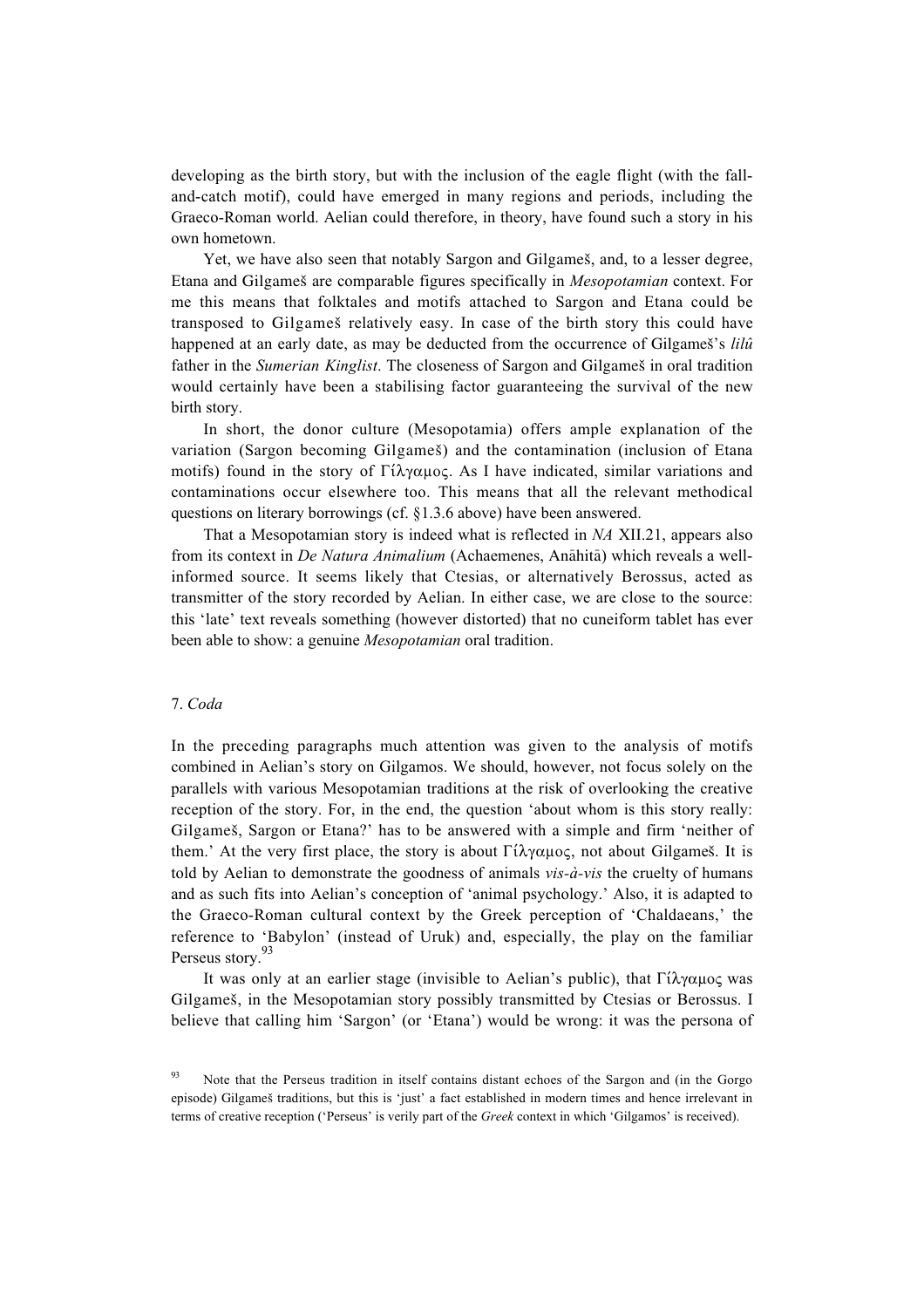developing as the birth story, but with the inclusion of the eagle flight (with the falland-catch motif), could have emerged in many regions and periods, including the Graeco-Roman world. Aelian could therefore, in theory, have found such a story in his own hometown.

Yet, we have also seen that notably Sargon and Gilgameß, and, to a lesser degree, Etana and Gilgameß are comparable figures specifically in *Mesopotamian* context. For me this means that folktales and motifs attached to Sargon and Etana could be transposed to Gilgameß relatively easy. In case of the birth story this could have happened at an early date, as may be deducted from the occurrence of Gilgameß's *lilû* father in the *Sumerian Kinglist*. The closeness of Sargon and Gilgameß in oral tradition would certainly have been a stabilising factor guaranteeing the survival of the new birth story.

In short, the donor culture (Mesopotamia) offers ample explanation of the variation (Sargon becoming Gilgameß) and the contamination (inclusion of Etana motifs) found in the story of  $\Gamma(\lambda \gamma \alpha \mu \alpha c)$ . As I have indicated, similar variations and contaminations occur elsewhere too. This means that all the relevant methodical questions on literary borrowings (cf. §1.3.6 above) have been answered.

That a Mesopotamian story is indeed what is reflected in *NA* XII.21, appears also from its context in *De Natura Animalium* (Achaemenes, Anāhitā) which reveals a wellinformed source. It seems likely that Ctesias, or alternatively Berossus, acted as transmitter of the story recorded by Aelian. In either case, we are close to the source: this 'late' text reveals something (however distorted) that no cuneiform tablet has ever been able to show: a genuine *Mesopotamian* oral tradition.

## 7. *Coda*

In the preceding paragraphs much attention was given to the analysis of motifs combined in Aelian's story on Gilgamos. We should, however, not focus solely on the parallels with various Mesopotamian traditions at the risk of overlooking the creative reception of the story. For, in the end, the question 'about whom is this story really: Gilgameß, Sargon or Etana?' has to be answered with a simple and firm 'neither of them.' At the very first place, the story is about  $\Gamma$ *i* $\lambda$  $\gamma \alpha \mu$ o $\varsigma$ , not about Gilgames. It is told by Aelian to demonstrate the goodness of animals *vis-à-vis* the cruelty of humans and as such fits into Aelian's conception of 'animal psychology.' Also, it is adapted to the Graeco-Roman cultural context by the Greek perception of 'Chaldaeans,' the reference to 'Babylon' (instead of Uruk) and, especially, the play on the familiar Perseus story.<sup>9</sup>

It was only at an earlier stage (invisible to Aelian's public), that  $\Gamma \hat{\iota} \lambda \gamma \alpha \mu o \varsigma$  was Gilgameß, in the Mesopotamian story possibly transmitted by Ctesias or Berossus. I believe that calling him 'Sargon' (or 'Etana') would be wrong: it was the persona of

<sup>&</sup>lt;sup>93</sup> Note that the Perseus tradition in itself contains distant echoes of the Sargon and (in the Gorgo episode) Gilgameß traditions, but this is 'just' a fact established in modern times and hence irrelevant in terms of creative reception ('Perseus' is verily part of the *Greek* context in which 'Gilgamos' is received).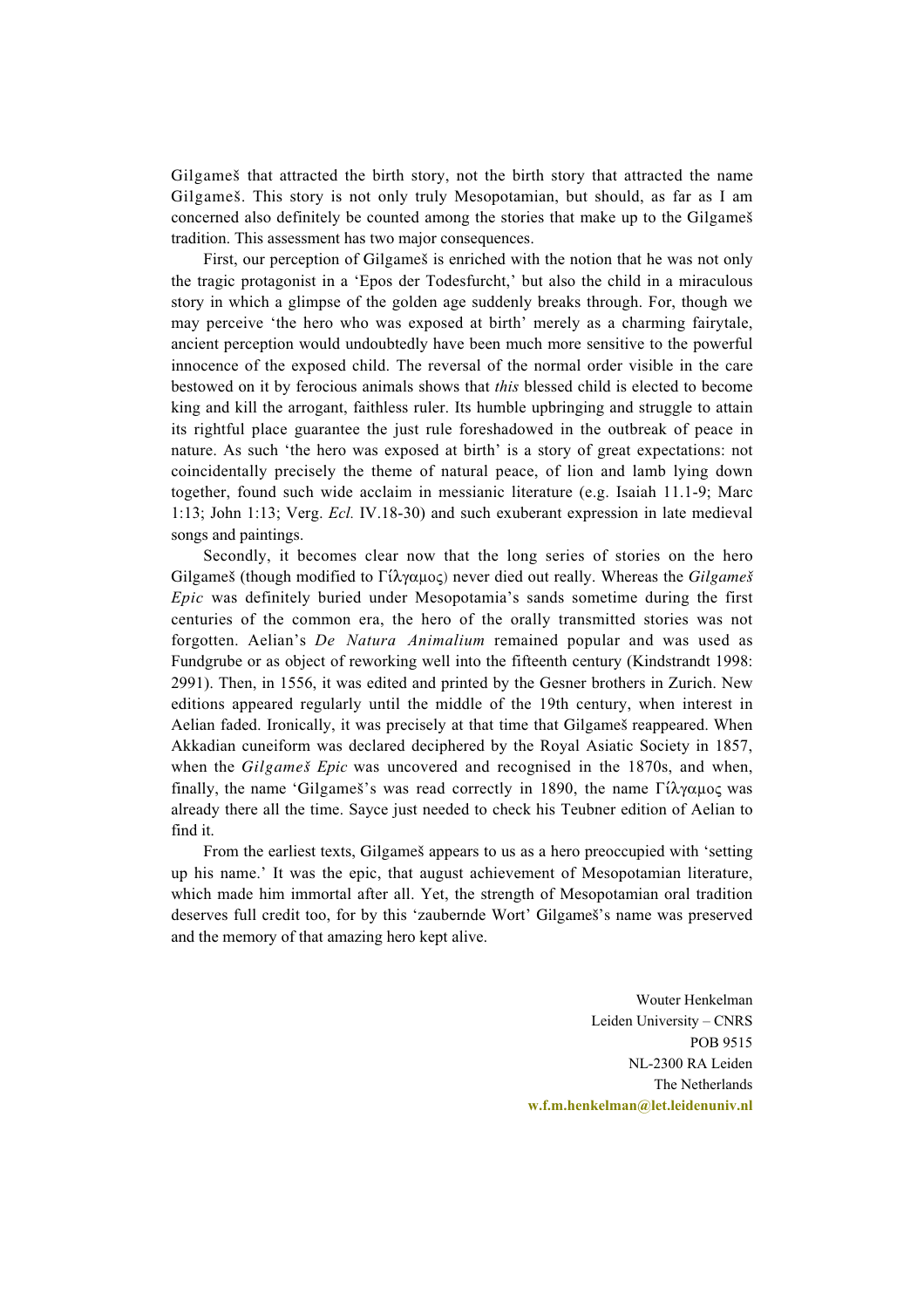Gilgameß that attracted the birth story, not the birth story that attracted the name Gilgameß. This story is not only truly Mesopotamian, but should, as far as I am concerned also definitely be counted among the stories that make up to the Gilgameß tradition. This assessment has two major consequences.

First, our perception of Gilgames is enriched with the notion that he was not only the tragic protagonist in a 'Epos der Todesfurcht,' but also the child in a miraculous story in which a glimpse of the golden age suddenly breaks through. For, though we may perceive 'the hero who was exposed at birth' merely as a charming fairytale, ancient perception would undoubtedly have been much more sensitive to the powerful innocence of the exposed child. The reversal of the normal order visible in the care bestowed on it by ferocious animals shows that *this* blessed child is elected to become king and kill the arrogant, faithless ruler. Its humble upbringing and struggle to attain its rightful place guarantee the just rule foreshadowed in the outbreak of peace in nature. As such 'the hero was exposed at birth' is a story of great expectations: not coincidentally precisely the theme of natural peace, of lion and lamb lying down together, found such wide acclaim in messianic literature (e.g. Isaiah 11.1-9; Marc 1:13; John 1:13; Verg. *Ecl.* IV.18-30) and such exuberant expression in late medieval songs and paintings.

Secondly, it becomes clear now that the long series of stories on the hero Gilgameš (though modified to  $\Gamma(\lambda \gamma \alpha \mu o \varsigma)$  never died out really. Whereas the *Gilgameš Epic* was definitely buried under Mesopotamia's sands sometime during the first centuries of the common era, the hero of the orally transmitted stories was not forgotten. Aelian's *De Natura Animalium* remained popular and was used as Fundgrube or as object of reworking well into the fifteenth century (Kindstrandt 1998: 2991). Then, in 1556, it was edited and printed by the Gesner brothers in Zurich. New editions appeared regularly until the middle of the 19th century, when interest in Aelian faded. Ironically, it was precisely at that time that Gilgameß reappeared. When Akkadian cuneiform was declared deciphered by the Royal Asiatic Society in 1857, when the *Gilgameß Epic* was uncovered and recognised in the 1870s, and when, finally, the name 'Gilgames's was read correctly in 1890, the name  $\Gamma i \lambda y \alpha \mu o \varsigma$  was already there all the time. Sayce just needed to check his Teubner edition of Aelian to find it.

From the earliest texts, Gilgameš appears to us as a hero preoccupied with 'setting up his name.' It was the epic, that august achievement of Mesopotamian literature, which made him immortal after all. Yet, the strength of Mesopotamian oral tradition deserves full credit too, for by this 'zaubernde Wort' Gilgameß's name was preserved and the memory of that amazing hero kept alive.

> Wouter Henkelman Leiden University – CNRS POB 9515 NL-2300 RA Leiden The Netherlands **w.f.m.henkelman@let.leidenuniv.nl**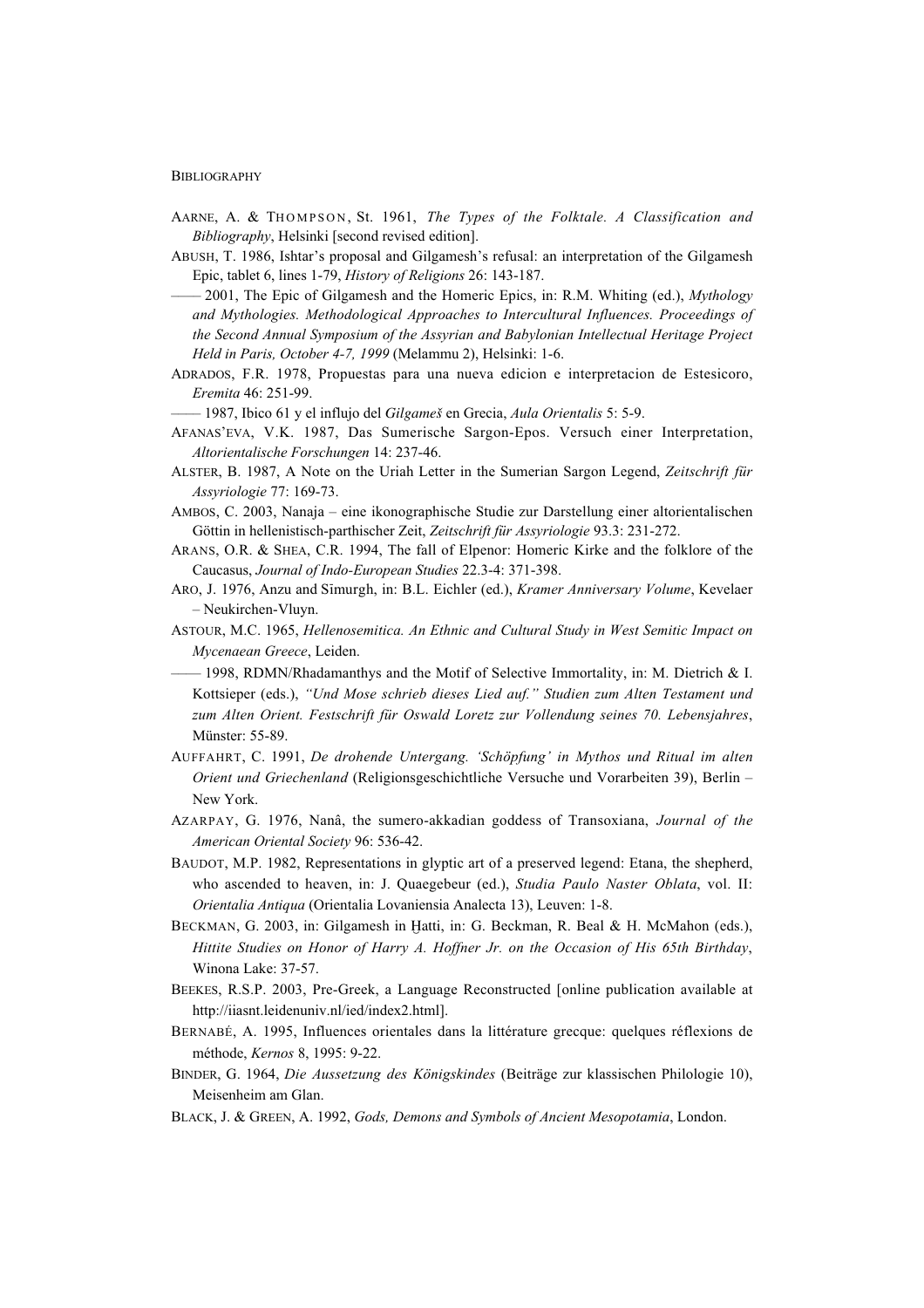#### BIBLIOGRAPHY

- AARNE, A. & THOMPSON , St. 1961, *The Types of the Folktale. A Classification and Bibliography*, Helsinki [second revised edition].
- ABUSH, T. 1986, Ishtar's proposal and Gilgamesh's refusal: an interpretation of the Gilgamesh Epic, tablet 6, lines 1-79, *History of Religions* 26: 143-187.
- –––– 2001, The Epic of Gilgamesh and the Homeric Epics, in: R.M. Whiting (ed.), *Mythology and Mythologies. Methodological Approaches to Intercultural Influences. Proceedings of the Second Annual Symposium of the Assyrian and Babylonian Intellectual Heritage Project Held in Paris, October 4-7, 1999* (Melammu 2), Helsinki: 1-6.
- ADRADOS, F.R. 1978, Propuestas para una nueva edicion e interpretacion de Estesicoro, *Eremita* 46: 251-99.
- –––– 1987, Ibico 61 y el influjo del *Gilgameß* en Grecia, *Aula Orientalis* 5: 5-9.
- AFANAS'EVA, V.K. 1987, Das Sumerische Sargon-Epos. Versuch einer Interpretation, *Altorientalische Forschungen* 14: 237-46.
- ALSTER, B. 1987, A Note on the Uriah Letter in the Sumerian Sargon Legend, *Zeitschrift für Assyriologie* 77: 169-73.
- AMBOS, C. 2003, Nanaja eine ikonographische Studie zur Darstellung einer altorientalischen Göttin in hellenistisch-parthischer Zeit, *Zeitschrift für Assyriologie* 93.3: 231-272.
- ARANS, O.R. & SHEA, C.R. 1994, The fall of Elpenor: Homeric Kirke and the folklore of the Caucasus, *Journal of Indo-European Studies* 22.3-4: 371-398.
- ARO, J. 1976, Anzu and Sīmurgh, in: B.L. Eichler (ed.), *Kramer Anniversary Volume*, Kevelaer – Neukirchen-Vluyn.
- ASTOUR, M.C. 1965, *Hellenosemitica. An Ethnic and Cultural Study in West Semitic Impact on Mycenaean Greece*, Leiden.
- $-$  1998, RDMN/Rhadamanthys and the Motif of Selective Immortality, in: M. Dietrich & I. Kottsieper (eds.), *"Und Mose schrieb dieses Lied auf." Studien zum Alten Testament und zum Alten Orient. Festschrift für Oswald Loretz zur Vollendung seines 70. Lebensjahres*, Münster: 55-89.
- AUFFAHRT, C. 1991, *De drohende Untergang. 'Schöpfung' in Mythos und Ritual im alten Orient und Griechenland* (Religionsgeschichtliche Versuche und Vorarbeiten 39), Berlin – New York.
- AZARPAY, G. 1976, Nanâ, the sumero-akkadian goddess of Transoxiana, *Journal of the American Oriental Society* 96: 536-42.
- BAUDOT, M.P. 1982, Representations in glyptic art of a preserved legend: Etana, the shepherd, who ascended to heaven, in: J. Quaegebeur (ed.), *Studia Paulo Naster Oblata*, vol. II: *Orientalia Antiqua* (Orientalia Lovaniensia Analecta 13), Leuven: 1-8.
- BECKMAN, G. 2003, in: Gilgamesh in Hatti, in: G. Beckman, R. Beal & H. McMahon (eds.), *Hittite Studies on Honor of Harry A. Hoffner Jr. on the Occasion of His 65th Birthday*, Winona Lake: 37-57.
- BEEKES, R.S.P. 2003, Pre-Greek, a Language Reconstructed [online publication available at http://iiasnt.leidenuniv.nl/ied/index2.html].
- BERNABÉ, A. 1995, Influences orientales dans la littérature grecque: quelques réflexions de méthode, *Kernos* 8, 1995: 9-22.
- BINDER, G. 1964, *Die Aussetzung des Königskindes* (Beiträge zur klassischen Philologie 10), Meisenheim am Glan.
- BLACK, J. & GREEN, A. 1992, *Gods, Demons and Symbols of Ancient Mesopotamia*, London.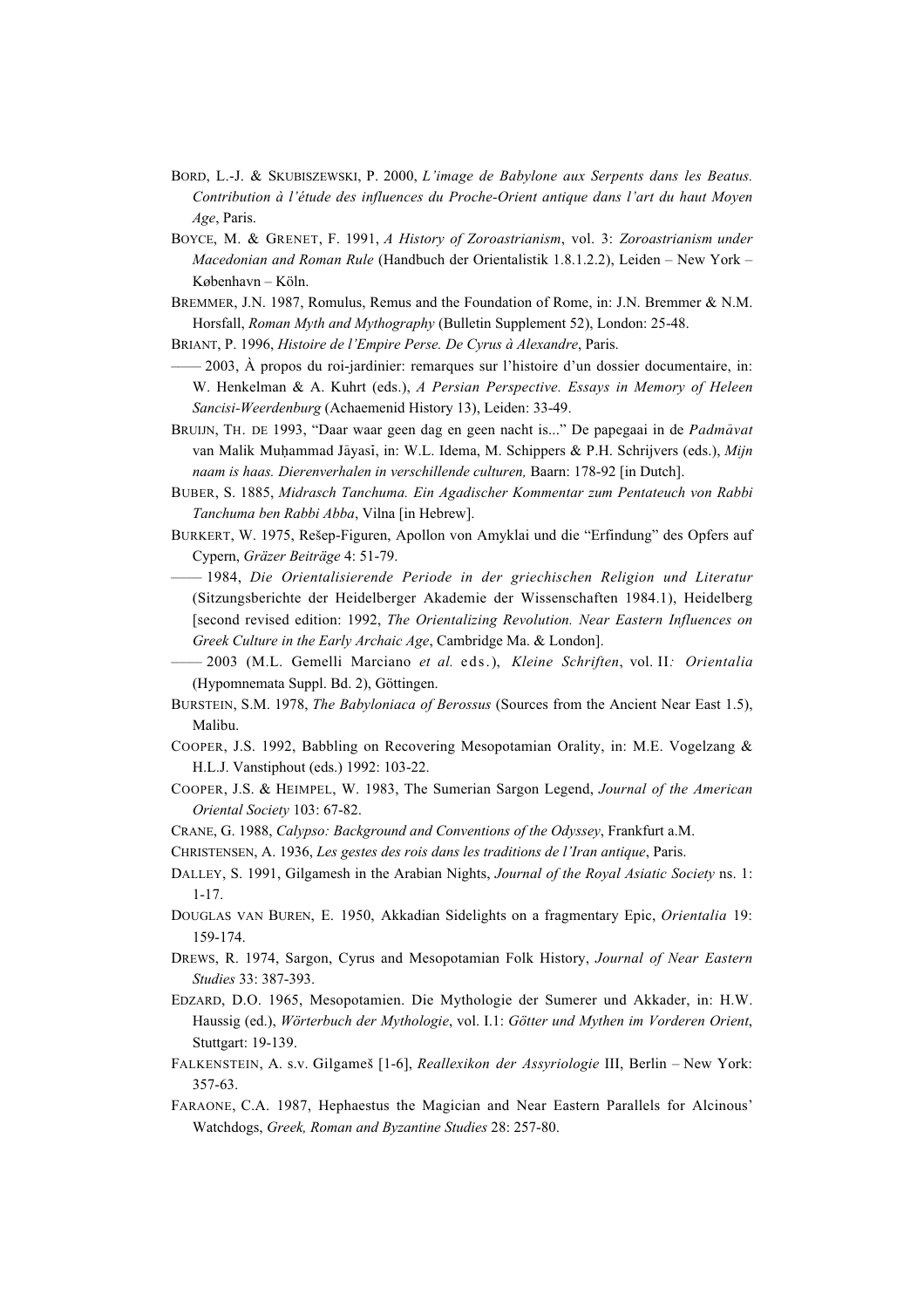- BORD, L.-J. & SKUBISZEWSKI, P. 2000, *L'image de Babylone aux Serpents dans les Beatus. Contribution à l'étude des influences du Proche-Orient antique dans l'art du haut Moyen Age*, Paris.
- BOYCE, M. & GRENET, F. 1991, *A History of Zoroastrianism*, vol. 3: *Zoroastrianism under Macedonian and Roman Rule* (Handbuch der Orientalistik 1.8.1.2.2), Leiden – New York – København – Köln.
- BREMMER, J.N. 1987, Romulus, Remus and the Foundation of Rome, in: J.N. Bremmer & N.M. Horsfall, *Roman Myth and Mythography* (Bulletin Supplement 52), London: 25-48.
- BRIANT, P. 1996, *Histoire de l'Empire Perse. De Cyrus à Alexandre*, Paris.
- $-2003$ , À propos du roi-jardinier: remarques sur l'histoire d'un dossier documentaire, in: W. Henkelman & A. Kuhrt (eds.), *A Persian Perspective. Essays in Memory of Heleen Sancisi-Weerdenburg* (Achaemenid History 13), Leiden: 33-49.
- BRUIJN, TH. DE 1993, "Daar waar geen dag en geen nacht is..." De papegaai in de *Padmāvat* van Malik Muhammad Jāyasī, in: W.L. Idema, M. Schippers & P.H. Schrijvers (eds.), *Mijn naam is haas. Dierenverhalen in verschillende culturen,* Baarn: 178-92 [in Dutch].
- BUBER, S. 1885, *Midrasch Tanchuma. Ein Agadischer Kommentar zum Pentateuch von Rabbi Tanchuma ben Rabbi Abba*, Vilna [in Hebrew].
- BURKERT, W. 1975, Reßep-Figuren, Apollon von Amyklai und die "Erfindung" des Opfers auf Cypern, *Gräzer Beiträge* 4: 51-79.
- –––– 1984, *Die Orientalisierende Periode in der griechischen Religion und Literatur* (Sitzungsberichte der Heidelberger Akademie der Wissenschaften 1984.1), Heidelberg [second revised edition: 1992, *The Orientalizing Revolution. Near Eastern Influences on Greek Culture in the Early Archaic Age*, Cambridge Ma. & London].
- –––– 2003 (M.L. Gemelli Marciano *et al.* eds.), *Kleine Schriften*, vol. II*: Orientalia* (Hypomnemata Suppl. Bd. 2), Göttingen.
- BURSTEIN, S.M. 1978, *The Babyloniaca of Berossus* (Sources from the Ancient Near East 1.5), Malibu.
- COOPER, J.S. 1992, Babbling on Recovering Mesopotamian Orality, in: M.E. Vogelzang & H.L.J. Vanstiphout (eds.) 1992: 103-22.
- COOPER, J.S. & HEIMPEL, W. 1983, The Sumerian Sargon Legend, *Journal of the American Oriental Society* 103: 67-82.
- CRANE, G. 1988, *Calypso: Background and Conventions of the Odyssey*, Frankfurt a.M.
- CHRISTENSEN, A. 1936, *Les gestes des rois dans les traditions de l'Iran antique*, Paris.
- DALLEY, S. 1991, Gilgamesh in the Arabian Nights, *Journal of the Royal Asiatic Society* ns. 1: 1-17.
- DOUGLAS VAN BUREN, E. 1950, Akkadian Sidelights on a fragmentary Epic, *Orientalia* 19: 159-174.
- DREWS, R. 1974, Sargon, Cyrus and Mesopotamian Folk History, *Journal of Near Eastern Studies* 33: 387-393.
- EDZARD, D.O. 1965, Mesopotamien. Die Mythologie der Sumerer und Akkader, in: H.W. Haussig (ed.), *Wörterbuch der Mythologie*, vol. I.1: *Götter und Mythen im Vorderen Orient*, Stuttgart: 19-139.
- FALKENSTEIN, A. s.v. Gilgameß [1-6], *Reallexikon der Assyriologie* III, Berlin New York: 357-63.
- FARAONE, C.A. 1987, Hephaestus the Magician and Near Eastern Parallels for Alcinous' Watchdogs, *Greek, Roman and Byzantine Studies* 28: 257-80.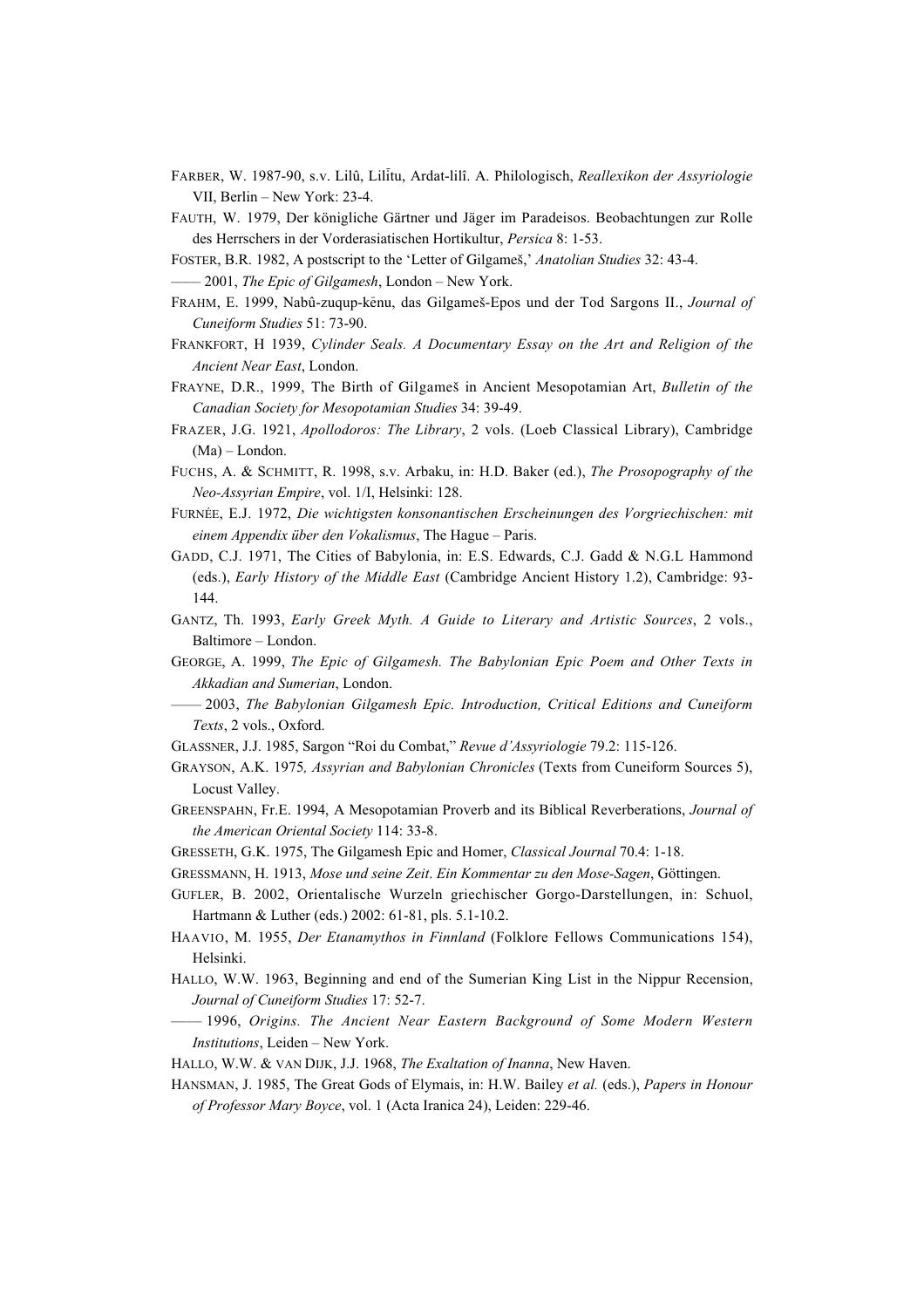- FARBER, W. 1987-90, s.v. Lilû, Lil¤itu, Ardat-lilî. A. Philologisch, *Reallexikon der Assyriologie* VII, Berlin – New York: 23-4.
- FAUTH, W. 1979, Der königliche Gärtner und Jäger im Paradeisos. Beobachtungen zur Rolle des Herrschers in der Vorderasiatischen Hortikultur, *Persica* 8: 1-53.
- FOSTER, B.R. 1982, A postscript to the 'Letter of Gilgameß,' *Anatolian Studies* 32: 43-4.
- –––– 2001, *The Epic of Gilgamesh*, London New York.
- FRAHM, E. 1999, Nabû-zuqup-k£enu, das Gilgameß-Epos und der Tod Sargons II., *Journal of Cuneiform Studies* 51: 73-90.
- FRANKFORT, H 1939, *Cylinder Seals. A Documentary Essay on the Art and Religion of the Ancient Near East*, London.
- FRAYNE, D.R., 1999, The Birth of Gilgameß in Ancient Mesopotamian Art, *Bulletin of the Canadian Society for Mesopotamian Studies* 34: 39-49.
- FRAZER, J.G. 1921, *Apollodoros: The Library*, 2 vols. (Loeb Classical Library), Cambridge (Ma) – London.
- FUCHS, A. & SCHMITT, R. 1998, s.v. Arbaku, in: H.D. Baker (ed.), *The Prosopography of the Neo-Assyrian Empire*, vol. 1/I, Helsinki: 128.
- FURNÉE, E.J. 1972, *Die wichtigsten konsonantischen Erscheinungen des Vorgriechischen: mit einem Appendix über den Vokalismus*, The Hague – Paris.
- GADD, C.J. 1971, The Cities of Babylonia, in: E.S. Edwards, C.J. Gadd & N.G.L Hammond (eds.), *Early History of the Middle East* (Cambridge Ancient History 1.2), Cambridge: 93- 144.
- GANTZ, Th. 1993, *Early Greek Myth. A Guide to Literary and Artistic Sources*, 2 vols., Baltimore – London.
- GEORGE, A. 1999, *The Epic of Gilgamesh. The Babylonian Epic Poem and Other Texts in Akkadian and Sumerian*, London.
- –––– 2003, *The Babylonian Gilgamesh Epic. Introduction, Critical Editions and Cuneiform Texts*, 2 vols., Oxford.
- GLASSNER, J.J. 1985, Sargon "Roi du Combat," *Revue d'Assyriologie* 79.2: 115-126.
- GRAYSON, A.K. 1975*, Assyrian and Babylonian Chronicles* (Texts from Cuneiform Sources 5), Locust Valley.
- GREENSPAHN, Fr.E. 1994, A Mesopotamian Proverb and its Biblical Reverberations, *Journal of the American Oriental Society* 114: 33-8.
- GRESSETH, G.K. 1975, The Gilgamesh Epic and Homer, *Classical Journal* 70.4: 1-18.
- GRESSMANN, H. 1913, *Mose und seine Zeit*. *Ein Kommentar zu den Mose-Sagen*, Göttingen.
- GUFLER, B. 2002, Orientalische Wurzeln griechischer Gorgo-Darstellungen, in: Schuol, Hartmann & Luther (eds.) 2002: 61-81, pls. 5.1-10.2.
- HAAVIO, M. 1955, *Der Etanamythos in Finnland* (Folklore Fellows Communications 154), Helsinki.
- HALLO, W.W. 1963, Beginning and end of the Sumerian King List in the Nippur Recension, *Journal of Cuneiform Studies* 17: 52-7.
- –––– 1996, *Origins. The Ancient Near Eastern Background of Some Modern Western Institutions*, Leiden – New York.
- HALLO, W.W. & VAN DIJK, J.J. 1968, *The Exaltation of Inanna*, New Haven.
- HANSMAN, J. 1985, The Great Gods of Elymais, in: H.W. Bailey *et al.* (eds.), *Papers in Honour of Professor Mary Boyce*, vol. 1 (Acta Iranica 24), Leiden: 229-46.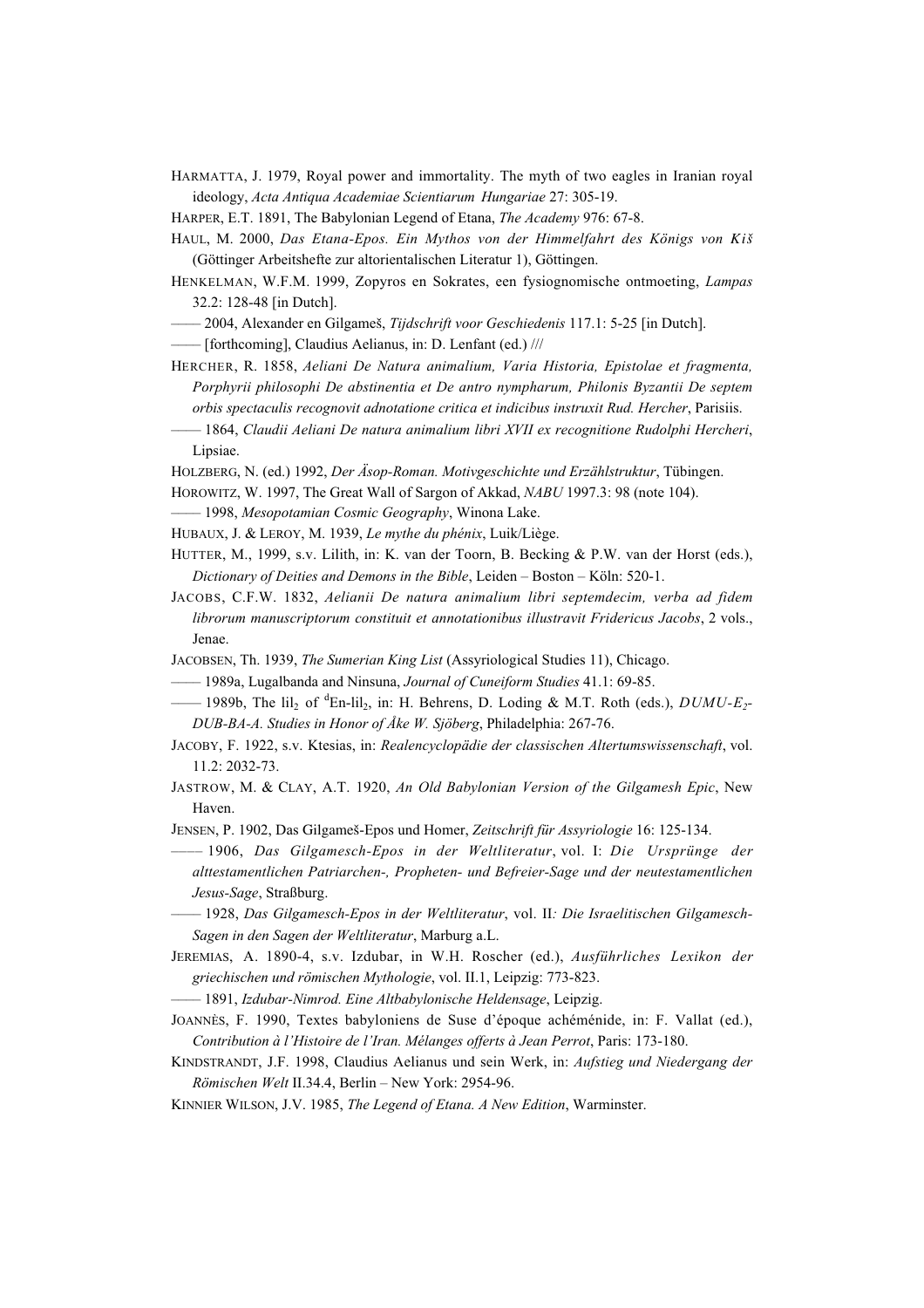- HARMATTA, J. 1979, Royal power and immortality. The myth of two eagles in Iranian royal ideology, *Acta Antiqua Academiae Scientiarum Hungariae* 27: 305-19.
- HARPER, E.T. 1891, The Babylonian Legend of Etana, *The Academy* 976: 67-8.
- HAUL, M. 2000, *Das Etana-Epos. Ein Mythos von der Himmelfahrt des Königs von Kiß* (Göttinger Arbeitshefte zur altorientalischen Literatur 1), Göttingen.
- HENKELMAN, W.F.M. 1999, Zopyros en Sokrates, een fysiognomische ontmoeting, *Lampas* 32.2: 128-48 [in Dutch].
- –––– 2004, Alexander en Gilgameß, *Tijdschrift voor Geschiedenis* 117.1: 5-25 [in Dutch].
- –––– [forthcoming], Claudius Aelianus, in: D. Lenfant (ed.) ///
- HERCHER, R. 1858, *Aeliani De Natura animalium, Varia Historia, Epistolae et fragmenta, Porphyrii philosophi De abstinentia et De antro nympharum, Philonis Byzantii De septem orbis spectaculis recognovit adnotatione critica et indicibus instruxit Rud. Hercher*, Parisiis.
- –––– 1864, *Claudii Aeliani De natura animalium libri XVII ex recognitione Rudolphi Hercheri*, Lipsiae.
- HOLZBERG, N. (ed.) 1992, *Der Äsop-Roman. Motivgeschichte und Erzählstruktur*, Tübingen.
- HOROWITZ, W. 1997, The Great Wall of Sargon of Akkad, *NABU* 1997.3: 98 (note 104).
- –––– 1998, *Mesopotamian Cosmic Geography*, Winona Lake.
- HUBAUX, J. & LEROY, M. 1939, *Le mythe du phénix*, Luik/Liège.
- HUTTER, M., 1999, s.v. Lilith, in: K. van der Toorn, B. Becking & P.W. van der Horst (eds.), *Dictionary of Deities and Demons in the Bible*, Leiden – Boston – Köln: 520-1.
- JACOBS, C.F.W. 1832, *Aelianii De natura animalium libri septemdecim, verba ad fidem librorum manuscriptorum constituit et annotationibus illustravit Fridericus Jacobs*, 2 vols., Jenae.
- JACOBSEN, Th. 1939, *The Sumerian King List* (Assyriological Studies 11), Chicago.
- –––– 1989a, Lugalbanda and Ninsuna, *Journal of Cuneiform Studies* 41.1: 69-85.
- —— 1989b, The lil<sub>2</sub> of <sup>d</sup>En-lil<sub>2</sub>, in: H. Behrens, D. Loding & M.T. Roth (eds.), *DUMU-E<sub>2</sub>*-*DUB-BA-A. Studies in Honor of Åke W. Sjöberg*, Philadelphia: 267-76.
- JACOBY, F. 1922, s.v. Ktesias, in: *Realencyclopädie der classischen Altertumswissenschaft*, vol. 11.2: 2032-73.
- JASTROW, M. & CLAY, A.T. 1920, *An Old Babylonian Version of the Gilgamesh Epic*, New Haven.
- JENSEN, P. 1902, Das Gilgameß-Epos und Homer, *Zeitschrift für Assyriologie* 16: 125-134.
- –––– 1906, *Das Gilgamesch-Epos in der Weltliteratur*, vol. I: *Die Ursprünge der alttestamentlichen Patriarchen-, Propheten- und Befreier-Sage und der neutestamentlichen Jesus-Sage*, Straßburg.
- –––– 1928, *Das Gilgamesch-Epos in der Weltliteratur*, vol. II*: Die Israelitischen Gilgamesch-Sagen in den Sagen der Weltliteratur*, Marburg a.L.
- JEREMIAS, A. 1890-4, s.v. Izdubar, in W.H. Roscher (ed.), *Ausführliches Lexikon der griechischen und römischen Mythologie*, vol. II.1, Leipzig: 773-823.
- –––– 1891, *Izdubar-Nimrod. Eine Altbabylonische Heldensage*, Leipzig.
- JOANNÈS, F. 1990, Textes babyloniens de Suse d'époque achéménide, in: F. Vallat (ed.), *Contribution à l'Histoire de l'Iran. Mélanges offerts à Jean Perrot*, Paris: 173-180.
- KINDSTRANDT, J.F. 1998, Claudius Aelianus und sein Werk, in: *Aufstieg und Niedergang der Römischen Welt* II.34.4, Berlin – New York: 2954-96.
- KINNIER WILSON, J.V. 1985, *The Legend of Etana. A New Edition*, Warminster.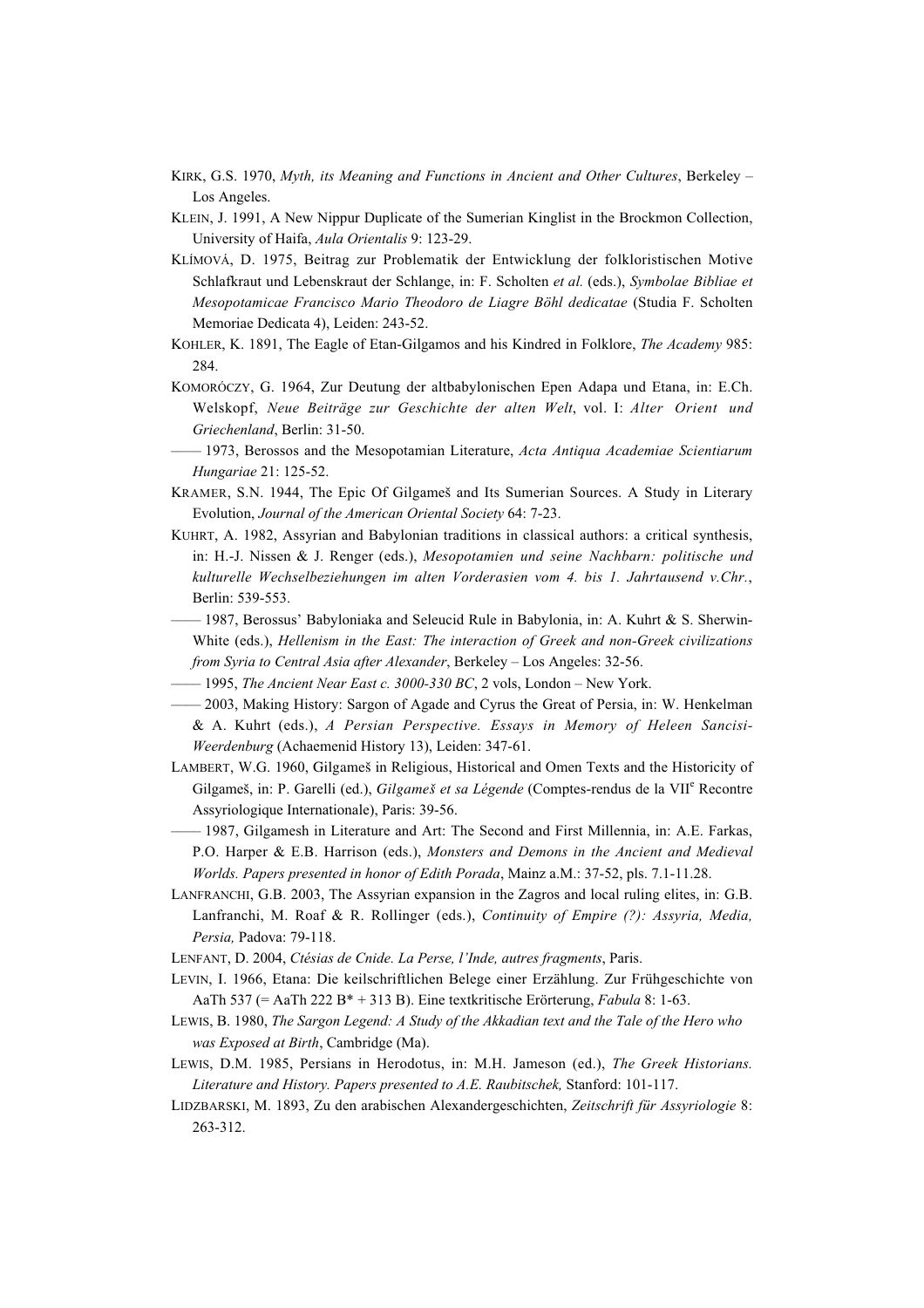- KIRK, G.S. 1970, *Myth, its Meaning and Functions in Ancient and Other Cultures*, Berkeley Los Angeles.
- KLEIN, J. 1991, A New Nippur Duplicate of the Sumerian Kinglist in the Brockmon Collection, University of Haifa, *Aula Orientalis* 9: 123-29.
- KLÍMOVÁ, D. 1975, Beitrag zur Problematik der Entwicklung der folkloristischen Motive Schlafkraut und Lebenskraut der Schlange, in: F. Scholten *et al.* (eds.), *Symbolae Bibliae et Mesopotamicae Francisco Mario Theodoro de Liagre Böhl dedicatae* (Studia F. Scholten Memoriae Dedicata 4), Leiden: 243-52.
- KOHLER, K. 1891, The Eagle of Etan-Gilgamos and his Kindred in Folklore, *The Academy* 985: 284.
- KOMORÓCZY, G. 1964, Zur Deutung der altbabylonischen Epen Adapa und Etana, in: E.Ch. Welskopf, *Neue Beiträge zur Geschichte der alten Welt*, vol. I: *Alter Orient und Griechenland*, Berlin: 31-50.
- –––– 1973, Berossos and the Mesopotamian Literature, *Acta Antiqua Academiae Scientiarum Hungariae* 21: 125-52.
- KRAMER, S.N. 1944, The Epic Of Gilgameß and Its Sumerian Sources. A Study in Literary Evolution, *Journal of the American Oriental Society* 64: 7-23.
- KUHRT, A. 1982, Assyrian and Babylonian traditions in classical authors: a critical synthesis, in: H.-J. Nissen & J. Renger (eds.), *Mesopotamien und seine Nachbarn: politische und kulturelle Wechselbeziehungen im alten Vorderasien vom 4. bis 1. Jahrtausend v.Chr.*, Berlin: 539-553.
- $-$  1987, Berossus' Babyloniaka and Seleucid Rule in Babylonia, in: A. Kuhrt & S. Sherwin-White (eds.), *Hellenism in the East: The interaction of Greek and non-Greek civilizations from Syria to Central Asia after Alexander*, Berkeley – Los Angeles: 32-56.
- –––– 1995, *The Ancient Near East c. 3000-330 BC*, 2 vols, London New York.
- –––– 2003, Making History: Sargon of Agade and Cyrus the Great of Persia, in: W. Henkelman & A. Kuhrt (eds.), *A Persian Perspective. Essays in Memory of Heleen Sancisi-Weerdenburg* (Achaemenid History 13), Leiden: 347-61.
- LAMBERT, W.G. 1960, Gilgameß in Religious, Historical and Omen Texts and the Historicity of Gilgameš, in: P. Garelli (ed.), *Gilgameš et sa Légende* (Comptes-rendus de la VII<sup>e</sup> Recontre Assyriologique Internationale), Paris: 39-56.
- –––– 1987, Gilgamesh in Literature and Art: The Second and First Millennia, in: A.E. Farkas, P.O. Harper & E.B. Harrison (eds.), *Monsters and Demons in the Ancient and Medieval Worlds. Papers presented in honor of Edith Porada*, Mainz a.M.: 37-52, pls. 7.1-11.28.
- LANFRANCHI, G.B. 2003, The Assyrian expansion in the Zagros and local ruling elites, in: G.B. Lanfranchi, M. Roaf & R. Rollinger (eds.), *Continuity of Empire (?): Assyria, Media, Persia,* Padova: 79-118.
- LENFANT, D. 2004, *Ctésias de Cnide. La Perse, l'Inde, autres fragments*, Paris.
- LEVIN, I. 1966, Etana: Die keilschriftlichen Belege einer Erzählung. Zur Frühgeschichte von AaTh 537 (= AaTh 222 B\* + 313 B). Eine textkritische Erörterung, *Fabula* 8: 1-63.
- LEWIS, B. 1980, *The Sargon Legend: A Study of the Akkadian text and the Tale of the Hero who was Exposed at Birth*, Cambridge (Ma).
- LEWIS, D.M. 1985, Persians in Herodotus, in: M.H. Jameson (ed.), *The Greek Historians. Literature and History. Papers presented to A.E. Raubitschek,* Stanford: 101-117.
- LIDZBARSKI, M. 1893, Zu den arabischen Alexandergeschichten, *Zeitschrift für Assyriologie* 8: 263-312.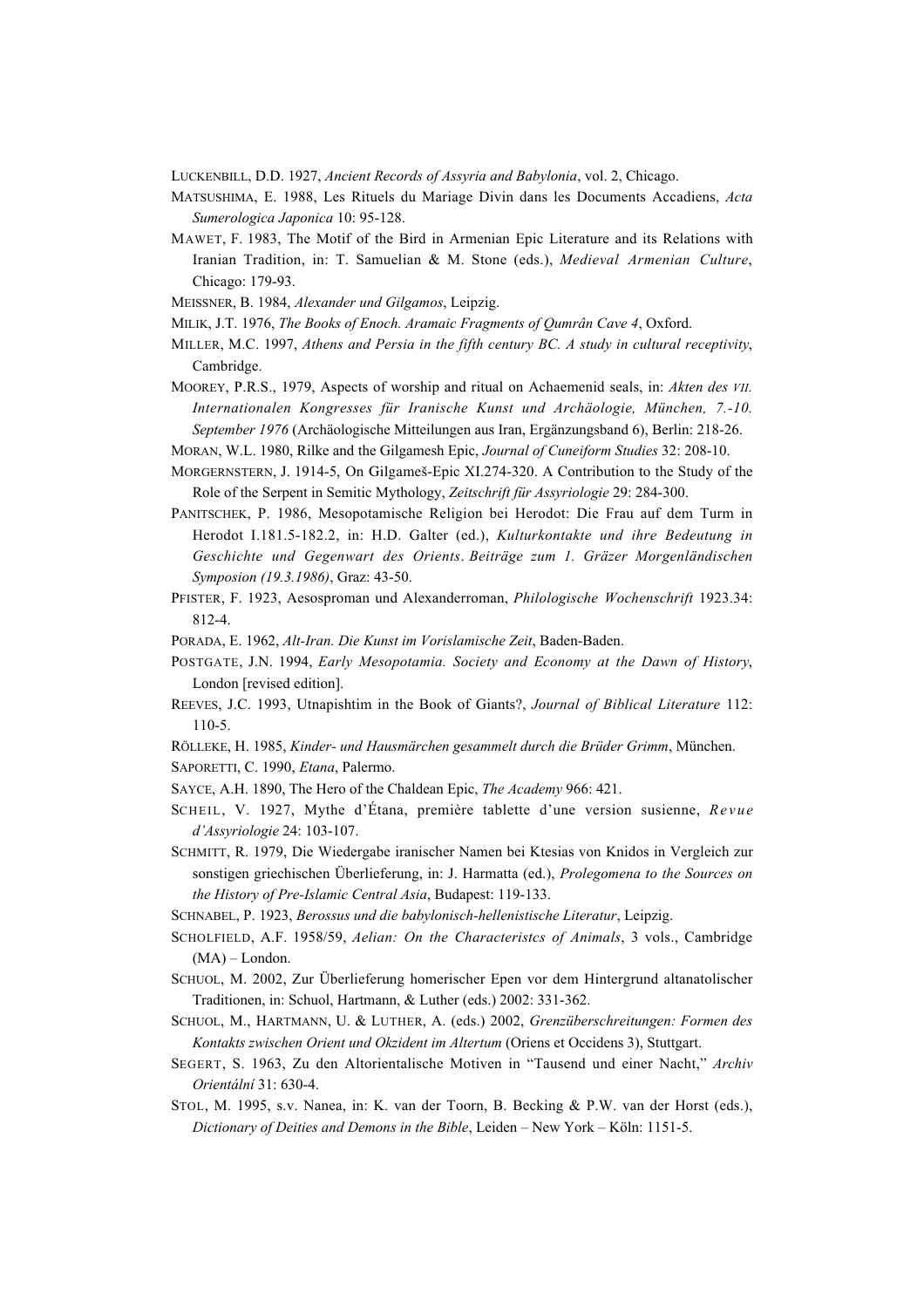LUCKENBILL, D.D. 1927, *Ancient Records of Assyria and Babylonia*, vol. 2, Chicago.

- MATSUSHIMA, E. 1988, Les Rituels du Mariage Divin dans les Documents Accadiens, *Acta Sumerologica Japonica* 10: 95-128.
- MAWET, F. 1983, The Motif of the Bird in Armenian Epic Literature and its Relations with Iranian Tradition, in: T. Samuelian & M. Stone (eds.), *Medieval Armenian Culture*, Chicago: 179-93.
- MEISSNER, B. 1984, *Alexander und Gilgamos*, Leipzig.
- MILIK, J.T. 1976, *The Books of Enoch. Aramaic Fragments of Qumrân Cave 4*, Oxford.
- MILLER, M.C. 1997, *Athens and Persia in the fifth century BC. A study in cultural receptivity*, Cambridge.
- MOOREY, P.R.S., 1979, Aspects of worship and ritual on Achaemenid seals, in: *Akten des VII. Internationalen Kongresses für Iranische Kunst und Archäologie, München, 7.-10. September 1976* (Archäologische Mitteilungen aus Iran, Ergänzungsband 6), Berlin: 218-26.
- MORAN, W.L. 1980, Rilke and the Gilgamesh Epic, *Journal of Cuneiform Studies* 32: 208-10.
- MORGERNSTERN, J. 1914-5, On Gilgameß-Epic XI.274-320. A Contribution to the Study of the Role of the Serpent in Semitic Mythology, *Zeitschrift für Assyriologie* 29: 284-300.
- PANITSCHEK, P. 1986, Mesopotamische Religion bei Herodot: Die Frau auf dem Turm in Herodot I.181.5-182.2, in: H.D. Galter (ed.), *Kulturkontakte und ihre Bedeutung in Geschichte und Gegenwart des Orients*. *Beiträge zum 1. Gräzer Morgenländischen Symposion (19.3.1986)*, Graz: 43-50.
- PFISTER, F. 1923, Aesosproman und Alexanderroman, *Philologische Wochenschrift* 1923.34: 812-4.
- PORADA, E. 1962, *Alt-Iran. Die Kunst im Vorislamische Zeit*, Baden-Baden.
- POSTGATE, J.N. 1994, *Early Mesopotamia. Society and Economy at the Dawn of History*, London [revised edition].
- REEVES, J.C. 1993, Utnapishtim in the Book of Giants?, *Journal of Biblical Literature* 112: 110-5.
- RÖLLEKE, H. 1985, *Kinder- und Hausmärchen gesammelt durch die Brüder Grimm*, München.
- SAPORETTI, C. 1990, *Etana*, Palermo.
- SAYCE, A.H. 1890, The Hero of the Chaldean Epic, *The Academy* 966: 421.
- SCHEIL, V. 1927, Mythe d'Étana, première tablette d'une version susienne, *Revue d'Assyriologie* 24: 103-107.
- SCHMITT, R. 1979, Die Wiedergabe iranischer Namen bei Ktesias von Knidos in Vergleich zur sonstigen griechischen Überlieferung, in: J. Harmatta (ed.), *Prolegomena to the Sources on the History of Pre-Islamic Central Asia*, Budapest: 119-133.
- SCHNABEL, P. 1923, *Berossus und die babylonisch-hellenistische Literatur*, Leipzig.
- SCHOLFIELD, A.F. 1958/59, *Aelian: On the Characteristcs of Animals*, 3 vols., Cambridge (MA) – London.
- SCHUOL, M. 2002, Zur Überlieferung homerischer Epen vor dem Hintergrund altanatolischer Traditionen, in: Schuol, Hartmann, & Luther (eds.) 2002: 331-362.
- SCHUOL, M., HARTMANN, U. & LUTHER, A. (eds.) 2002, *Grenzüberschreitungen: Formen des Kontakts zwischen Orient und Okzident im Altertum* (Oriens et Occidens 3), Stuttgart.
- SEGERT, S. 1963, Zu den Altorientalische Motiven in "Tausend und einer Nacht," *Archiv Orientální* 31: 630-4.
- STOL, M. 1995, s.v. Nanea, in: K. van der Toorn, B. Becking & P.W. van der Horst (eds.), *Dictionary of Deities and Demons in the Bible*, Leiden – New York – Köln: 1151-5.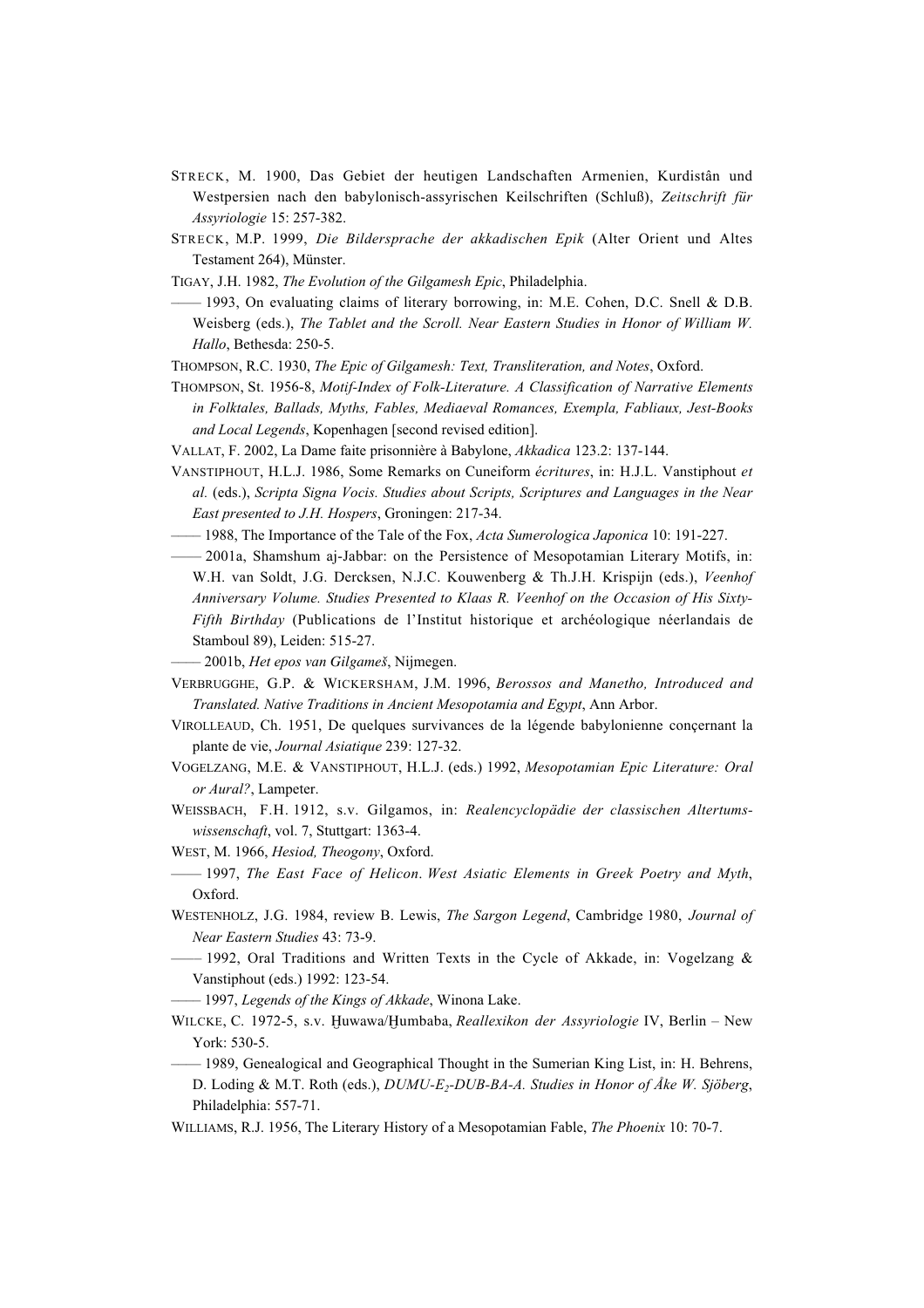- STRECK, M. 1900, Das Gebiet der heutigen Landschaften Armenien, Kurdistân und Westpersien nach den babylonisch-assyrischen Keilschriften (Schluß), *Zeitschrift für Assyriologie* 15: 257-382.
- STRECK, M.P. 1999, *Die Bildersprache der akkadischen Epik* (Alter Orient und Altes Testament 264), Münster.
- TIGAY, J.H. 1982, *The Evolution of the Gilgamesh Epic*, Philadelphia.
- –––– 1993, On evaluating claims of literary borrowing, in: M.E. Cohen, D.C. Snell & D.B. Weisberg (eds.), *The Tablet and the Scroll. Near Eastern Studies in Honor of William W. Hallo*, Bethesda: 250-5.
- THOMPSON, R.C. 1930, *The Epic of Gilgamesh: Text, Transliteration, and Notes*, Oxford.
- THOMPSON, St. 1956-8, *Motif-Index of Folk-Literature. A Classification of Narrative Elements in Folktales, Ballads, Myths, Fables, Mediaeval Romances, Exempla, Fabliaux, Jest-Books and Local Legends*, Kopenhagen [second revised edition].
- VALLAT, F. 2002, La Dame faite prisonnière à Babylone, *Akkadica* 123.2: 137-144.
- VANSTIPHOUT, H.L.J. 1986, Some Remarks on Cuneiform *écritures*, in: H.J.L. Vanstiphout *et al.* (eds.), *Scripta Signa Vocis. Studies about Scripts, Scriptures and Languages in the Near East presented to J.H. Hospers*, Groningen: 217-34.
- –––– 1988, The Importance of the Tale of the Fox, *Acta Sumerologica Japonica* 10: 191-227.
- $-2001a$ , Shamshum aj-Jabbar: on the Persistence of Mesopotamian Literary Motifs, in: W.H. van Soldt, J.G. Dercksen, N.J.C. Kouwenberg & Th.J.H. Krispijn (eds.), *Veenhof Anniversary Volume. Studies Presented to Klaas R. Veenhof on the Occasion of His Sixty-Fifth Birthday* (Publications de l'Institut historique et archéologique néerlandais de Stamboul 89), Leiden: 515-27.
- –––– 2001b, *Het epos van Gilgameß*, Nijmegen.
- VERBRUGGHE, G.P. & WICKERSHAM, J.M. 1996, *Berossos and Manetho, Introduced and Translated. Native Traditions in Ancient Mesopotamia and Egypt*, Ann Arbor.
- VIROLLEAUD, Ch. 1951, De quelques survivances de la légende babylonienne conçernant la plante de vie, *Journal Asiatique* 239: 127-32.
- VOGELZANG, M.E. & VANSTIPHOUT, H.L.J. (eds.) 1992, *Mesopotamian Epic Literature: Oral or Aural?*, Lampeter.
- WEISSBACH, F.H. 1912, s.v. Gilgamos, in: *Realencyclopädie der classischen Altertumswissenschaft*, vol. 7, Stuttgart: 1363-4.
- WEST, M. 1966, *Hesiod, Theogony*, Oxford.
- –––– 1997, *The East Face of Helicon*. *West Asiatic Elements in Greek Poetry and Myth*, Oxford.
- WESTENHOLZ, J.G. 1984, review B. Lewis, *The Sargon Legend*, Cambridge 1980, *Journal of Near Eastern Studies* 43: 73-9.
- $-$  1992, Oral Traditions and Written Texts in the Cycle of Akkade, in: Vogelzang & Vanstiphout (eds.) 1992: 123-54.
- –––– 1997, *Legends of the Kings of Akkade*, Winona Lake.
- WILCKE, C. 1972-5, s.v. Huwawa/Humbaba, *Reallexikon der Assyriologie* IV, Berlin New York: 530-5.
- 1989, Genealogical and Geographical Thought in the Sumerian King List, in: H. Behrens, D. Loding & M.T. Roth (eds.), *DUMU-E<sub>2</sub>-DUB-BA-A. Studies in Honor of Åke W. Sjöberg*, Philadelphia: 557-71.
- WILLIAMS, R.J. 1956, The Literary History of a Mesopotamian Fable, *The Phoenix* 10: 70-7.